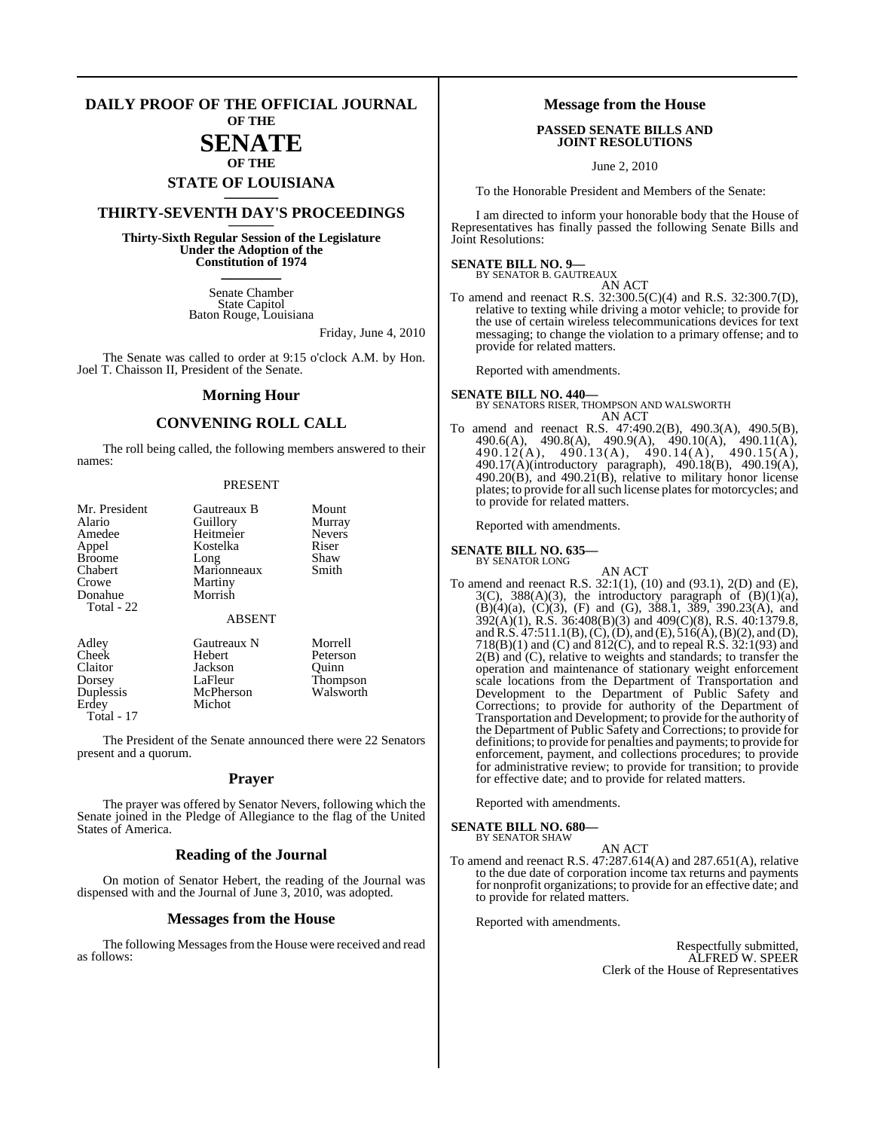#### **DAILY PROOF OF THE OFFICIAL JOURNAL OF THE**

# **SENATE**

## **OF THE STATE OF LOUISIANA \_\_\_\_\_\_\_**

## **THIRTY-SEVENTH DAY'S PROCEEDINGS \_\_\_\_\_\_\_**

**Thirty-Sixth Regular Session of the Legislature Under the Adoption of the Constitution of 1974 \_\_\_\_\_\_\_**

> Senate Chamber State Capitol Baton Rouge, Louisiana

> > Friday, June 4, 2010

The Senate was called to order at 9:15 o'clock A.M. by Hon. Joel T. Chaisson II, President of the Senate.

#### **Morning Hour**

## **CONVENING ROLL CALL**

The roll being called, the following members answered to their names:

#### PRESENT

| Mr. President<br>Alario<br>Amedee<br>Appel<br><b>Broome</b><br>Chabert | Gautreaux B<br>Guillory<br>Heitmeier<br>Kostelka<br>Long<br>Marionneaux | Mount<br>Murray<br><b>Nevers</b><br>Riser<br>Shaw<br>Smith |
|------------------------------------------------------------------------|-------------------------------------------------------------------------|------------------------------------------------------------|
| Crowe<br>Donahue<br>Total - 22                                         | Martiny<br>Morrish<br><b>ABSENT</b>                                     |                                                            |
| Adley<br>Cheek<br>Claitor<br>Dorsey<br>Duplessis<br>Erdey              | Gautreaux N<br>Hebert<br>Jackson<br>LaFleur<br>McPherson<br>Michot      | Morrell<br>Peterson<br>Ouinn<br>Thompson<br>Walsworth      |

Total - 17

The President of the Senate announced there were 22 Senators present and a quorum.

#### **Prayer**

The prayer was offered by Senator Nevers, following which the Senate joined in the Pledge of Allegiance to the flag of the United States of America.

#### **Reading of the Journal**

On motion of Senator Hebert, the reading of the Journal was dispensed with and the Journal of June 3, 2010, was adopted.

#### **Messages from the House**

The following Messages from the House were received and read as follows:

#### **Message from the House**

#### **PASSED SENATE BILLS AND JOINT RESOLUTIONS**

June 2, 2010

To the Honorable President and Members of the Senate:

I am directed to inform your honorable body that the House of Representatives has finally passed the following Senate Bills and Joint Resolutions:

# **SENATE BILL NO. 9—** BY SENATOR B. GAUTREAUX AN ACT

To amend and reenact R.S. 32:300.5(C)(4) and R.S. 32:300.7(D), relative to texting while driving a motor vehicle; to provide for the use of certain wireless telecommunications devices for text messaging; to change the violation to a primary offense; and to provide for related matters.

Reported with amendments.

# **SENATE BILL NO. 440—** BY SENATORS RISER, THOMPSON AND WALSWORTH

AN ACT To amend and reenact R.S. 47:490.2(B), 490.3(A), 490.5(B), 490.6(A), 490.8(A), 490.9(A), 490.10(A), 490.11(A), 490.12(A), 490.13(A), 490.14(A), 490.15(A), 490.17(A)(introductory paragraph), 490.18(B), 490.19(A),  $490.20(B)$ , and  $490.21(B)$ , relative to military honor license plates; to provide for all such license plates for motorcycles; and to provide for related matters.

Reported with amendments.

#### **SENATE BILL NO. 635—** BY SENATOR LONG

AN ACT To amend and reenact R.S. 32:1(1), (10) and (93.1), 2(D) and (E),  $3(C)$ ,  $388(A)(3)$ , the introductory paragraph of  $(B)(1)(a)$ ,  $(B)(4)(a)$ ,  $(C)(3)$ ,  $(F)$  and  $(G)$ , 388.1, 389, 390.23 $(A)$ , and 392(A)(1), R.S. 36:408(B)(3) and 409(C)(8), R.S. 40:1379.8, and R.S. 47:511.1(B), (C), (D), and (E), 516(A), (B)(2), and (D), 718(B)(1) and (C) and 812(C), and to repeal R.S. 32:1(93) and 2(B) and (C), relative to weights and standards; to transfer the operation and maintenance of stationary weight enforcement scale locations from the Department of Transportation and Development to the Department of Public Safety and Corrections; to provide for authority of the Department of Transportation and Development; to provide for the authority of the Department of Public Safety and Corrections; to provide for definitions; to provide for penalties and payments; to provide for enforcement, payment, and collections procedures; to provide for administrative review; to provide for transition; to provide for effective date; and to provide for related matters.

Reported with amendments.

**SENATE BILL NO. 680—** BY SENATOR SHAW

#### AN ACT

To amend and reenact R.S. 47:287.614(A) and 287.651(A), relative to the due date of corporation income tax returns and payments for nonprofit organizations; to provide for an effective date; and to provide for related matters.

Reported with amendments.

Respectfully submitted, ALFRED W. SPEER Clerk of the House of Representatives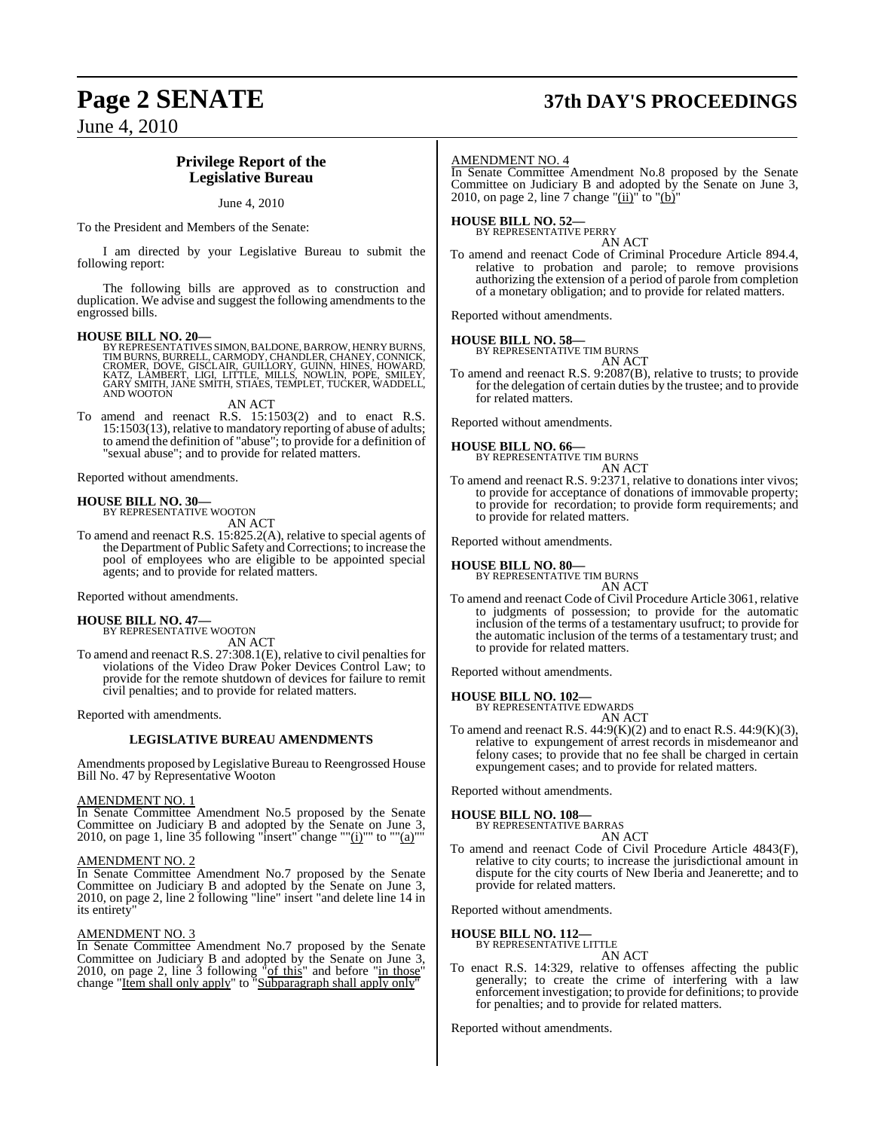# **Page 2 SENATE 37th DAY'S PROCEEDINGS**

June 4, 2010

### **Privilege Report of the Legislative Bureau**

#### June 4, 2010

To the President and Members of the Senate:

I am directed by your Legislative Bureau to submit the following report:

The following bills are approved as to construction and duplication. We advise and suggest the following amendments to the engrossed bills.

#### **HOUSE BILL NO. 20—**

BY REPRESENTATIVES SIMON, BALDONE, BARROW, HENRY BURNS,<br>TIM BURNS, BURRELL, CARMODY, CHANDLER, CHANEY, CONNICK,<br>CROMER, DOVE, GISCLAIR, GUILLORY, GUINN, HINES, HOWARD,<br>KATZ, LAMBERT, LIGI, LITTLE, MILLS, NOWLIN, POPE, SMIL AND WOOTON

AN ACT

To amend and reenact R.S. 15:1503(2) and to enact R.S. 15:1503(13), relative to mandatory reporting of abuse of adults; to amend the definition of "abuse"; to provide for a definition of "sexual abuse"; and to provide for related matters.

Reported without amendments.

## **HOUSE BILL NO. 30—** BY REPRESENTATIVE WOOTON

AN ACT

To amend and reenact R.S. 15:825.2(A), relative to special agents of the Department of Public Safety and Corrections; to increase the pool of employees who are eligible to be appointed special agents; and to provide for related matters.

Reported without amendments.

#### **HOUSE BILL NO. 47—**

BY REPRESENTATIVE WOOTON AN ACT

To amend and reenact R.S. 27:308.1(E), relative to civil penalties for violations of the Video Draw Poker Devices Control Law; to provide for the remote shutdown of devices for failure to remit civil penalties; and to provide for related matters.

Reported with amendments.

#### **LEGISLATIVE BUREAU AMENDMENTS**

Amendments proposed by Legislative Bureau to Reengrossed House Bill No. 47 by Representative Wooton

#### AMENDMENT NO. 1

In Senate Committee Amendment No.5 proposed by the Senate Committee on Judiciary B and adopted by the Senate on June 3, 2010, on page 1, line 35 following "insert" change "" $(i)$ "" to "" $(a)$ ""

#### AMENDMENT NO. 2

In Senate Committee Amendment No.7 proposed by the Senate Committee on Judiciary B and adopted by the Senate on June 3, 2010, on page 2, line 2 following "line" insert "and delete line 14 in its entirety

#### AMENDMENT NO. 3

In Senate Committee Amendment No.7 proposed by the Senate Committee on Judiciary B and adopted by the Senate on June 3, 2010, on page 2, line 3 following  $\text{``of this''}$  and before "in those" change "Item shall only apply" to "Subparagraph shall apply only"

#### AMENDMENT NO. 4

In Senate Committee Amendment No.8 proposed by the Senate Committee on Judiciary B and adopted by the Senate on June 3, 2010, on page 2, line 7 change " $(ii)$ " to " $(b)$ "

## **HOUSE BILL NO. 52—** BY REPRESENTATIVE PERRY

AN ACT

To amend and reenact Code of Criminal Procedure Article 894.4, relative to probation and parole; to remove provisions authorizing the extension of a period of parole from completion of a monetary obligation; and to provide for related matters.

Reported without amendments.

#### **HOUSE BILL NO. 58—**

BY REPRESENTATIVE TIM BURNS AN ACT

To amend and reenact R.S. 9:2087(B), relative to trusts; to provide for the delegation of certain duties by the trustee; and to provide for related matters.

Reported without amendments.

## **HOUSE BILL NO. 66—** BY REPRESENTATIVE TIM BURNS

AN ACT

To amend and reenact R.S. 9:2371, relative to donations inter vivos; to provide for acceptance of donations of immovable property; to provide for recordation; to provide form requirements; and to provide for related matters.

Reported without amendments.

#### **HOUSE BILL NO. 80—**

BY REPRESENTATIVE TIM BURNS

AN ACT

To amend and reenact Code of Civil Procedure Article 3061, relative to judgments of possession; to provide for the automatic inclusion of the terms of a testamentary usufruct; to provide for the automatic inclusion of the terms of a testamentary trust; and to provide for related matters.

Reported without amendments.

#### **HOUSE BILL NO. 102—**

BY REPRESENTATIVE EDWARDS AN ACT

To amend and reenact R.S.  $44:9(K)(2)$  and to enact R.S.  $44:9(K)(3)$ , relative to expungement of arrest records in misdemeanor and felony cases; to provide that no fee shall be charged in certain expungement cases; and to provide for related matters.

Reported without amendments.

## **HOUSE BILL NO. 108—** BY REPRESENTATIVE BARRAS

AN ACT

To amend and reenact Code of Civil Procedure Article 4843(F), relative to city courts; to increase the jurisdictional amount in dispute for the city courts of New Iberia and Jeanerette; and to provide for related matters.

Reported without amendments.

#### **HOUSE BILL NO. 112—**

BY REPRESENTATIVE LITTLE AN ACT

To enact R.S. 14:329, relative to offenses affecting the public generally; to create the crime of interfering with a law enforcement investigation; to provide for definitions; to provide for penalties; and to provide for related matters.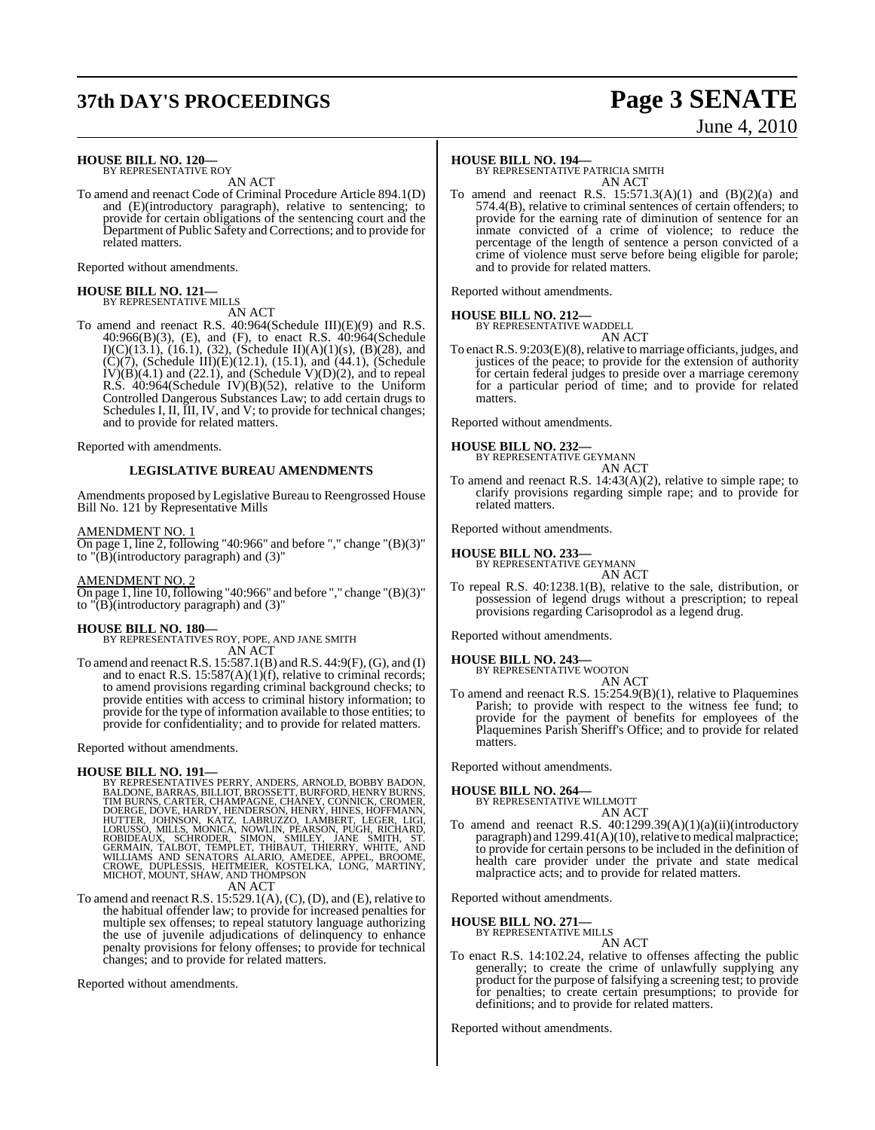# **37th DAY'S PROCEEDINGS Page 3 SENATE**

# June 4, 2010

#### **HOUSE BILL NO. 120—** BY REPRESENTATIVE ROY

AN ACT

To amend and reenact Code of Criminal Procedure Article 894.1(D) and (E)(introductory paragraph), relative to sentencing; to provide for certain obligations of the sentencing court and the Department of Public Safety and Corrections; and to provide for related matters.

Reported without amendments.

## **HOUSE BILL NO. 121—** BY REPRESENTATIVE MILLS

AN ACT

To amend and reenact R.S. 40:964(Schedule III)(E)(9) and R.S. 40:966(B)(3), (E), and (F), to enact R.S. 40:964(Schedule I)(C)(13.1), (16.1), (32), (Schedule II)(A)(1)(s), (B)(28), and (C)(7), (Schedule III)(E)(12.1), (15.1), and (44.1), (Schedule  $IV(B)(4.1)$  and  $(22.1)$ , and  $(Schedule V)(D)(2)$ , and to repeal R.S. 40:964(Schedule IV)(B)(52), relative to the Uniform Controlled Dangerous Substances Law; to add certain drugs to Schedules I, II, III, IV, and V; to provide for technical changes; and to provide for related matters.

Reported with amendments.

#### **LEGISLATIVE BUREAU AMENDMENTS**

Amendments proposed by Legislative Bureau to Reengrossed House Bill No. 121 by Representative Mills

#### AMENDMENT NO. 1

On page 1, line 2, following "40:966" and before "," change "(B)(3)" to  $\overline{(\overline{B})}$ (introductory paragraph) and (3)"

#### AMENDMENT NO. 2

On page 1, line  $10$ , following "40:966" and before "," change " $(B)(3)$ " to  $\overline{(\overline{B})}$ (introductory paragraph) and (3)"

#### **HOUSE BILL NO. 180—**

BY REPRESENTATIVES ROY, POPE, AND JANE SMITH AN ACT

To amend and reenactR.S. 15:587.1(B) andR.S. 44:9(F),(G), and (I) and to enact R.S. 15:587(A)(1)(f), relative to criminal records; to amend provisions regarding criminal background checks; to provide entities with access to criminal history information; to provide for the type of information available to those entities; to provide for confidentiality; and to provide for related matters.

Reported without amendments.

HOUSE BILL NO. 191—<br>BY REPRESENTATIVES PERRY, ANDERS, ARNOLD, BOBBY BADON,<br>BALDONE, BARRAS, BILLIOT, BROSSETT, BURFORD, HENRY BURNS, TIM BURNS, CARTER, CHAMPAGNE, CHANEY, CONNICK, CROMER,<br>DOERGE, DOVE, HARDY, HENDERSON, HE AN ACT

To amend and reenact R.S.  $15:529.1(A)$ ,  $(C)$ ,  $(D)$ , and  $(E)$ , relative to the habitual offender law; to provide for increased penalties for multiple sex offenses; to repeal statutory language authorizing the use of juvenile adjudications of delinquency to enhance penalty provisions for felony offenses; to provide for technical changes; and to provide for related matters.

Reported without amendments.

#### **HOUSE BILL NO. 194—**

BY REPRESENTATIVE PATRICIA SMITH AN ACT

To amend and reenact R.S.  $15:571.3(A)(1)$  and  $(B)(2)(a)$  and 574.4(B), relative to criminal sentences of certain offenders; to provide for the earning rate of diminution of sentence for an inmate convicted of a crime of violence; to reduce the percentage of the length of sentence a person convicted of a crime of violence must serve before being eligible for parole; and to provide for related matters.

Reported without amendments.

#### **HOUSE BILL NO. 212—**



To enact R.S. 9:203(E)(8), relative to marriage officiants, judges, and justices of the peace; to provide for the extension of authority for certain federal judges to preside over a marriage ceremony for a particular period of time; and to provide for related matters.

Reported without amendments.

## **HOUSE BILL NO. 232—** BY REPRESENTATIVE GEYMANN

AN ACT

To amend and reenact R.S. 14:43(A)(2), relative to simple rape; to clarify provisions regarding simple rape; and to provide for related matters.

Reported without amendments.

#### **HOUSE BILL NO. 233—**

BY REPRESENTATIVE GEYMANN AN ACT

To repeal R.S. 40:1238.1(B), relative to the sale, distribution, or possession of legend drugs without a prescription; to repeal provisions regarding Carisoprodol as a legend drug.

Reported without amendments.

**HOUSE BILL NO. 243—**

BY REPRESENTATIVE WOOTON AN ACT

To amend and reenact R.S. 15:254.9(B)(1), relative to Plaquemines Parish; to provide with respect to the witness fee fund; to provide for the payment of benefits for employees of the Plaquemines Parish Sheriff's Office; and to provide for related matters.

Reported without amendments.

#### **HOUSE BILL NO. 264—**

BY REPRESENTATIVE WILLMOTT AN ACT

To amend and reenact R.S.  $40:1299.39(A)(1)(a)(ii)(introductory)$ paragraph) and  $1299.41(A)(10)$ , relative to medical malpractice; to provide for certain persons to be included in the definition of health care provider under the private and state medical malpractice acts; and to provide for related matters.

Reported without amendments.

#### **HOUSE BILL NO. 271—**

BY REPRESENTATIVE MILLS AN ACT

To enact R.S. 14:102.24, relative to offenses affecting the public generally; to create the crime of unlawfully supplying any product for the purpose of falsifying a screening test; to provide for penalties; to create certain presumptions; to provide for definitions; and to provide for related matters.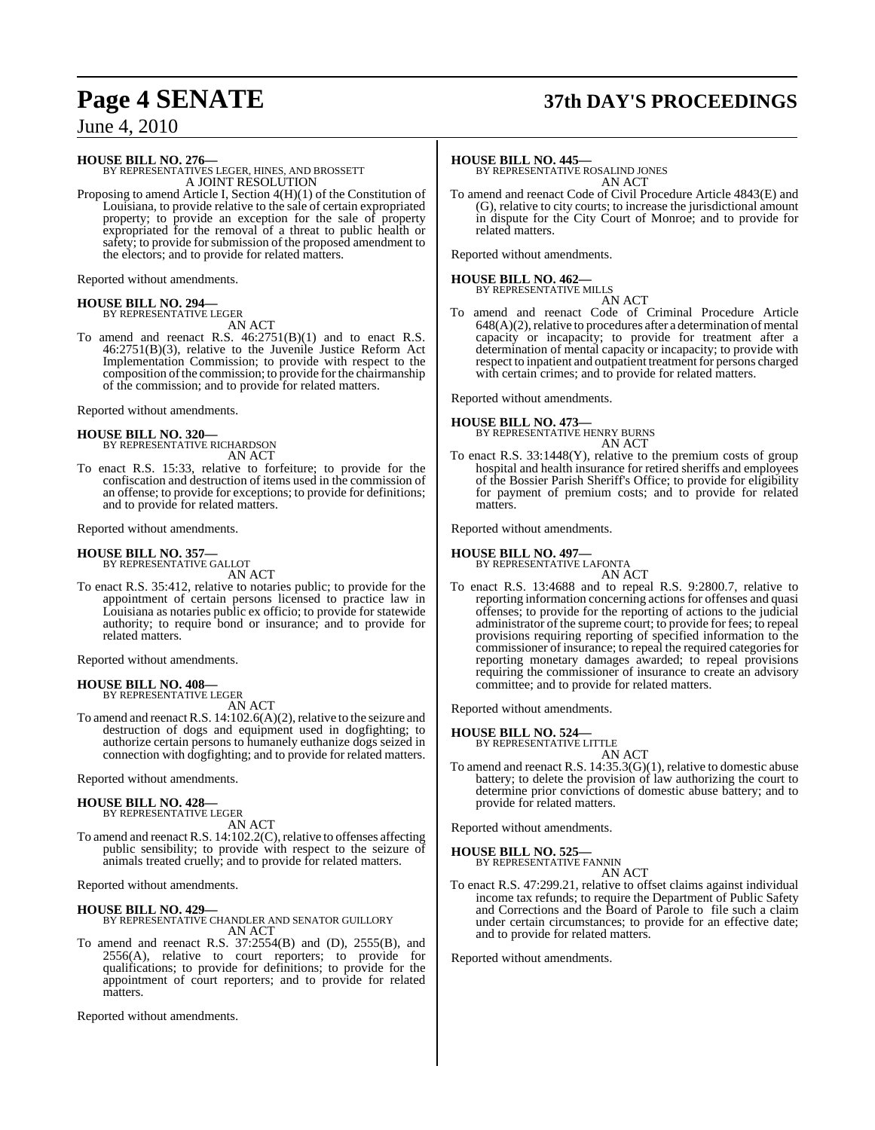# **Page 4 SENATE 37th DAY'S PROCEEDINGS**

June 4, 2010

**HOUSE BILL NO. 276—** BY REPRESENTATIVES LEGER, HINES, AND BROSSETT A JOINT RESOLUTION

Proposing to amend Article I, Section 4(H)(1) of the Constitution of Louisiana, to provide relative to the sale of certain expropriated property; to provide an exception for the sale of property expropriated for the removal of a threat to public health or safety; to provide for submission of the proposed amendment to the electors; and to provide for related matters.

Reported without amendments.

#### **HOUSE BILL NO. 294—** BY REPRESENTATIVE LEGER

AN ACT

To amend and reenact R.S. 46:2751(B)(1) and to enact R.S. 46:2751(B)(3), relative to the Juvenile Justice Reform Act Implementation Commission; to provide with respect to the composition of the commission; to provide for the chairmanship of the commission; and to provide for related matters.

Reported without amendments.

## **HOUSE BILL NO. 320—** BY REPRESENTATIVE RICHARDSON

AN ACT

To enact R.S. 15:33, relative to forfeiture; to provide for the confiscation and destruction of items used in the commission of an offense; to provide for exceptions; to provide for definitions; and to provide for related matters.

Reported without amendments.

#### **HOUSE BILL NO. 357—**

BY REPRESENTATIVE GALLOT AN ACT

To enact R.S. 35:412, relative to notaries public; to provide for the appointment of certain persons licensed to practice law in Louisiana as notaries public ex officio; to provide for statewide authority; to require bond or insurance; and to provide for related matters.

Reported without amendments.

# **HOUSE BILL NO. 408—** BY REPRESENTATIVE LEGER

AN ACT

To amend and reenact R.S.  $14:102.6(A)(2)$ , relative to the seizure and destruction of dogs and equipment used in dogfighting; to authorize certain persons to humanely euthanize dogs seized in connection with dogfighting; and to provide for related matters.

Reported without amendments.

## **HOUSE BILL NO. 428—** BY REPRESENTATIVE LEGER

AN ACT

To amend and reenact R.S. 14:102.2(C), relative to offenses affecting public sensibility; to provide with respect to the seizure of animals treated cruelly; and to provide for related matters.

Reported without amendments.

**HOUSE BILL NO. 429—** BY REPRESENTATIVE CHANDLER AND SENATOR GUILLORY AN ACT

To amend and reenact R.S. 37:2554(B) and (D), 2555(B), and 2556(A), relative to court reporters: to provide for  $2556(A)$ , relative to court reporters; to provide qualifications; to provide for definitions; to provide for the appointment of court reporters; and to provide for related matters.

Reported without amendments.

#### **HOUSE BILL NO. 445—**

BY REPRESENTATIVE ROSALIND JONES AN ACT

To amend and reenact Code of Civil Procedure Article 4843(E) and (G), relative to city courts; to increase the jurisdictional amount in dispute for the City Court of Monroe; and to provide for related matters.

Reported without amendments.

## **HOUSE BILL NO. 462—** BY REPRESENTATIVE MILLS

AN ACT

To amend and reenact Code of Criminal Procedure Article  $648(A)(2)$ , relative to procedures after a determination of mental capacity or incapacity; to provide for treatment after a determination of mental capacity or incapacity; to provide with respect to inpatient and outpatient treatment for persons charged with certain crimes; and to provide for related matters.

Reported without amendments.

**HOUSE BILL NO. 473—** BY REPRESENTATIVE HENRY BURNS AN ACT

To enact R.S. 33:1448(Y), relative to the premium costs of group hospital and health insurance for retired sheriffs and employees of the Bossier Parish Sheriff's Office; to provide for eligibility for payment of premium costs; and to provide for related matters.

Reported without amendments.

#### **HOUSE BILL NO. 497—**

BY REPRESENTATIVE LAFONTA AN ACT

To enact R.S. 13:4688 and to repeal R.S. 9:2800.7, relative to reporting information concerning actions for offenses and quasi offenses; to provide for the reporting of actions to the judicial administrator of the supreme court; to provide for fees; to repeal provisions requiring reporting of specified information to the commissioner of insurance; to repeal the required categories for reporting monetary damages awarded; to repeal provisions requiring the commissioner of insurance to create an advisory committee; and to provide for related matters.

Reported without amendments.

## **HOUSE BILL NO. 524—** BY REPRESENTATIVE LITTLE

AN ACT

To amend and reenact R.S. 14:35.3(G)(1), relative to domestic abuse battery; to delete the provision of law authorizing the court to determine prior convictions of domestic abuse battery; and to provide for related matters.

Reported without amendments.

**HOUSE BILL NO. 525—**

BY REPRESENTATIVE FANNIN

AN ACT To enact R.S. 47:299.21, relative to offset claims against individual income tax refunds; to require the Department of Public Safety and Corrections and the Board of Parole to file such a claim under certain circumstances; to provide for an effective date; and to provide for related matters.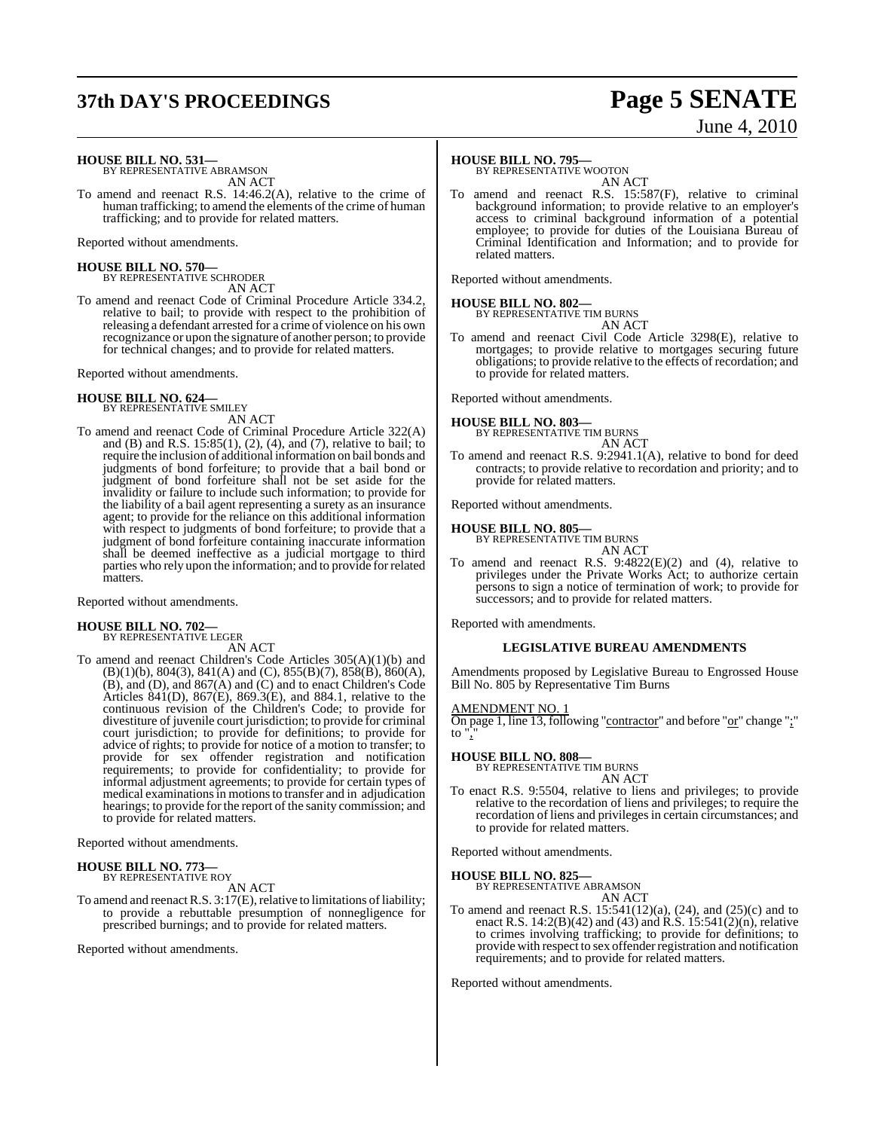# **37th DAY'S PROCEEDINGS Page 5 SENATE**

# June 4, 2010

**HOUSE BILL NO. 531—** BY REPRESENTATIVE ABRAMSON

AN ACT

To amend and reenact R.S. 14:46.2(A), relative to the crime of human trafficking; to amend the elements of the crime of human trafficking; and to provide for related matters.

Reported without amendments.

#### **HOUSE BILL NO. 570—**

BY REPRESENTATIVE SCHRODER AN ACT

To amend and reenact Code of Criminal Procedure Article 334.2, relative to bail; to provide with respect to the prohibition of releasing a defendant arrested for a crime of violence on his own recognizance or upon the signature of another person; to provide for technical changes; and to provide for related matters.

Reported without amendments.

#### **HOUSE BILL NO. 624—** BY REPRESENTATIVE SMILEY

AN ACT

To amend and reenact Code of Criminal Procedure Article 322(A) and (B) and R.S. 15:85(1), (2), (4), and (7), relative to bail; to require the inclusion of additional information on bail bonds and judgments of bond forfeiture; to provide that a bail bond or judgment of bond forfeiture shall not be set aside for the invalidity or failure to include such information; to provide for the liability of a bail agent representing a surety as an insurance agent; to provide for the reliance on this additional information with respect to judgments of bond forfeiture; to provide that a judgment of bond forfeiture containing inaccurate information shall be deemed ineffective as a judicial mortgage to third parties who rely upon the information; and to provide for related matters.

Reported without amendments.

## **HOUSE BILL NO. 702—** BY REPRESENTATIVE LEGER

AN ACT

To amend and reenact Children's Code Articles 305(A)(1)(b) and (B)(1)(b), 804(3), 841(A) and (C), 855(B)(7), 858(B), 860(A), (B), and (D), and 867(A) and (C) and to enact Children's Code Articles 841(D), 867(E), 869.3(E), and 884.1, relative to the continuous revision of the Children's Code; to provide for divestiture of juvenile court jurisdiction; to provide for criminal court jurisdiction; to provide for definitions; to provide for advice of rights; to provide for notice of a motion to transfer; to provide for sex offender registration and notification requirements; to provide for confidentiality; to provide for informal adjustment agreements; to provide for certain types of medical examinationsin motionsto transfer and in adjudication hearings; to provide for the report of the sanity commission; and to provide for related matters.

Reported without amendments.

#### **HOUSE BILL NO. 773—** BY REPRESENTATIVE ROY

AN ACT

To amend and reenact R.S.  $3:17(E)$ , relative to limitations of liability; to provide a rebuttable presumption of nonnegligence for prescribed burnings; and to provide for related matters.

Reported without amendments.

#### **HOUSE BILL NO. 795—**

BY REPRESENTATIVE WOOTON AN ACT

To amend and reenact R.S. 15:587(F), relative to criminal background information; to provide relative to an employer's access to criminal background information of a potential employee; to provide for duties of the Louisiana Bureau of Criminal Identification and Information; and to provide for related matters.

Reported without amendments.

#### **HOUSE BILL NO. 802—**

BY REPRESENTATIVE TIM BURNS AN ACT

To amend and reenact Civil Code Article 3298(E), relative to mortgages; to provide relative to mortgages securing future obligations; to provide relative to the effects of recordation; and to provide for related matters.

Reported without amendments.

#### **HOUSE BILL NO. 803—**

BY REPRESENTATIVE TIM BURNS AN ACT

To amend and reenact R.S. 9:2941.1(A), relative to bond for deed contracts; to provide relative to recordation and priority; and to provide for related matters.

Reported without amendments.

## **HOUSE BILL NO. 805—** BY REPRESENTATIVE TIM BURNS

AN ACT

To amend and reenact R.S.  $9:4822(E)(2)$  and (4), relative to privileges under the Private Works Act; to authorize certain persons to sign a notice of termination of work; to provide for successors; and to provide for related matters.

Reported with amendments.

#### **LEGISLATIVE BUREAU AMENDMENTS**

Amendments proposed by Legislative Bureau to Engrossed House Bill No. 805 by Representative Tim Burns

#### <u>AMENDMENT NO.</u>

On page 1, line 13, following "contractor" and before "or" change ";" to".

#### **HOUSE BILL NO. 808—**

BY REPRESENTATIVE TIM BURNS

AN ACT To enact R.S. 9:5504, relative to liens and privileges; to provide relative to the recordation of liens and privileges; to require the recordation of liens and privileges in certain circumstances; and

Reported without amendments.

**HOUSE BILL NO. 825—** BY REPRESENTATIVE ABRAMSON

to provide for related matters.

AN ACT To amend and reenact R.S. 15:541(12)(a), (24), and (25)(c) and to enact R.S. 14:2(B)(42) and (43) and R.S. 15:541(2)(n), relative to crimes involving trafficking; to provide for definitions; to provide with respect to sex offender registration and notification requirements; and to provide for related matters.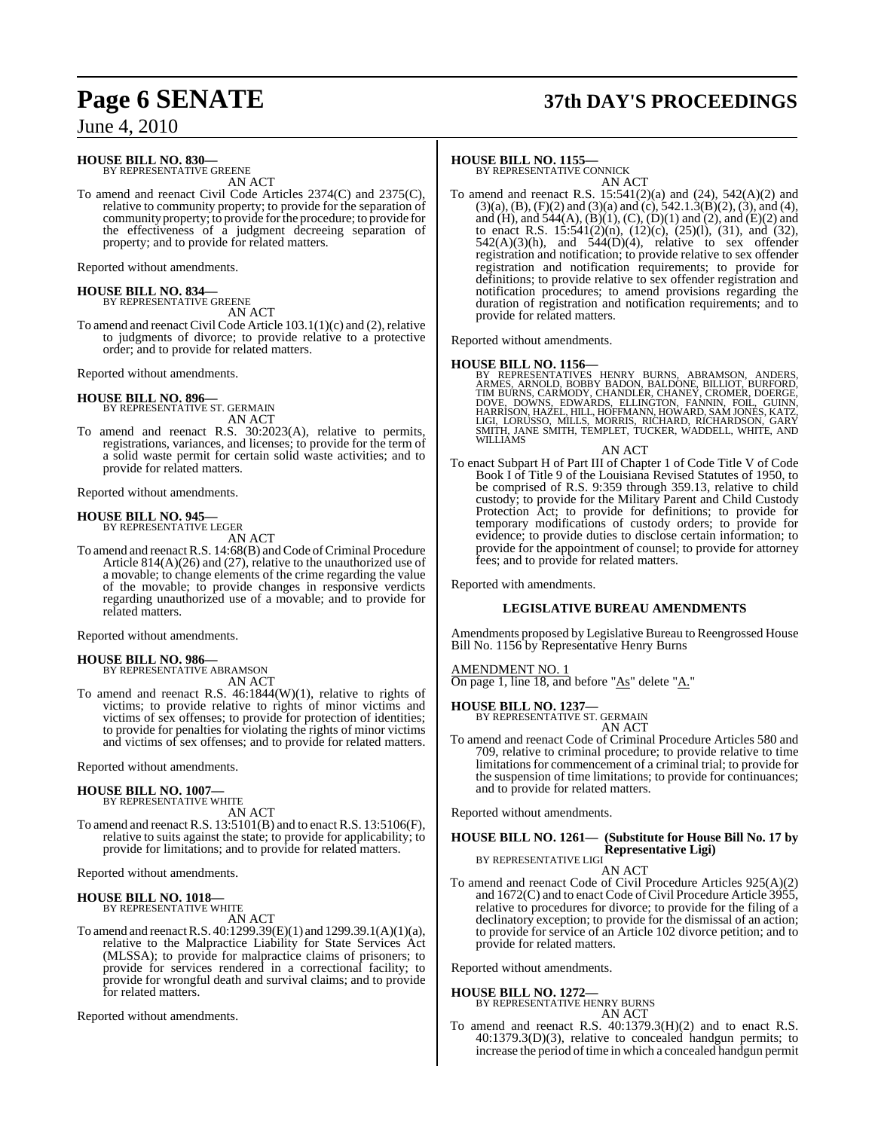# **Page 6 SENATE 37th DAY'S PROCEEDINGS**

June 4, 2010

#### **HOUSE BILL NO. 830—**

BY REPRESENTATIVE GREENE AN ACT

To amend and reenact Civil Code Articles 2374(C) and 2375(C), relative to community property; to provide for the separation of community property; to provide for the procedure; to provide for the effectiveness of a judgment decreeing separation of property; and to provide for related matters.

Reported without amendments.

## **HOUSE BILL NO. 834—** BY REPRESENTATIVE GREENE

AN ACT

To amend and reenact Civil Code Article 103.1(1)(c) and (2), relative to judgments of divorce; to provide relative to a protective order; and to provide for related matters.

Reported without amendments.

# **HOUSE BILL NO. 896—** BY REPRESENTATIVE ST. GERMAIN

AN ACT To amend and reenact R.S. 30:2023(A), relative to permits, registrations, variances, and licenses; to provide for the term of a solid waste permit for certain solid waste activities; and to provide for related matters.

Reported without amendments.

# **HOUSE BILL NO. 945—** BY REPRESENTATIVE LEGER

AN ACT

To amend and reenact R.S. 14:68(B) and Code of Criminal Procedure Article 814(A)(26) and (27), relative to the unauthorized use of a movable; to change elements of the crime regarding the value of the movable; to provide changes in responsive verdicts regarding unauthorized use of a movable; and to provide for related matters.

Reported without amendments.

### **HOUSE BILL NO. 986—**

BY REPRESENTATIVE ABRAMSON AN ACT

To amend and reenact R.S. 46:1844(W)(1), relative to rights of victims; to provide relative to rights of minor victims and victims of sex offenses; to provide for protection of identities; to provide for penalties for violating the rights of minor victims and victims of sex offenses; and to provide for related matters.

Reported without amendments.

#### **HOUSE BILL NO. 1007—**

BY REPRESENTATIVE WHITE AN ACT

To amend and reenact R.S. 13:5101(B) and to enact R.S. 13:5106(F), relative to suits against the state; to provide for applicability; to provide for limitations; and to provide for related matters.

Reported without amendments.

#### **HOUSE BILL NO. 1018—**

BY REPRESENTATIVE WHITE AN ACT

To amend and reenactR.S. 40:1299.39(E)(1) and 1299.39.1(A)(1)(a), relative to the Malpractice Liability for State Services Act (MLSSA); to provide for malpractice claims of prisoners; to provide for services rendered in a correctional facility; to provide for wrongful death and survival claims; and to provide for related matters.

Reported without amendments.

#### **HOUSE BILL NO. 1155—**

BY REPRESENTATIVE CONNICK AN ACT

To amend and reenact R.S. 15:541(2)(a) and (24), 542(A)(2) and  $(3)(a)$ ,  $(B)$ ,  $(F)(2)$  and  $(3)(a)$  and  $(c)$ ,  $542.1.3(B)(2)$ ,  $(3)$ , and  $(4)$ , and (H), and  $544(A)$ , (B)(1), (C), (D)(1) and (2), and (E)(2) and to enact R.S. 15:541(2)(n), (12)(c), (25)(l), (31), and (32),  $542(A)(3)(h)$ , and  $544(D)(4)$ , relative to sex offender registration and notification; to provide relative to sex offender registration and notification requirements; to provide for definitions; to provide relative to sex offender registration and notification procedures; to amend provisions regarding the duration of registration and notification requirements; and to provide for related matters.

Reported without amendments.

**HOUSE BILL NO. 1156—**<br>BY REPRESENTATIVES HENRY BURNS, ABRAMSON, ANDERS, ARNES, ARNOLD, BOBBY BADON, BALDONE, BILLIOT, BURFORD,<br>TIM BURNS, CARMODY, CHANDLER, CHANEY, CROMER, DOERGE,<br>DOVE, DOWNS, EDWARDS, ELLINGTON, FANNIN, WILLIAMS

AN ACT

To enact Subpart H of Part III of Chapter 1 of Code Title V of Code Book I of Title 9 of the Louisiana Revised Statutes of 1950, to be comprised of R.S. 9:359 through 359.13, relative to child custody; to provide for the Military Parent and Child Custody Protection Act; to provide for definitions; to provide for temporary modifications of custody orders; to provide for evidence; to provide duties to disclose certain information; to provide for the appointment of counsel; to provide for attorney fees; and to provide for related matters.

Reported with amendments.

#### **LEGISLATIVE BUREAU AMENDMENTS**

Amendments proposed by Legislative Bureau to Reengrossed House Bill No. 1156 by Representative Henry Burns

#### AMENDMENT NO. 1

On page 1, line 18, and before "As" delete "A."

**HOUSE BILL NO. 1237—** BY REPRESENTATIVE ST. GERMAIN AN ACT

To amend and reenact Code of Criminal Procedure Articles 580 and 709, relative to criminal procedure; to provide relative to time limitations for commencement of a criminal trial; to provide for the suspension of time limitations; to provide for continuances; and to provide for related matters.

Reported without amendments.

#### **HOUSE BILL NO. 1261— (Substitute for House Bill No. 17 by Representative Ligi)** BY REPRESENTATIVE LIGI

AN ACT

To amend and reenact Code of Civil Procedure Articles 925(A)(2) and  $1672(C)$  and to enact Code of Civil Procedure Article 3955, relative to procedures for divorce; to provide for the filing of a declinatory exception; to provide for the dismissal of an action; to provide for service of an Article 102 divorce petition; and to provide for related matters.

Reported without amendments.

## **HOUSE BILL NO. 1272—**

BY REPRESENTATIVE HENRY BURNS AN ACT

To amend and reenact R.S. 40:1379.3(H)(2) and to enact R.S. 40:1379.3(D)(3), relative to concealed handgun permits; to increase the period of time in which a concealed handgun permit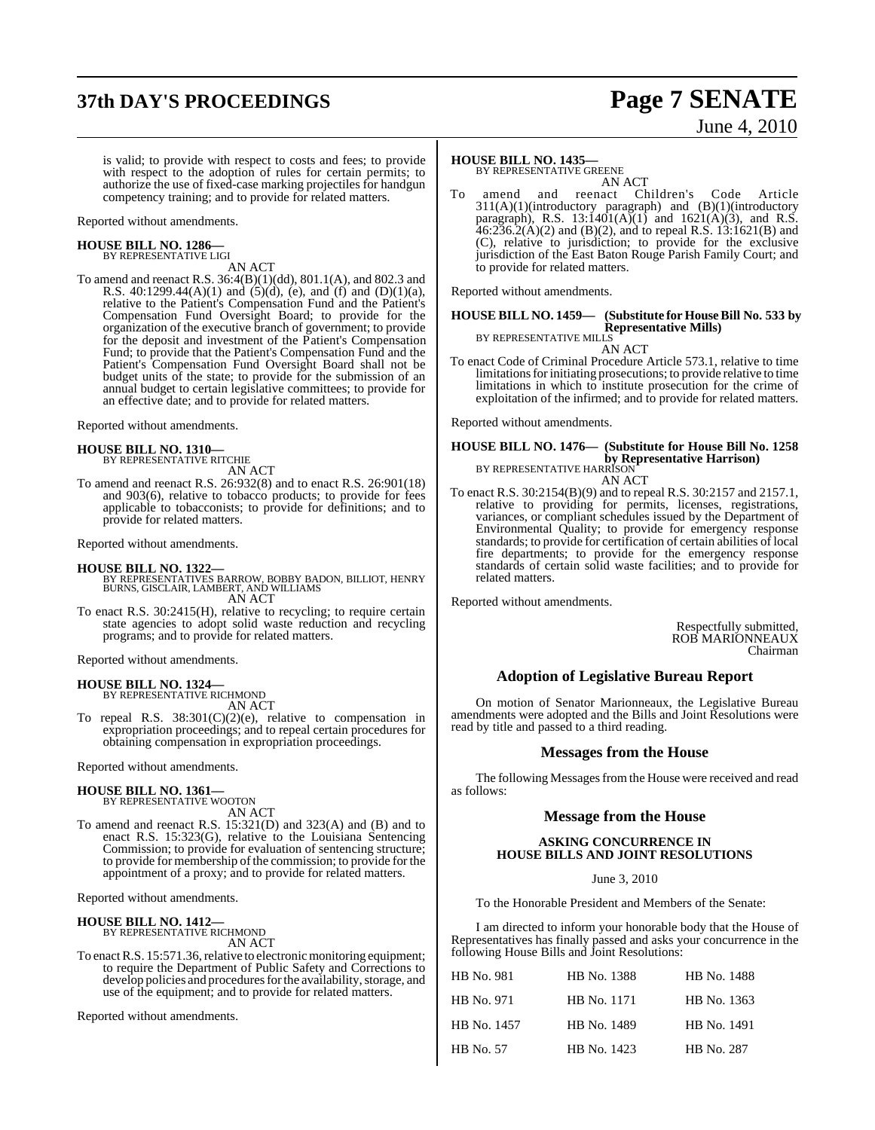# **37th DAY'S PROCEEDINGS Page 7 SENATE**

# June 4, 2010

is valid; to provide with respect to costs and fees; to provide with respect to the adoption of rules for certain permits; to authorize the use of fixed-case marking projectiles for handgun competency training; and to provide for related matters.

Reported without amendments.

#### **HOUSE BILL NO. 1286—** BY REPRESENTATIVE LIGI

AN ACT

To amend and reenact R.S. 36:4(B)(1)(dd), 801.1(A), and 802.3 and R.S.  $40:1299.44(A)(1)$  and  $(5)(d)$ , (e), and (f) and  $(D)(1)(a)$ , relative to the Patient's Compensation Fund and the Patient's Compensation Fund Oversight Board; to provide for the organization of the executive branch of government; to provide for the deposit and investment of the Patient's Compensation Fund; to provide that the Patient's Compensation Fund and the Patient's Compensation Fund Oversight Board shall not be budget units of the state; to provide for the submission of an annual budget to certain legislative committees; to provide for an effective date; and to provide for related matters.

Reported without amendments.

## **HOUSE BILL NO. 1310—** BY REPRESENTATIVE RITCHIE

AN ACT

To amend and reenact R.S. 26:932(8) and to enact R.S. 26:901(18) and 903(6), relative to tobacco products; to provide for fees applicable to tobacconists; to provide for definitions; and to provide for related matters.

Reported without amendments.

#### **HOUSE BILL NO. 1322—**

- BY REPRESENTATIVES BARROW, BOBBY BADON, BILLIOT, HENRY BURNS, GISCLAIR, LAMBERT, AND WILLIAMS AN ACT
- To enact R.S. 30:2415(H), relative to recycling; to require certain state agencies to adopt solid waste reduction and recycling programs; and to provide for related matters.

Reported without amendments.

**HOUSE BILL NO. 1324—** BY REPRESENTATIVE RICHMOND AN ACT

To repeal R.S. 38:301(C)(2)(e), relative to compensation in expropriation proceedings; and to repeal certain procedures for obtaining compensation in expropriation proceedings.

Reported without amendments.

#### **HOUSE BILL NO. 1361—**

BY REPRESENTATIVE WOOTON AN ACT

To amend and reenact R.S. 15:321(D) and 323(A) and (B) and to enact R.S. 15:323(G), relative to the Louisiana Sentencing Commission; to provide for evaluation of sentencing structure; to provide for membership of the commission; to provide for the appointment of a proxy; and to provide for related matters.

Reported without amendments.

#### **HOUSE BILL NO. 1412—**

BY REPRESENTATIVE RICHMOND

AN ACT To enact R.S. 15:571.36, relative to electronic monitoring equipment; to require the Department of Public Safety and Corrections to develop policies and procedures for the availability, storage, and use of the equipment; and to provide for related matters.

Reported without amendments.

#### **HOUSE BILL NO. 1435—**

BY REPRESENTATIVE GREENE AN ACT

To amend and reenact Children's Code Article 311(A)(1)(introductory paragraph) and (B)(1)(introductory paragraph), R.S. 13:1401(A)(1) and 1621(A)(3), and R.S. 46:236.2(A)(2) and (B)(2), and to repeal R.S. 13:1621(B) and (C), relative to jurisdiction; to provide for the exclusive jurisdiction of the East Baton Rouge Parish Family Court; and to provide for related matters.

Reported without amendments.

#### **HOUSE BILL NO. 1459— (Substitute for HouseBill No. 533 by Representative Mills)** BY REPRESENTATIVE MILLS

AN ACT

To enact Code of Criminal Procedure Article 573.1, relative to time limitations for initiating prosecutions; to provide relative to time limitations in which to institute prosecution for the crime of exploitation of the infirmed; and to provide for related matters.

Reported without amendments.

#### **HOUSE BILL NO. 1476— (Substitute for House Bill No. 1258 by Representative Harrison)** BY REPRESENTATIVE HARRISON AN ACT

To enact R.S. 30:2154(B)(9) and to repeal R.S. 30:2157 and 2157.1, relative to providing for permits, licenses, registrations, variances, or compliant schedules issued by the Department of Environmental Quality; to provide for emergency response standards; to provide for certification of certain abilities of local fire departments; to provide for the emergency response standards of certain solid waste facilities; and to provide for related matters.

Reported without amendments.

Respectfully submitted, ROB MARIONNEAUX Chairman

## **Adoption of Legislative Bureau Report**

On motion of Senator Marionneaux, the Legislative Bureau amendments were adopted and the Bills and Joint Resolutions were read by title and passed to a third reading.

#### **Messages from the House**

The following Messages from the House were received and read as follows:

#### **Message from the House**

#### **ASKING CONCURRENCE IN HOUSE BILLS AND JOINT RESOLUTIONS**

June 3, 2010

To the Honorable President and Members of the Senate:

I am directed to inform your honorable body that the House of Representatives has finally passed and asks your concurrence in the following House Bills and Joint Resolutions:

| HB No. 981  | HB No. 1388 | HB No. 1488 |
|-------------|-------------|-------------|
| HB No. 971  | HB No. 1171 | HB No. 1363 |
| HB No. 1457 | HB No. 1489 | HB No. 1491 |
| HB No. 57   | HB No. 1423 | HB No. 287  |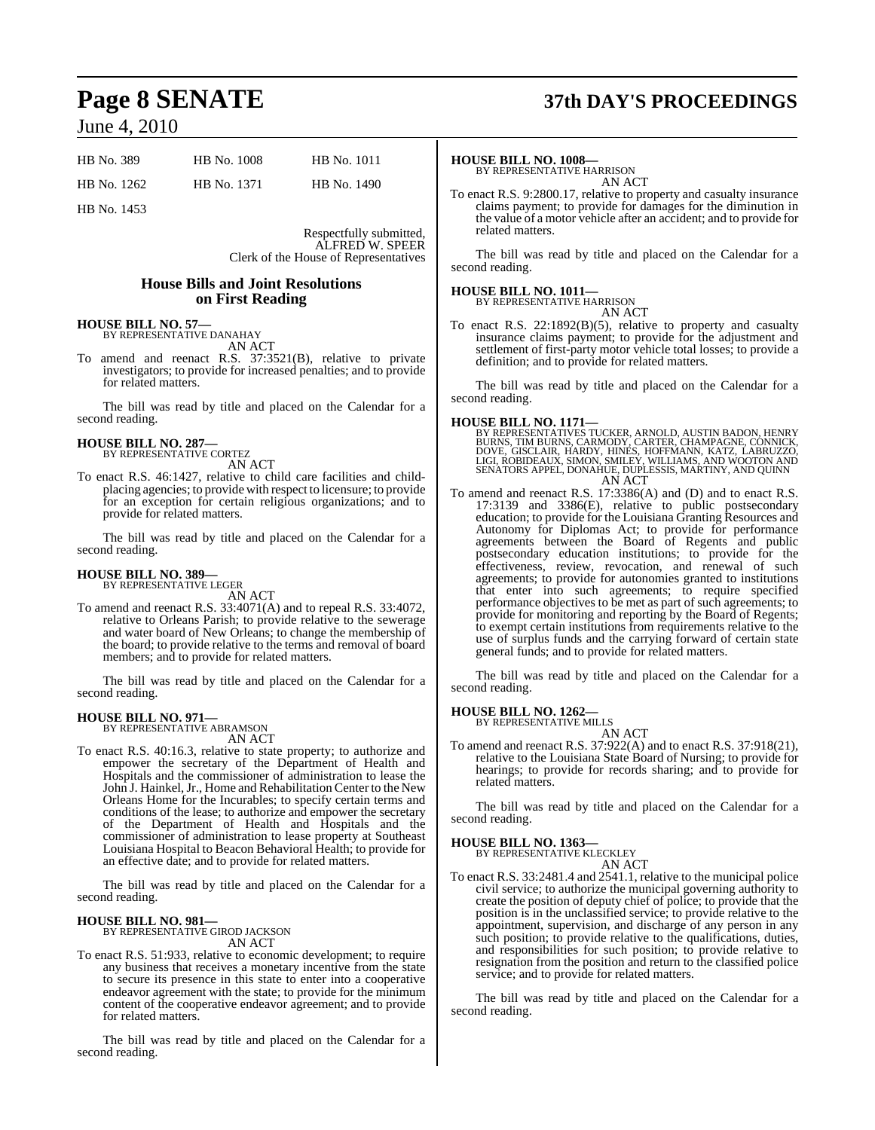| HB No. 389  | HB No. 1008 | HB No. 1011 |
|-------------|-------------|-------------|
| HB No. 1262 | HB No. 1371 | HB No. 1490 |

HB No. 1453

Respectfully submitted, ALFRED W. SPEER Clerk of the House of Representatives

#### **House Bills and Joint Resolutions on First Reading**

## **HOUSE BILL NO. 57—** BY REPRESENTATIVE DANAHAY AN ACT

To amend and reenact R.S. 37:3521(B), relative to private investigators; to provide for increased penalties; and to provide for related matters.

The bill was read by title and placed on the Calendar for a second reading.

## **HOUSE BILL NO. 287—** BY REPRESENTATIVE CORTEZ

AN ACT

To enact R.S. 46:1427, relative to child care facilities and childplacing agencies; to provide with respect to licensure; to provide for an exception for certain religious organizations; and to provide for related matters.

The bill was read by title and placed on the Calendar for a second reading.

# **HOUSE BILL NO. 389—** BY REPRESENTATIVE LEGER

AN ACT

To amend and reenact R.S. 33:4071(A) and to repeal R.S. 33:4072, relative to Orleans Parish; to provide relative to the sewerage and water board of New Orleans; to change the membership of the board; to provide relative to the terms and removal of board members; and to provide for related matters.

The bill was read by title and placed on the Calendar for a second reading.

## **HOUSE BILL NO. 971—** BY REPRESENTATIVE ABRAMSON

AN ACT

To enact R.S. 40:16.3, relative to state property; to authorize and empower the secretary of the Department of Health and Hospitals and the commissioner of administration to lease the John J. Hainkel, Jr., Home and Rehabilitation Center to the New Orleans Home for the Incurables; to specify certain terms and conditions of the lease; to authorize and empower the secretary of the Department of Health and Hospitals and the commissioner of administration to lease property at Southeast Louisiana Hospital to Beacon Behavioral Health; to provide for an effective date; and to provide for related matters.

The bill was read by title and placed on the Calendar for a second reading.

#### **HOUSE BILL NO. 981—**

BY REPRESENTATIVE GIROD JACKSON AN ACT

To enact R.S. 51:933, relative to economic development; to require any business that receives a monetary incentive from the state to secure its presence in this state to enter into a cooperative endeavor agreement with the state; to provide for the minimum content of the cooperative endeavor agreement; and to provide for related matters.

The bill was read by title and placed on the Calendar for a second reading.

# **Page 8 SENATE 37th DAY'S PROCEEDINGS**

#### **HOUSE BILL NO. 1008—**

BY REPRESENTATIVE HARRISON AN ACT

To enact R.S. 9:2800.17, relative to property and casualty insurance claims payment; to provide for damages for the diminution in the value of a motor vehicle after an accident; and to provide for related matters.

The bill was read by title and placed on the Calendar for a second reading.

## **HOUSE BILL NO. 1011—** BY REPRESENTATIVE HARRISON

AN ACT

To enact R.S. 22:1892(B)(5), relative to property and casualty insurance claims payment; to provide for the adjustment and settlement of first-party motor vehicle total losses; to provide a definition; and to provide for related matters.

The bill was read by title and placed on the Calendar for a second reading.

#### **HOUSE BILL NO. 1171—**

BY REPRESENTATIVES TUCKER, ARNOLD, AUSTIN BADON, HENRY<br>BURNS, TIM BURNS, CARMODY, CARTER, CHAMPAGNE, CONNICK,<br>DOVE, GISCLAIR, HARDY, HINES, HOFFMANN, KATZ, LABRUZZO,<br>LIGI, ROBIDEAUX, SIMON, SMILEY, WILLIAMS, AND WOOTON AND AN ACT

To amend and reenact R.S. 17:3386(A) and (D) and to enact R.S. 17:3139 and 3386(E), relative to public postsecondary education; to provide for the Louisiana Granting Resources and Autonomy for Diplomas Act; to provide for performance agreements between the Board of Regents and public postsecondary education institutions; to provide for the effectiveness, review, revocation, and renewal of such agreements; to provide for autonomies granted to institutions that enter into such agreements; to require specified performance objectives to be met as part of such agreements; to provide for monitoring and reporting by the Board of Regents; to exempt certain institutions from requirements relative to the use of surplus funds and the carrying forward of certain state general funds; and to provide for related matters.

The bill was read by title and placed on the Calendar for a second reading.

#### **HOUSE BILL NO. 1262—**

BY REPRESENTATIVE MILLS

AN ACT To amend and reenact R.S. 37:922(A) and to enact R.S. 37:918(21), relative to the Louisiana State Board of Nursing; to provide for hearings; to provide for records sharing; and to provide for related matters.

The bill was read by title and placed on the Calendar for a second reading.

#### **HOUSE BILL NO. 1363—**

BY REPRESENTATIVE KLECKLEY AN ACT

To enact R.S. 33:2481.4 and 2541.1, relative to the municipal police civil service; to authorize the municipal governing authority to create the position of deputy chief of police; to provide that the position is in the unclassified service; to provide relative to the appointment, supervision, and discharge of any person in any such position; to provide relative to the qualifications, duties, and responsibilities for such position; to provide relative to resignation from the position and return to the classified police service; and to provide for related matters.

The bill was read by title and placed on the Calendar for a second reading.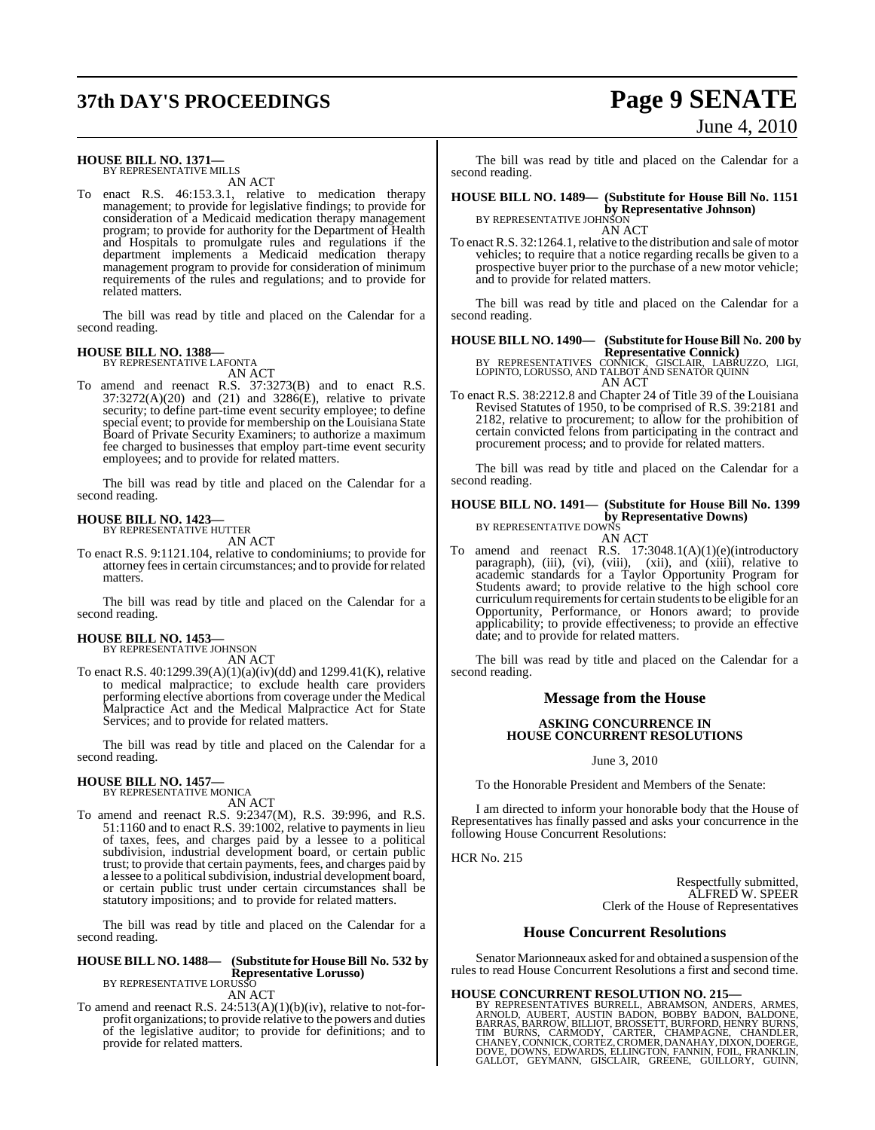# **37th DAY'S PROCEEDINGS Page 9 SENATE**

# June 4, 2010

#### **HOUSE BILL NO. 1371—** BY REPRESENTATIVE MILLS

AN ACT

To enact R.S. 46:153.3.1, relative to medication therapy management; to provide for legislative findings; to provide for consideration of a Medicaid medication therapy management program; to provide for authority for the Department of Health and Hospitals to promulgate rules and regulations if the department implements a Medicaid medication therapy management program to provide for consideration of minimum requirements of the rules and regulations; and to provide for related matters.

The bill was read by title and placed on the Calendar for a second reading.

## **HOUSE BILL NO. 1388—** BY REPRESENTATIVE LAFONTA

AN ACT

To amend and reenact R.S. 37:3273(B) and to enact R.S. 37:3272(A)(20) and (21) and 3286(E), relative to private security; to define part-time event security employee; to define special event; to provide for membership on the Louisiana State Board of Private Security Examiners; to authorize a maximum fee charged to businesses that employ part-time event security employees; and to provide for related matters.

The bill was read by title and placed on the Calendar for a second reading.

#### **HOUSE BILL NO. 1423—** BY REPRESENTATIVE HUTTER

AN ACT

To enact R.S. 9:1121.104, relative to condominiums; to provide for attorney feesin certain circumstances; and to provide for related matters.

The bill was read by title and placed on the Calendar for a second reading.

## **HOUSE BILL NO. 1453—** BY REPRESENTATIVE JOHNSON

AN ACT

To enact R.S.  $40:1299.39(A)(1)(a)(iv)(dd)$  and  $1299.41(K)$ , relative to medical malpractice; to exclude health care providers performing elective abortions from coverage under the Medical Malpractice Act and the Medical Malpractice Act for State Services; and to provide for related matters.

The bill was read by title and placed on the Calendar for a second reading.

#### **HOUSE BILL NO. 1457—**

BY REPRESENTATIVE MONICA AN ACT

To amend and reenact R.S. 9:2347(M), R.S. 39:996, and R.S. 51:1160 and to enact R.S. 39:1002, relative to payments in lieu of taxes, fees, and charges paid by a lessee to a political subdivision, industrial development board, or certain public trust; to provide that certain payments, fees, and charges paid by a lessee to a political subdivision, industrial development board, or certain public trust under certain circumstances shall be statutory impositions; and to provide for related matters.

The bill was read by title and placed on the Calendar for a second reading.

## **HOUSE BILL NO. 1488— (Substitute for House Bill No. 532 by Representative Lorusso)** BY REPRESENTATIVE LORUSSO

AN ACT

To amend and reenact R.S. 24:513(A)(1)(b)(iv), relative to not-forprofit organizations; to provide relative to the powers and duties of the legislative auditor; to provide for definitions; and to provide for related matters.

The bill was read by title and placed on the Calendar for a second reading.

**HOUSE BILL NO. 1489— (Substitute for House Bill No. 1151 by Representative Johnson)**<br>BY REPRESENTATIVE JOHNSON

AN ACT

To enact R.S. 32:1264.1, relative to the distribution and sale of motor vehicles; to require that a notice regarding recalls be given to a prospective buyer prior to the purchase of a new motor vehicle; and to provide for related matters.

The bill was read by title and placed on the Calendar for a second reading.

## **HOUSE BILL NO. 1490— (Substitute for HouseBill No. 200 by**

**Representative Connick)**<br>BY REPRESENTATIVES CONNICK, GISCLAIR, LABRUZZO, LIGI,<br>LOPINTO, LORUSSO, AND TALBOT AND SENATOR QUINN AN ACT

To enact R.S. 38:2212.8 and Chapter 24 of Title 39 of the Louisiana Revised Statutes of 1950, to be comprised of R.S. 39:2181 and 2182, relative to procurement; to allow for the prohibition of certain convicted felons from participating in the contract and procurement process; and to provide for related matters.

The bill was read by title and placed on the Calendar for a second reading.

#### **HOUSE BILL NO. 1491— (Substitute for House Bill No. 1399 by Representative Downs)**

BY REPRESENTATIVE DOWNS AN ACT

To amend and reenact R.S. 17:3048.1(A)(1)(e)(introductory paragraph), (iii), (vi), (viii), (xii), and (xiii), relative to academic standards for a Taylor Opportunity Program for Students award; to provide relative to the high school core curriculum requirements for certain students to be eligible for an Opportunity, Performance, or Honors award; to provide applicability; to provide effectiveness; to provide an effective date; and to provide for related matters.

The bill was read by title and placed on the Calendar for a second reading.

#### **Message from the House**

#### **ASKING CONCURRENCE IN HOUSE CONCURRENT RESOLUTIONS**

June 3, 2010

To the Honorable President and Members of the Senate:

I am directed to inform your honorable body that the House of Representatives has finally passed and asks your concurrence in the following House Concurrent Resolutions:

HCR No. 215

Respectfully submitted, ALFRED W. SPEER Clerk of the House of Representatives

#### **House Concurrent Resolutions**

Senator Marionneaux asked for and obtained a suspension of the rules to read House Concurrent Resolutions a first and second time.

#### **HOUSE CONCURRENT RESOLUTION NO. 215—**

BY REPRESENTATIVES BURRELL, ABRAMSON, ANDERS, ARMES,<br>ARNOLD, AUBERT, AUSTIN BADON, BOBBY BADON, BALDONE,<br>BARRAS, BARROW, BILLIOT, BROSSETT, BURFORD, HENRY BURNS,<br>TIM BURNS, CARMODY, CARTER, CHAMPAGNE, CHANDLER,<br>CHANEY, CON GALLOT, GEYMANN, GISCLAIR, GREENE, GUILLORY, GUINN,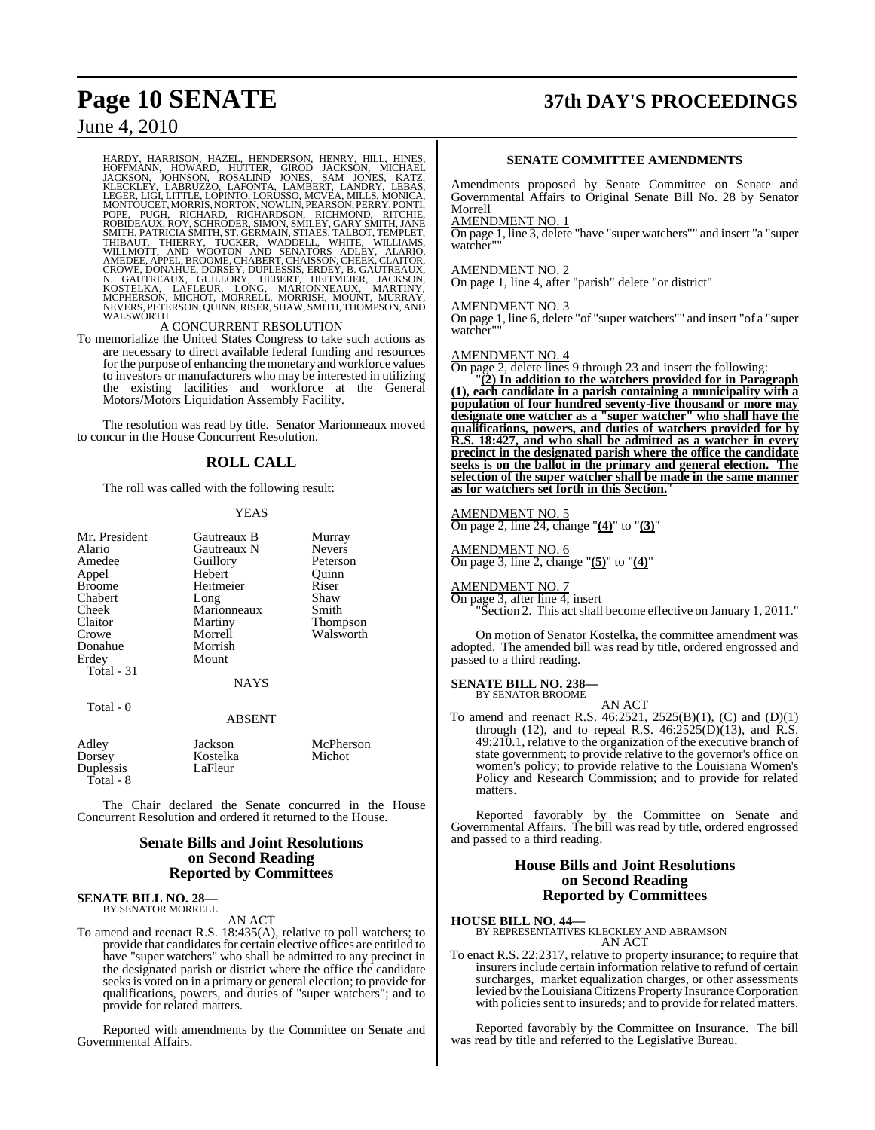# **Page 10 SENATE 37th DAY'S PROCEEDINGS**

## June 4, 2010

HARDY, HARRISON, HAZEL, HENDERSON, HENRY, HILL, HINES, HOFFMANN, HOWARD, HUTTER, GIROD JACKSON, MICHAEL<br>JACKSON, JOHNSON, HUTTER, GIROD JACKSON, MICHAEL<br>LEGERLEY, LABRUZZO, LAFONTA, LAMBERT, LANDRY, LEBAS, KATZ,<br>LEGER, LIG

To memorialize the United States Congress to take such actions as are necessary to direct available federal funding and resources for the purpose of enhancing the monetary and workforce values to investors or manufacturers who may be interested in utilizing the existing facilities and workforce at the General Motors/Motors Liquidation Assembly Facility.

The resolution was read by title. Senator Marionneaux moved to concur in the House Concurrent Resolution.

#### **ROLL CALL**

The roll was called with the following result:

#### YEAS

| Mr. President | Gautreaux B | Murray        |
|---------------|-------------|---------------|
| Alario        | Gautreaux N | <b>Nevers</b> |
| Amedee        | Guillory    | Peterson      |
| Appel         | Hebert      | Ouinn         |
| <b>Broome</b> | Heitmeier   | Riser         |
| Chabert       | Long        | Shaw          |
| Cheek         | Marionneaux | Smith         |
| Claitor       | Martiny     | Thompson      |
| Crowe         | Morrell     | Walsworth     |
| Donahue       | Morrish     |               |
| Erdey         | Mount       |               |
| Total - 31    |             |               |
|               | <b>NAYS</b> |               |
|               |             |               |

#### Total - 0

#### ABSENT

| Adley     | Jackson  | McPherson |
|-----------|----------|-----------|
| Dorsey    | Kostelka | Michot    |
| Duplessis | LaFleur  |           |
| Total - 8 |          |           |

The Chair declared the Senate concurred in the House Concurrent Resolution and ordered it returned to the House.

#### **Senate Bills and Joint Resolutions on Second Reading Reported by Committees**

#### **SENATE BILL NO. 28—** BY SENATOR MORRELL

AN ACT

To amend and reenact R.S. 18:435(A), relative to poll watchers; to provide that candidates for certain elective offices are entitled to have "super watchers" who shall be admitted to any precinct in the designated parish or district where the office the candidate seeks is voted on in a primary or general election; to provide for qualifications, powers, and duties of "super watchers"; and to provide for related matters.

Reported with amendments by the Committee on Senate and Governmental Affairs.

#### **SENATE COMMITTEE AMENDMENTS**

Amendments proposed by Senate Committee on Senate and Governmental Affairs to Original Senate Bill No. 28 by Senator Morrell

#### AMENDMENT NO. 1

On page 1, line 3, delete "have "super watchers"" and insert "a "super watcher""

#### AMENDMENT NO. 2

On page 1, line 4, after "parish" delete "or district"

#### AMENDMENT NO. 3

On page 1, line 6, delete "of "super watchers"" and insert "of a "super watcher""

#### AMENDMENT NO. 4

On page 2, delete lines 9 through 23 and insert the following:

"**(2) In addition to the watchers provided for in Paragraph (1), each candidate in a parish containing a municipality with a population of four hundred seventy-five thousand or more may designate one watcher as a "super watcher" who shall have the qualifications, powers, and duties of watchers provided for by R.S. 18:427, and who shall be admitted as a watcher in every precinct in the designated parish where the office the candidate seeks is on the ballot in the primary and general election. The selection of the super watcher shall be made in the same manner as for watchers set forth in this Section.**"

## AMENDMENT NO. 5

On page 2, line 24, change "**(4)**" to "**(3)**"

AMENDMENT NO. 6 On page 3, line 2, change "**(5)**" to "**(4)**"

AMENDMENT NO. 7 On page 3, after line 4, insert "Section 2. This act shall become effective on January 1, 2011."

On motion of Senator Kostelka, the committee amendment was adopted. The amended bill was read by title, ordered engrossed and passed to a third reading.

#### **SENATE BILL NO. 238—**

BY SENATOR BROOME AN ACT

To amend and reenact R.S. 46:2521, 2525(B)(1), (C) and (D)(1) through (12), and to repeal R.S.  $46:2525(D)(13)$ , and R.S. 49:210.1, relative to the organization of the executive branch of state government; to provide relative to the governor's office on women's policy; to provide relative to the Louisiana Women's Policy and Research Commission; and to provide for related matters.

Reported favorably by the Committee on Senate and Governmental Affairs. The bill was read by title, ordered engrossed and passed to a third reading.

#### **House Bills and Joint Resolutions on Second Reading Reported by Committees**

**HOUSE BILL NO. 44—** BY REPRESENTATIVES KLECKLEY AND ABRAMSON AN ACT

To enact R.S. 22:2317, relative to property insurance; to require that insurers include certain information relative to refund of certain surcharges, market equalization charges, or other assessments levied by theLouisiana Citizens Property Insurance Corporation with policies sent to insureds; and to provide for related matters.

Reported favorably by the Committee on Insurance. The bill was read by title and referred to the Legislative Bureau.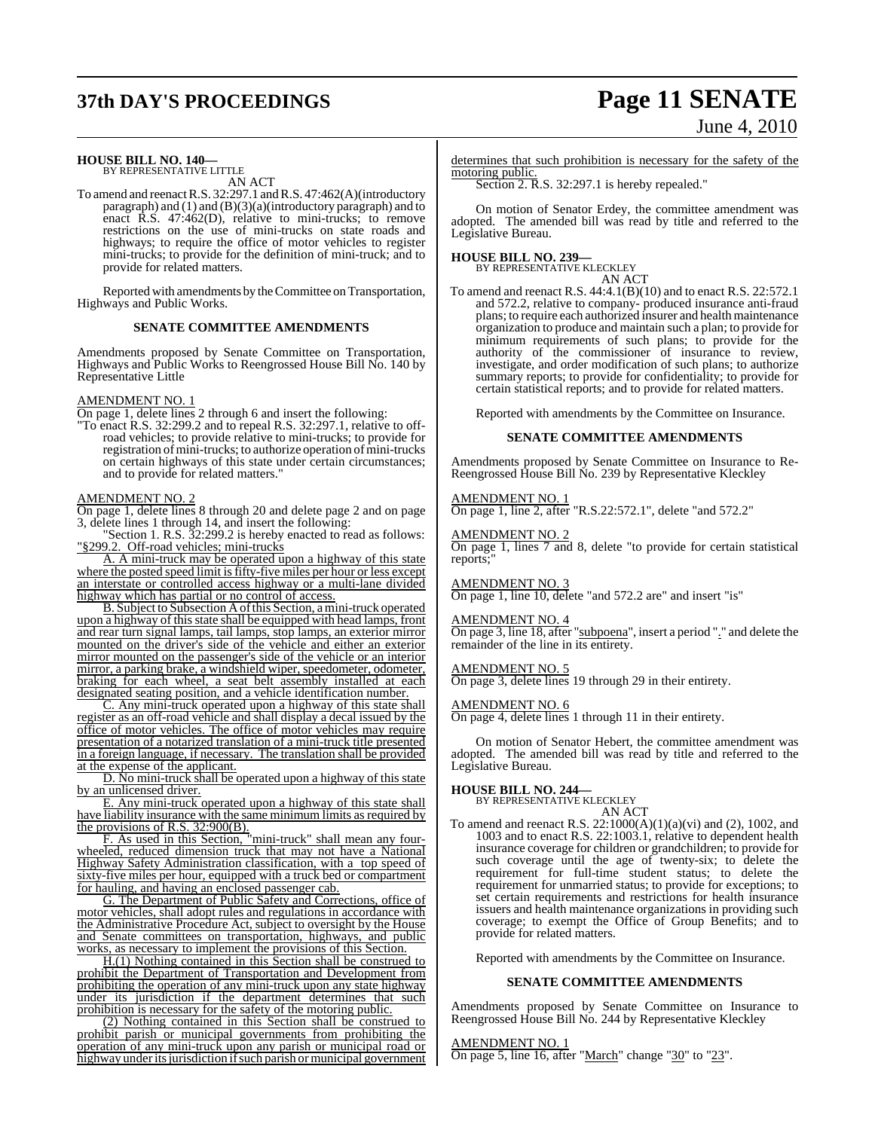# **37th DAY'S PROCEEDINGS Page 11 SENATE**

# June 4, 2010

## **HOUSE BILL NO. 140—** BY REPRESENTATIVE LITTLE

AN ACT

To amend and reenactR.S. 32:297.1 and R.S. 47:462(A)(introductory paragraph) and  $(1)$  and  $(B)(3)(a)$ (introductory paragraph) and to enact R.S. 47:462(D), relative to mini-trucks; to remove restrictions on the use of mini-trucks on state roads and highways; to require the office of motor vehicles to register mini-trucks; to provide for the definition of mini-truck; and to provide for related matters.

Reported with amendments by the Committee on Transportation, Highways and Public Works.

#### **SENATE COMMITTEE AMENDMENTS**

Amendments proposed by Senate Committee on Transportation, Highways and Public Works to Reengrossed House Bill No. 140 by Representative Little

#### AMENDMENT NO. 1

On page 1, delete lines 2 through 6 and insert the following:

"To enact R.S. 32:299.2 and to repeal R.S. 32:297.1, relative to offroad vehicles; to provide relative to mini-trucks; to provide for registration of mini-trucks; to authorize operation of mini-trucks on certain highways of this state under certain circumstances; and to provide for related matters."

## AMENDMENT NO. 2

On page 1, delete lines 8 through 20 and delete page 2 and on page 3, delete lines 1 through 14, and insert the following:

"Section 1. R.S. 32:299.2 is hereby enacted to read as follows: "§299.2. Off-road vehicles; mini-trucks

A. A mini-truck may be operated upon a highway of this state where the posted speed limit is fifty-five miles per hour or less except an interstate or controlled access highway or a multi-lane divided highway which has partial or no control of access.

B. Subject to Subsection A of this Section, a mini-truck operated upon a highway of this state shall be equipped with head lamps, front and rear turn signal lamps, tail lamps, stop lamps, an exterior mirror mounted on the driver's side of the vehicle and either an exterior mirror mounted on the passenger's side of the vehicle or an interior mirror, a parking brake, a windshield wiper, speedometer, odometer, braking for each wheel, a seat belt assembly installed at each designated seating position, and a vehicle identification number.

C. Any mini-truck operated upon a highway of this state shall register as an off-road vehicle and shall display a decal issued by the office of motor vehicles. The office of motor vehicles may require presentation of a notarized translation of a mini-truck title presented in a foreign language, if necessary. The translation shall be provided at the expense of the applicant.

D. No mini-truck shall be operated upon a highway of this state by an unlicensed driver.

E. Any mini-truck operated upon a highway of this state shall have liability insurance with the same minimum limits as required by the provisions of R.S.  $32:900(B)$ .

F. As used in this Section, "mini-truck" shall mean any fourwheeled, reduced dimension truck that may not have a National Highway Safety Administration classification, with a top speed of sixty-five miles per hour, equipped with a truck bed or compartment for hauling, and having an enclosed passenger cab.

G. The Department of Public Safety and Corrections, office of motor vehicles, shall adopt rules and regulations in accordance with the Administrative Procedure Act, subject to oversight by the House and Senate committees on transportation, highways, and public works, as necessary to implement the provisions of this Section.

H.(1) Nothing contained in this Section shall be construed to prohibit the Department of Transportation and Development from prohibiting the operation of any mini-truck upon any state highway under its jurisdiction if the department determines that such prohibition is necessary for the safety of the motoring public.

(2) Nothing contained in this Section shall be construed to prohibit parish or municipal governments from prohibiting the operation of any mini-truck upon any parish or municipal road or highway under its jurisdiction if such parish or municipal government

determines that such prohibition is necessary for the safety of the motoring public.

Section 2. R.S. 32:297.1 is hereby repealed."

On motion of Senator Erdey, the committee amendment was adopted. The amended bill was read by title and referred to the Legislative Bureau.

**HOUSE BILL NO. 239—** BY REPRESENTATIVE KLECKLEY AN ACT

To amend and reenact R.S. 44:4.1(B)(10) and to enact R.S. 22:572.1 and 572.2, relative to company- produced insurance anti-fraud plans; to require each authorized insurer and health maintenance organization to produce and maintain such a plan; to provide for minimum requirements of such plans; to provide for the authority of the commissioner of insurance to review, investigate, and order modification of such plans; to authorize summary reports; to provide for confidentiality; to provide for certain statistical reports; and to provide for related matters.

Reported with amendments by the Committee on Insurance.

#### **SENATE COMMITTEE AMENDMENTS**

Amendments proposed by Senate Committee on Insurance to Re-Reengrossed House Bill No. 239 by Representative Kleckley

#### AMENDMENT NO. 1

On page 1, line 2, after "R.S.22:572.1", delete "and 572.2"

#### AMENDMENT NO. 2

On page 1, lines 7 and 8, delete "to provide for certain statistical reports;

AMENDMENT NO. 3

On page 1, line 10, delete "and 572.2 are" and insert "is"

#### AMENDMENT NO. 4

On page 3, line 18, after "subpoena", insert a period "." and delete the remainder of the line in its entirety.

#### AMENDMENT NO. 5

On page 3, delete lines 19 through 29 in their entirety.

#### AMENDMENT NO. 6

On page 4, delete lines 1 through 11 in their entirety.

On motion of Senator Hebert, the committee amendment was adopted. The amended bill was read by title and referred to the Legislative Bureau.

## **HOUSE BILL NO. 244—** BY REPRESENTATIVE KLECKLEY

AN ACT

To amend and reenact R.S. 22:1000(A)(1)(a)(vi) and (2), 1002, and 1003 and to enact R.S. 22:1003.1, relative to dependent health insurance coverage for children or grandchildren; to provide for such coverage until the age of twenty-six; to delete the requirement for full-time student status; to delete the requirement for unmarried status; to provide for exceptions; to set certain requirements and restrictions for health insurance issuers and health maintenance organizations in providing such coverage; to exempt the Office of Group Benefits; and to provide for related matters.

Reported with amendments by the Committee on Insurance.

#### **SENATE COMMITTEE AMENDMENTS**

Amendments proposed by Senate Committee on Insurance to Reengrossed House Bill No. 244 by Representative Kleckley

AMENDMENT NO. 1 On page 5, line 16, after "March" change "30" to "23".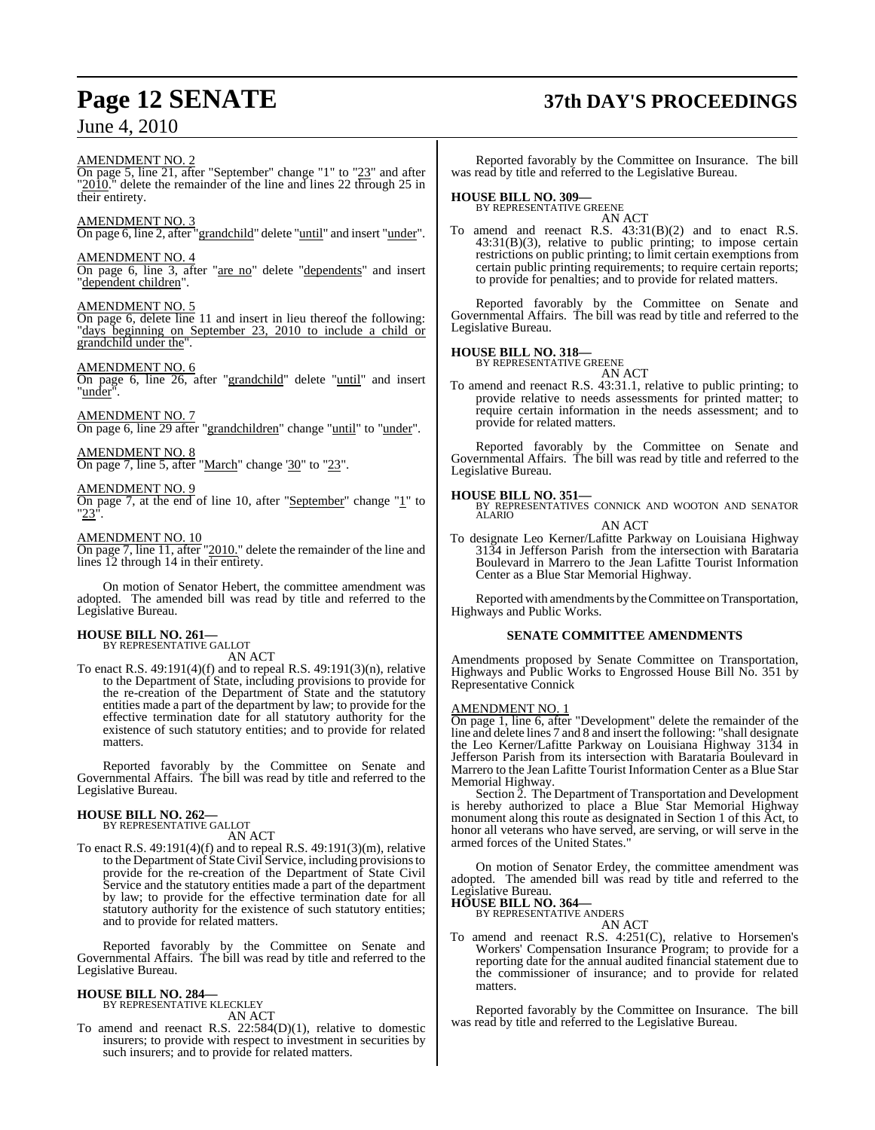#### AMENDMENT NO. 2

On page 5, line 21, after "September" change "1" to "23" and after " $2010$ ." delete the remainder of the line and lines 22 through 25 in their entirety.

#### AMENDMENT NO. 3

On page 6, line 2, after "grandchild" delete "until" and insert "under".

#### AMENDMENT NO. 4

On page 6, line 3, after "are no" delete "dependents" and insert "dependent children".

#### AMENDMENT NO. 5

On page 6, delete line 11 and insert in lieu thereof the following: "days beginning on September 23, 2010 to include a child or grandchild under the".

#### AMENDMENT NO. 6

On page 6, line 26, after "grandchild" delete "until" and insert "under".

AMENDMENT NO. 7

On page 6, line 29 after "grandchildren" change "until" to "under".

#### AMENDMENT NO. 8

On page 7, line 5, after "March" change '30" to "23".

#### AMENDMENT NO. 9

On page 7, at the end of line 10, after "September" change " $\underline{1}$ " to  $23$ ".

#### AMENDMENT NO. 10

On page 7, line 11, after "2010." delete the remainder of the line and lines 12 through 14 in their entirety.

On motion of Senator Hebert, the committee amendment was adopted. The amended bill was read by title and referred to the Legislative Bureau.

# **HOUSE BILL NO. 261—** BY REPRESENTATIVE GALLOT

AN ACT

To enact R.S. 49:191(4)(f) and to repeal R.S. 49:191(3)(n), relative to the Department of State, including provisions to provide for the re-creation of the Department of State and the statutory entities made a part of the department by law; to provide for the effective termination date for all statutory authority for the existence of such statutory entities; and to provide for related matters.

Reported favorably by the Committee on Senate and Governmental Affairs. The bill was read by title and referred to the Legislative Bureau.

## **HOUSE BILL NO. 262—** BY REPRESENTATIVE GALLOT

AN ACT

To enact R.S. 49:191(4)(f) and to repeal R.S. 49:191(3)(m), relative to the Department of State Civil Service, including provisionsto provide for the re-creation of the Department of State Civil Service and the statutory entities made a part of the department by law; to provide for the effective termination date for all statutory authority for the existence of such statutory entities; and to provide for related matters.

Reported favorably by the Committee on Senate and Governmental Affairs. The bill was read by title and referred to the Legislative Bureau.

#### **HOUSE BILL NO. 284—**

BY REPRESENTATIVE KLECKLEY AN ACT

To amend and reenact R.S. 22:584(D)(1), relative to domestic insurers; to provide with respect to investment in securities by such insurers; and to provide for related matters.

# **Page 12 SENATE 37th DAY'S PROCEEDINGS**

Reported favorably by the Committee on Insurance. The bill was read by title and referred to the Legislative Bureau.

## **HOUSE BILL NO. 309—** BY REPRESENTATIVE GREENE

AN ACT To amend and reenact R.S. 43:31(B)(2) and to enact R.S. 43:31(B)(3), relative to public printing; to impose certain restrictions on public printing; to limit certain exemptions from certain public printing requirements; to require certain reports; to provide for penalties; and to provide for related matters.

Reported favorably by the Committee on Senate and Governmental Affairs. The bill was read by title and referred to the Legislative Bureau.

## **HOUSE BILL NO. 318—** BY REPRESENTATIVE GREENE

AN ACT To amend and reenact R.S. 43:31.1, relative to public printing; to provide relative to needs assessments for printed matter; to require certain information in the needs assessment; and to provide for related matters.

Reported favorably by the Committee on Senate and Governmental Affairs. The bill was read by title and referred to the Legislative Bureau.

### **HOUSE BILL NO. 351—**

BY REPRESENTATIVES CONNICK AND WOOTON AND SENATOR ALARIO

AN ACT

To designate Leo Kerner/Lafitte Parkway on Louisiana Highway 3134 in Jefferson Parish from the intersection with Barataria Boulevard in Marrero to the Jean Lafitte Tourist Information Center as a Blue Star Memorial Highway.

Reported with amendments by theCommittee on Transportation, Highways and Public Works.

#### **SENATE COMMITTEE AMENDMENTS**

Amendments proposed by Senate Committee on Transportation, Highways and Public Works to Engrossed House Bill No. 351 by Representative Connick

#### AMENDMENT NO. 1

On page 1, line 6, after "Development" delete the remainder of the line and delete lines 7 and 8 and insert the following: "shall designate the Leo Kerner/Lafitte Parkway on Louisiana Highway 3134 in Jefferson Parish from its intersection with Barataria Boulevard in Marrero to the Jean Lafitte Tourist Information Center as a Blue Star Memorial Highway.

Section 2. The Department of Transportation and Development is hereby authorized to place a Blue Star Memorial Highway monument along this route as designated in Section 1 of this Act, to honor all veterans who have served, are serving, or will serve in the armed forces of the United States."

On motion of Senator Erdey, the committee amendment was adopted. The amended bill was read by title and referred to the Legislative Bureau.

**HOUSE BILL NO. 364—**

BY REPRESENTATIVE ANDERS AN ACT

To amend and reenact R.S. 4:251(C), relative to Horsemen's Workers' Compensation Insurance Program; to provide for a reporting date for the annual audited financial statement due to the commissioner of insurance; and to provide for related matters.

Reported favorably by the Committee on Insurance. The bill was read by title and referred to the Legislative Bureau.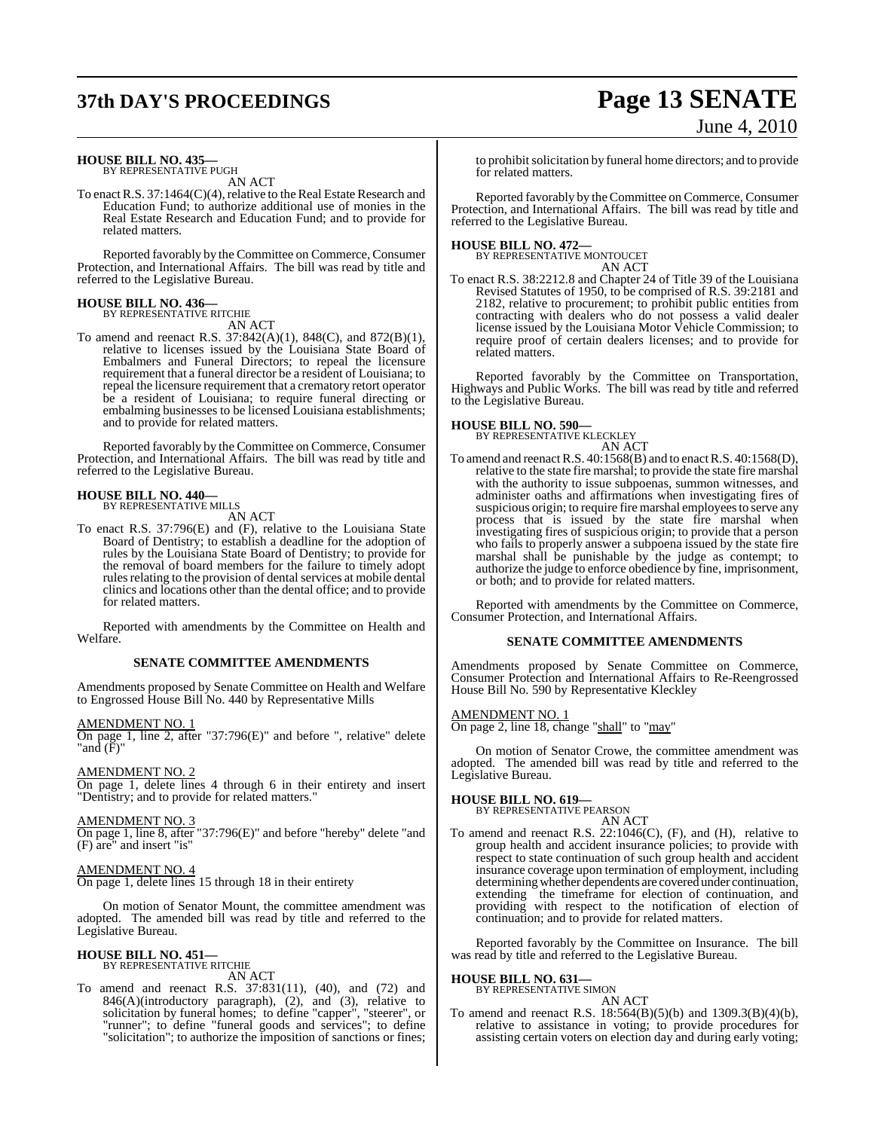# **37th DAY'S PROCEEDINGS Page 13 SENATE**

# June 4, 2010

#### **HOUSE BILL NO. 435—** BY REPRESENTATIVE PUGH

AN ACT

To enact R.S. 37:1464(C)(4), relative to the Real Estate Research and Education Fund; to authorize additional use of monies in the Real Estate Research and Education Fund; and to provide for related matters.

Reported favorably by the Committee on Commerce, Consumer Protection, and International Affairs. The bill was read by title and referred to the Legislative Bureau.

## **HOUSE BILL NO. 436—**

BY REPRESENTATIVE RITCHIE AN ACT

To amend and reenact R.S. 37:842(A)(1), 848(C), and 872(B)(1), relative to licenses issued by the Louisiana State Board of Embalmers and Funeral Directors; to repeal the licensure requirement that a funeral director be a resident of Louisiana; to repeal the licensure requirement that a crematory retort operator be a resident of Louisiana; to require funeral directing or embalming businesses to be licensed Louisiana establishments; and to provide for related matters.

Reported favorably by the Committee on Commerce, Consumer Protection, and International Affairs. The bill was read by title and referred to the Legislative Bureau.

#### **HOUSE BILL NO. 440—**

BY REPRESENTATIVE MILLS

AN ACT

To enact R.S. 37:796(E) and (F), relative to the Louisiana State Board of Dentistry; to establish a deadline for the adoption of rules by the Louisiana State Board of Dentistry; to provide for the removal of board members for the failure to timely adopt rules relating to the provision of dental services at mobile dental clinics and locations other than the dental office; and to provide for related matters.

Reported with amendments by the Committee on Health and Welfare.

#### **SENATE COMMITTEE AMENDMENTS**

Amendments proposed by Senate Committee on Health and Welfare to Engrossed House Bill No. 440 by Representative Mills

AMENDMENT NO. 1

On page 1, line 2, after "37:796(E)" and before ", relative" delete "and (F)"

AMENDMENT NO. 2

On page 1, delete lines 4 through 6 in their entirety and insert "Dentistry; and to provide for related matters."

#### AMENDMENT NO. 3

On page 1, line 8, after "37:796(E)" and before "hereby" delete "and (F) are" and insert "is"

#### AMENDMENT NO. 4

On page 1, delete lines 15 through 18 in their entirety

On motion of Senator Mount, the committee amendment was adopted. The amended bill was read by title and referred to the Legislative Bureau.

## **HOUSE BILL NO. 451—** BY REPRESENTATIVE RITCHIE

AN ACT

To amend and reenact R.S. 37:831(11), (40), and (72) and 846(A)(introductory paragraph), (2), and (3), relative to solicitation by funeral homes; to define "capper", "steerer", or "runner"; to define "funeral goods and services"; to define "solicitation"; to authorize the imposition of sanctions or fines;

to prohibit solicitation by funeral home directors; and to provide for related matters.

Reported favorably by the Committee on Commerce, Consumer Protection, and International Affairs. The bill was read by title and referred to the Legislative Bureau.

## **HOUSE BILL NO. 472—**

BY REPRESENTATIVE MONTOUCET AN ACT

To enact R.S. 38:2212.8 and Chapter 24 of Title 39 of the Louisiana Revised Statutes of 1950, to be comprised of R.S. 39:2181 and 2182, relative to procurement; to prohibit public entities from contracting with dealers who do not possess a valid dealer license issued by the Louisiana Motor Vehicle Commission; to require proof of certain dealers licenses; and to provide for related matters.

Reported favorably by the Committee on Transportation, Highways and Public Works. The bill was read by title and referred to the Legislative Bureau.

#### **HOUSE BILL NO. 590—**

BY REPRESENTATIVE KLECKLEY

- AN ACT
- To amend and reenact R.S. 40:1568(B) and to enact R.S. 40:1568(D), relative to the state fire marshal; to provide the state fire marshal with the authority to issue subpoenas, summon witnesses, and administer oaths and affirmations when investigating fires of suspicious origin; to require fire marshal employees to serve any process that is issued by the state fire marshal when investigating fires of suspicious origin; to provide that a person who fails to properly answer a subpoena issued by the state fire marshal shall be punishable by the judge as contempt; to authorize the judge to enforce obedience by fine, imprisonment, or both; and to provide for related matters.

Reported with amendments by the Committee on Commerce, Consumer Protection, and International Affairs.

#### **SENATE COMMITTEE AMENDMENTS**

Amendments proposed by Senate Committee on Commerce, Consumer Protection and International Affairs to Re-Reengrossed House Bill No. 590 by Representative Kleckley

AMENDMENT NO. 1 On page 2, line 18, change "shall" to "may"

On motion of Senator Crowe, the committee amendment was adopted. The amended bill was read by title and referred to the Legislative Bureau.

## **HOUSE BILL NO. 619—** BY REPRESENTATIVE PEARSON

AN ACT

To amend and reenact R.S. 22:1046(C), (F), and (H), relative to group health and accident insurance policies; to provide with respect to state continuation of such group health and accident insurance coverage upon termination of employment, including determining whether dependents are covered under continuation, extending the timeframe for election of continuation, and providing with respect to the notification of election of continuation; and to provide for related matters.

Reported favorably by the Committee on Insurance. The bill was read by title and referred to the Legislative Bureau.

#### **HOUSE BILL NO. 631—** BY REPRESENTATIVE SIMON

AN ACT

To amend and reenact R.S. 18:564(B)(5)(b) and 1309.3(B)(4)(b), relative to assistance in voting; to provide procedures for assisting certain voters on election day and during early voting;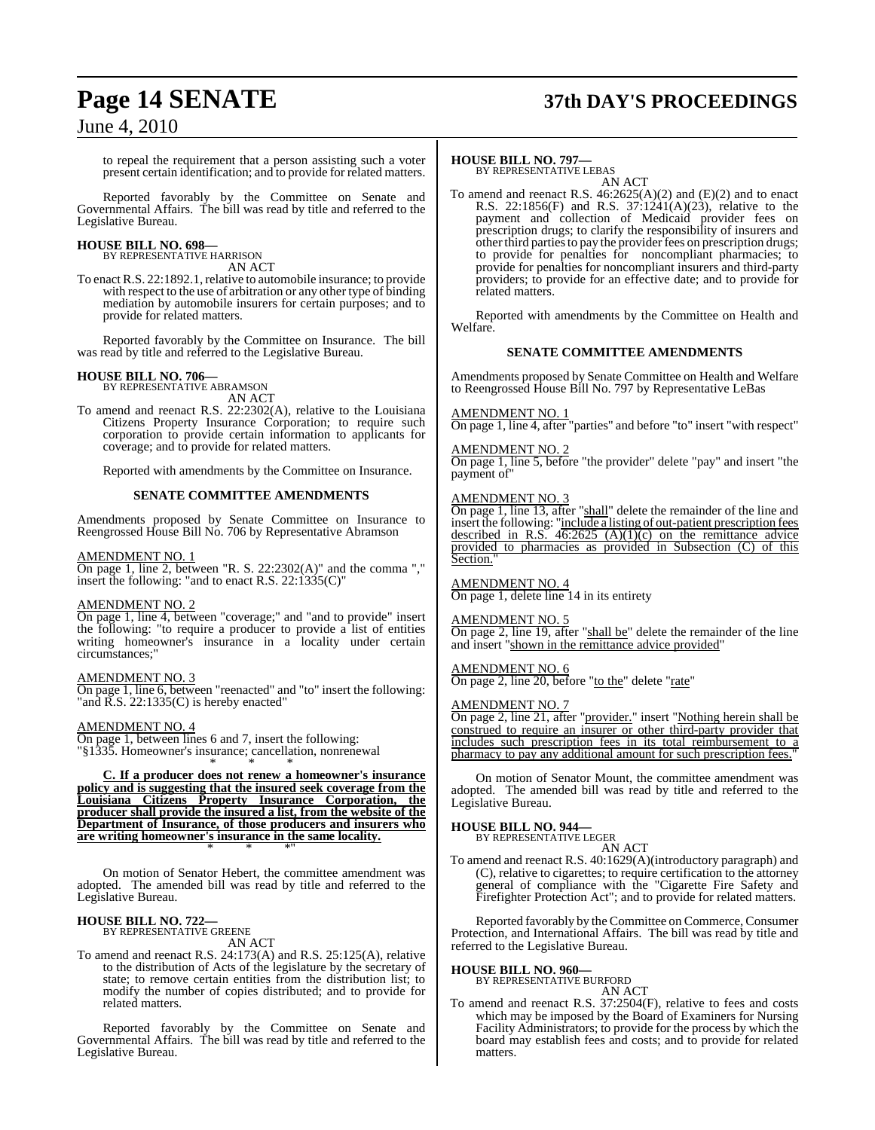# **Page 14 SENATE 37th DAY'S PROCEEDINGS**

to repeal the requirement that a person assisting such a voter present certain identification; and to provide for related matters.

Reported favorably by the Committee on Senate and Governmental Affairs. The bill was read by title and referred to the Legislative Bureau.

#### **HOUSE BILL NO. 698—** BY REPRESENTATIVE HARRISON

AN ACT

To enact R.S. 22:1892.1, relative to automobile insurance; to provide with respect to the use of arbitration or any other type of binding mediation by automobile insurers for certain purposes; and to provide for related matters.

Reported favorably by the Committee on Insurance. The bill was read by title and referred to the Legislative Bureau.

#### **HOUSE BILL NO. 706—**

BY REPRESENTATIVE ABRAMSON

AN ACT

To amend and reenact R.S. 22:2302(A), relative to the Louisiana Citizens Property Insurance Corporation; to require such corporation to provide certain information to applicants for coverage; and to provide for related matters.

Reported with amendments by the Committee on Insurance.

#### **SENATE COMMITTEE AMENDMENTS**

Amendments proposed by Senate Committee on Insurance to Reengrossed House Bill No. 706 by Representative Abramson

#### AMENDMENT NO. 1

On page 1, line 2, between "R. S. 22:2302(A)" and the comma "," insert the following: "and to enact R.S. 22:1335(C)"

#### AMENDMENT NO. 2

On page 1, line 4, between "coverage;" and "and to provide" insert the following: "to require a producer to provide a list of entities" writing homeowner's insurance in a locality under certain circumstances;

#### AMENDMENT NO. 3

On page 1, line 6, between "reenacted" and "to" insert the following: "and R.S. 22:1335(C) is hereby enacted"

#### AMENDMENT NO. 4

On page 1, between lines 6 and 7, insert the following: "§1335. Homeowner's insurance; cancellation, nonrenewal \* \* \*

**C. If a producer does not renew a homeowner's insurance policy and is suggesting that the insured seek coverage from the Louisiana Citizens Property Insurance Corporation, the producer shall provide the insured a list, from the website of the Department of Insurance, of those producers and insurers who are writing homeowner's insurance in the same locality.** \* \* \*"

On motion of Senator Hebert, the committee amendment was adopted. The amended bill was read by title and referred to the Legislative Bureau.

## **HOUSE BILL NO. 722—** BY REPRESENTATIVE GREENE

AN ACT

To amend and reenact R.S. 24:173(A) and R.S. 25:125(A), relative to the distribution of Acts of the legislature by the secretary of state; to remove certain entities from the distribution list; to modify the number of copies distributed; and to provide for related matters.

Reported favorably by the Committee on Senate and Governmental Affairs. The bill was read by title and referred to the Legislative Bureau.

#### **HOUSE BILL NO. 797—**

BY REPRESENTATIVE LEBAS AN ACT

To amend and reenact R.S. 46:2625(A)(2) and (E)(2) and to enact R.S. 22:1856(F) and R.S. 37:1241(A)(23), relative to the payment and collection of Medicaid provider fees on prescription drugs; to clarify the responsibility of insurers and other third parties to pay the provider fees on prescription drugs; to provide for penalties for noncompliant pharmacies; to provide for penalties for noncompliant insurers and third-party providers; to provide for an effective date; and to provide for related matters.

Reported with amendments by the Committee on Health and Welfare.

#### **SENATE COMMITTEE AMENDMENTS**

Amendments proposed by Senate Committee on Health and Welfare to Reengrossed House Bill No. 797 by Representative LeBas

#### AMENDMENT NO. 1

On page 1, line 4, after "parties" and before "to" insert "with respect"

#### **MENDMENT NO. 2**

On page 1, line 5, before "the provider" delete "pay" and insert "the payment of"

#### AMENDMENT NO. 3

On page 1, line 13, after "shall" delete the remainder of the line and insert the following: "include a listing of out-patient prescription fees described in R.S.  $46:2625$  (A)(1)(c) on the remittance advice provided to pharmacies as provided in Subsection (C) of this Section.

#### AMENDMENT NO. 4

On page 1, delete line 14 in its entirety

#### AMENDMENT NO. 5

On page 2, line 19, after "shall be" delete the remainder of the line and insert "shown in the remittance advice provided"

#### AMENDMENT NO. 6

On page 2, line 20, before "to the" delete "rate"

#### AMENDMENT NO. 7

On page 2, line 21, after "provider." insert "Nothing herein shall be construed to require an insurer or other third-party provider that includes such prescription fees in its total reimbursement to a pharmacy to pay any additional amount for such prescription fees."

On motion of Senator Mount, the committee amendment was adopted. The amended bill was read by title and referred to the Legislative Bureau.

## **HOUSE BILL NO. 944—** BY REPRESENTATIVE LEGER

AN ACT

To amend and reenact R.S. 40:1629(A)(introductory paragraph) and (C), relative to cigarettes; to require certification to the attorney general of compliance with the "Cigarette Fire Safety and Firefighter Protection Act"; and to provide for related matters.

Reported favorably by the Committee on Commerce, Consumer Protection, and International Affairs. The bill was read by title and referred to the Legislative Bureau.

#### **HOUSE BILL NO. 960—**

BY REPRESENTATIVE BURFORD

#### AN ACT

To amend and reenact R.S. 37:2504(F), relative to fees and costs which may be imposed by the Board of Examiners for Nursing Facility Administrators; to provide for the process by which the board may establish fees and costs; and to provide for related matters.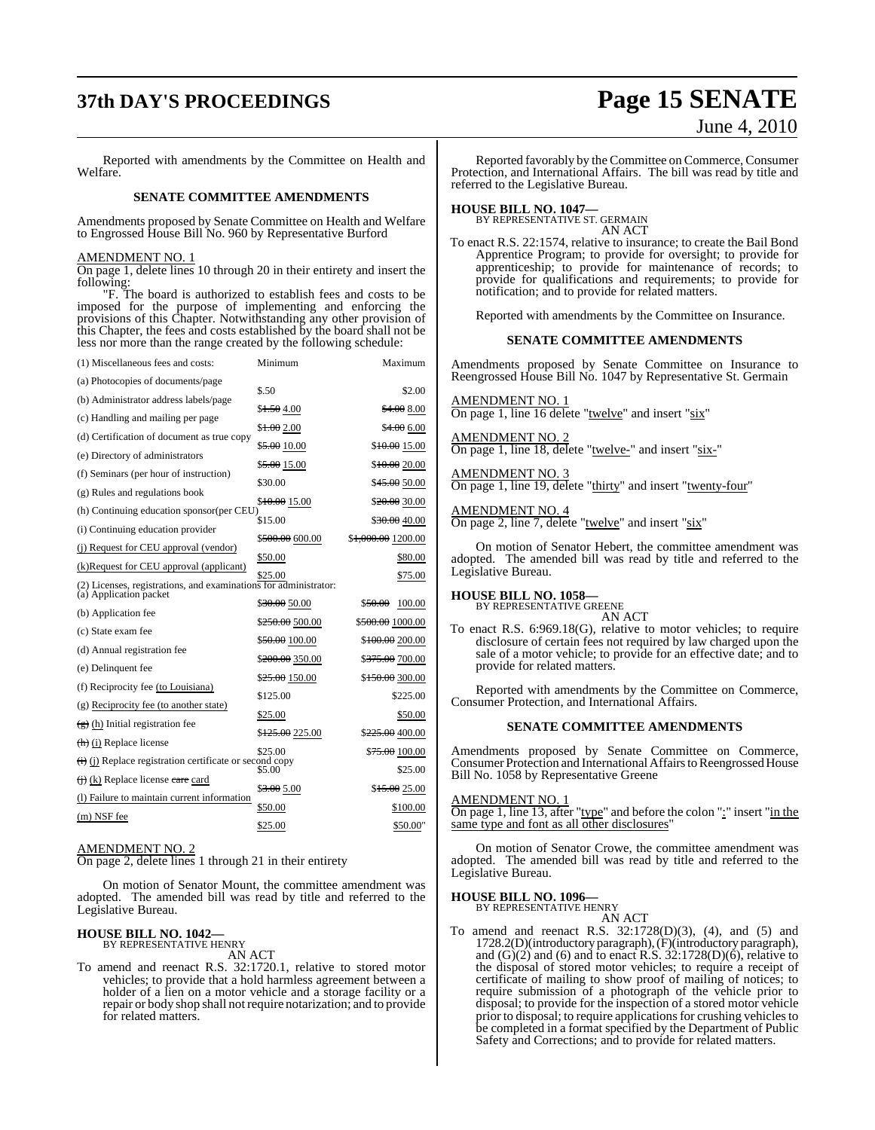# **37th DAY'S PROCEEDINGS Page 15 SENATE**

#### Reported with amendments by the Committee on Health and Welfare.

#### **SENATE COMMITTEE AMENDMENTS**

Amendments proposed by Senate Committee on Health and Welfare to Engrossed House Bill No. 960 by Representative Burford

#### AMENDMENT NO. 1

On page 1, delete lines 10 through 20 in their entirety and insert the following:

"F. The board is authorized to establish fees and costs to be imposed for the purpose of implementing and enforcing the provisions of this Chapter. Notwithstanding any other provision of this Chapter, the fees and costs established by the board shall not be less nor more than the range created by the following schedule:

| (1) Miscellaneous fees and costs:                                              | Minimum                     | Maximum                        |
|--------------------------------------------------------------------------------|-----------------------------|--------------------------------|
| (a) Photocopies of documents/page                                              | \$.50                       | \$2.00                         |
| (b) Administrator address labels/page                                          | \$1.504.00                  | \$4.00 8.00                    |
| (c) Handling and mailing per page                                              |                             | \$4.00 6.00                    |
| (d) Certification of document as true copy                                     | \$1.00 2.00                 |                                |
| (e) Directory of administrators                                                | \$5.00 10.00                | \$10.00 15.00                  |
| (f) Seminars (per hour of instruction)                                         | \$ <del>5.00</del> 15.00    | \$10.00 20.00                  |
| (g) Rules and regulations book                                                 | \$30.00                     | \$45.00 50.00                  |
| (h) Continuing education sponsor(per CEU)                                      | \$10.00 15.00               | \$20.00 30.00                  |
| (i) Continuing education provider                                              | \$15.00                     | \$30.00 40.00                  |
| (i) Request for CEU approval (vendor)                                          | \$500.00 600.00             | \$ <del>1,000.00</del> 1200.00 |
| (k)Request for CEU approval (applicant)                                        | \$50.00                     | \$80.00                        |
| (2) Licenses, registrations, and examinations for administrator:               | \$25.00                     | \$75.00                        |
| (a) Application packet                                                         | \$30.00 50.00               | \$50.00<br>100.00              |
| (b) Application fee                                                            | \$250.00 500.00             | \$ <del>500.00</del> 1000.00   |
| (c) State exam fee                                                             | \$50.00 100.00              | \$100.00 200.00                |
| (d) Annual registration fee                                                    | \$200.00 350.00             | \$ <del>375.00</del> 700.00    |
| (e) Delinquent fee                                                             | \$25.00 150.00              | \$150.00 300.00                |
| (f) Reciprocity fee (to Louisiana)                                             | \$125.00                    | \$225.00                       |
| (g) Reciprocity fee (to another state)                                         | \$25.00                     | \$50.00                        |
| $\left(\frac{1}{2}\right)$ (h) Initial registration fee                        | \$ <del>125.00</del> 225.00 | \$ <del>225.00</del> 400.00    |
| $(h)$ (i) Replace license                                                      | \$25.00                     | \$ <del>75.00</del> 100.00     |
| $\overleftrightarrow{(i)}$ (j) Replace registration certificate or second copy | \$5.00                      | \$25.00                        |
| $\left(\frac{1}{1}\right)$ (k) Replace license care card                       | \$3.00 5.00                 | \$15.00 25.00                  |
| (I) Failure to maintain current information                                    | \$50.00                     | \$100.00                       |
| (m) NSF fee                                                                    | \$25.00                     | \$50.00"                       |
|                                                                                |                             |                                |

## AMENDMENT NO. 2

On page 2, delete lines 1 through 21 in their entirety

On motion of Senator Mount, the committee amendment was adopted. The amended bill was read by title and referred to the Legislative Bureau.

#### **HOUSE BILL NO. 1042—** BY REPRESENTATIVE HENRY

AN ACT

To amend and reenact R.S. 32:1720.1, relative to stored motor vehicles; to provide that a hold harmless agreement between a holder of a lien on a motor vehicle and a storage facility or a repair or body shop shall not require notarization; and to provide for related matters.

# June 4, 2010

Reported favorably by the Committee on Commerce, Consumer Protection, and International Affairs. The bill was read by title and referred to the Legislative Bureau.

**HOUSE BILL NO. 1047—** BY REPRESENTATIVE ST. GERMAIN AN ACT

To enact R.S. 22:1574, relative to insurance; to create the Bail Bond Apprentice Program; to provide for oversight; to provide for apprenticeship; to provide for maintenance of records; to provide for qualifications and requirements; to provide for notification; and to provide for related matters.

Reported with amendments by the Committee on Insurance.

#### **SENATE COMMITTEE AMENDMENTS**

Amendments proposed by Senate Committee on Insurance to Reengrossed House Bill No. 1047 by Representative St. Germain

#### AMENDMENT NO. 1

On page 1, line 16 delete "twelve" and insert "six"

## AMENDMENT NO. 2

On page 1, line 18, delete "twelve-" and insert "six-"

## AMENDMENT NO. 3

On page 1, line 19, delete "thirty" and insert "twenty-four"

## AMENDMENT NO. 4

On page 2, line 7, delete "twelve" and insert "six"

On motion of Senator Hebert, the committee amendment was adopted. The amended bill was read by title and referred to the Legislative Bureau.

#### **HOUSE BILL NO. 1058—** BY REPRESENTATIVE GREENE

AN ACT

To enact R.S. 6:969.18(G), relative to motor vehicles; to require disclosure of certain fees not required by law charged upon the sale of a motor vehicle; to provide for an effective date; and to provide for related matters.

Reported with amendments by the Committee on Commerce, Consumer Protection, and International Affairs.

#### **SENATE COMMITTEE AMENDMENTS**

Amendments proposed by Senate Committee on Commerce, Consumer Protection and International Affairs to Reengrossed House Bill No. 1058 by Representative Greene

#### AMENDMENT NO. 1

On page 1, line 13, after "type" and before the colon ":" insert "in the same type and font as all other disclosures'

On motion of Senator Crowe, the committee amendment was adopted. The amended bill was read by title and referred to the Legislative Bureau.

#### **HOUSE BILL NO. 1096—**

BY REPRESENTATIVE HENRY

AN ACT

To amend and reenact R.S. 32:1728(D)(3), (4), and (5) and 1728.2(D)(introductory paragraph), (F)(introductory paragraph), and  $(G)(2)$  and  $(6)$  and to enact R.S. 32:1728 $(D)(6)$ , relative to the disposal of stored motor vehicles; to require a receipt of certificate of mailing to show proof of mailing of notices; to require submission of a photograph of the vehicle prior to disposal; to provide for the inspection of a stored motor vehicle prior to disposal; to require applications for crushing vehicles to be completed in a format specified by the Department of Public Safety and Corrections; and to provide for related matters.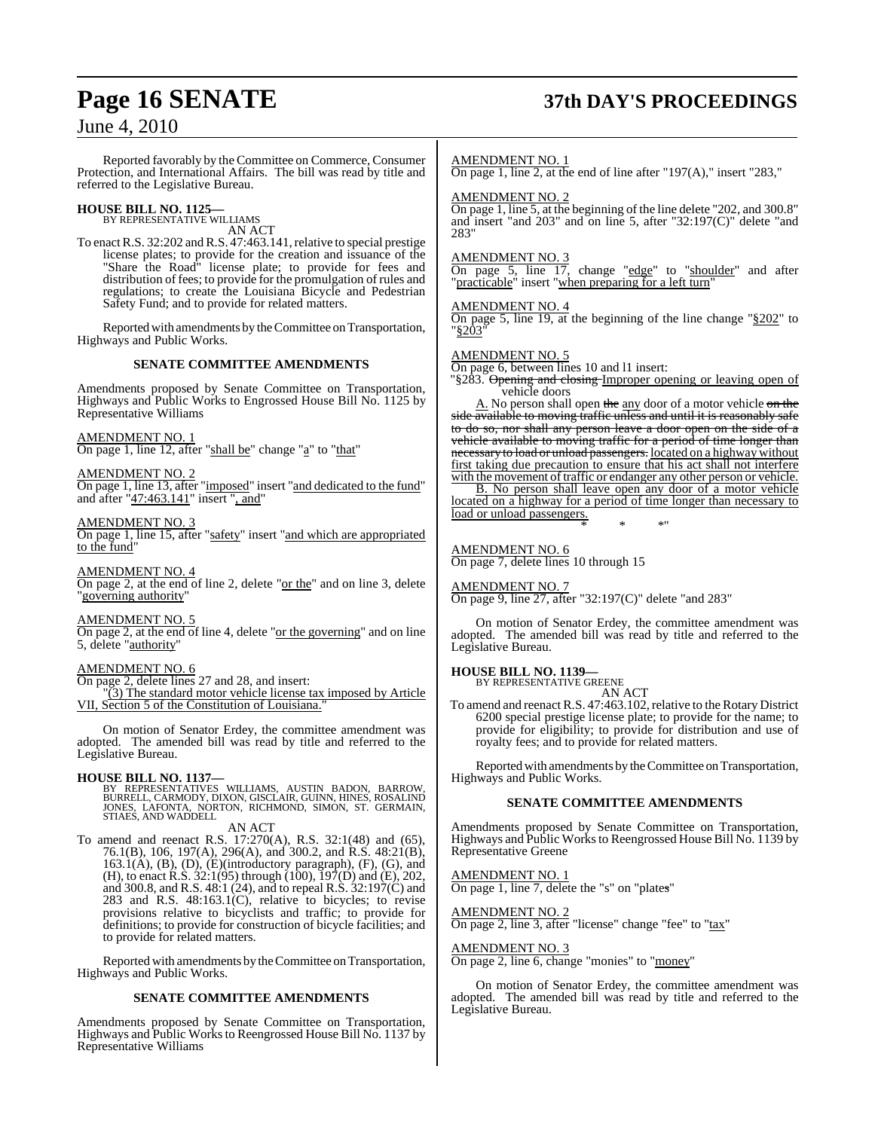# **Page 16 SENATE 37th DAY'S PROCEEDINGS**

## June 4, 2010

Reported favorably by the Committee on Commerce, Consumer Protection, and International Affairs. The bill was read by title and referred to the Legislative Bureau.

# **HOUSE BILL NO. 1125—** BY REPRESENTATIVE WILLIAMS

AN ACT

To enact R.S. 32:202 and R.S. 47:463.141, relative to special prestige license plates; to provide for the creation and issuance of the "Share the Road" license plate; to provide for fees and distribution of fees; to provide for the promulgation of rules and regulations; to create the Louisiana Bicycle and Pedestrian Safety Fund; and to provide for related matters.

Reported with amendments by the Committee on Transportation, Highways and Public Works.

#### **SENATE COMMITTEE AMENDMENTS**

Amendments proposed by Senate Committee on Transportation, Highways and Public Works to Engrossed House Bill No. 1125 by Representative Williams

#### AMENDMENT NO. 1

On page 1, line 12, after "shall be" change "a" to "that"

#### AMENDMENT NO. 2

On page 1, line 13, after "imposed" insert "and dedicated to the fund" and after "47:463.141" insert ", and"

#### AMENDMENT NO. 3

On page 1, line 15, after "safety" insert "and which are appropriated to the fund"

AMENDMENT NO. 4 On page 2, at the end of line 2, delete "or the" and on line 3, delete "governing authority"

#### AMENDMENT NO. 5

On page 2, at the end of line 4, delete "or the governing" and on line 5, delete "authority"

#### AMENDMENT NO. 6

On page 2, delete lines 27 and 28, and insert:

"(3) The standard motor vehicle license tax imposed by Article VII, Section 5 of the Constitution of Louisiana."

On motion of Senator Erdey, the committee amendment was adopted. The amended bill was read by title and referred to the Legislative Bureau.

**HOUSE BILL NO. 1137—**<br>BY REPRESENTATIVES WILLIAMS, AUSTIN BADON, BARROW,<br>BURRELL, CARMODY, DIXON, GISCLAIR, GUINN, HINES, ROSALIND<br>JONES, LAFONTA, NORTON, RICHMOND, SIMON, ST. GERMAIN,<br>STIAES, AND WADDELL AN ACT

To amend and reenact R.S. 17:270(A), R.S. 32:1(48) and (65), 76.1(B), 106, 197(A), 296(A), and 300.2, and R.S. 48:21(B), 163.1(A), (B), (D), (E)(introductory paragraph), (F), (G), and (H), to enact R.S. 32:1(95) through (100), 197(D) and (E), 202, and 300.8, and R.S. 48:1 (24), and to repeal R.S. 32:197(C) and 283 and R.S. 48:163.1(C), relative to bicycles; to revise provisions relative to bicyclists and traffic; to provide for definitions; to provide for construction of bicycle facilities; and to provide for related matters.

Reported with amendments by the Committee on Transportation, Highways and Public Works.

#### **SENATE COMMITTEE AMENDMENTS**

Amendments proposed by Senate Committee on Transportation, Highways and Public Works to Reengrossed House Bill No. 1137 by Representative Williams

#### AMENDMENT NO. 1

On page 1, line 2, at the end of line after "197(A)," insert "283,"

#### AMENDMENT NO. 2

On page 1, line 5, at the beginning of the line delete "202, and 300.8" and insert "and 203" and on line 5, after "32:197(C)" delete "and 283"

#### AMENDMENT NO. 3

On page 5, line 17, change "edge" to "shoulder" and after "practicable" insert "when preparing for a left turn"

#### AMENDMENT NO. 4

On page 5, line 19, at the beginning of the line change "§202" to "§203"

#### AMENDMENT NO. 5

On page 6, between lines 10 and l1 insert:

§283. Opening and closing Improper opening or leaving open of vehicle doors

A. No person shall open the any door of a motor vehicle on the side available to moving traffic unless and until it is reasonably safe to do so, nor shall any person leave a door open on the side of a vehicle available to moving traffic for a period of time longer than necessary to load or unload passengers. located on a highway without first taking due precaution to ensure that his act shall not interfere with the movement of traffic or endanger any other person or vehicle.

B. No person shall leave open any door of a motor vehicle located on a highway for a period of time longer than necessary to load or unload passengers. \* \* \*"

#### AMENDMENT NO. 6

On page 7, delete lines 10 through 15

#### AMENDMENT NO. 7

On page 9, line 27, after "32:197(C)" delete "and 283"

On motion of Senator Erdey, the committee amendment was adopted. The amended bill was read by title and referred to the Legislative Bureau.

## **HOUSE BILL NO. 1139—** BY REPRESENTATIVE GREENE

AN ACT

To amend and reenact R.S. 47:463.102,relative to the Rotary District 6200 special prestige license plate; to provide for the name; to provide for eligibility; to provide for distribution and use of royalty fees; and to provide for related matters.

Reported with amendments by the Committee on Transportation, Highways and Public Works.

#### **SENATE COMMITTEE AMENDMENTS**

Amendments proposed by Senate Committee on Transportation, Highways and Public Works to Reengrossed House Bill No. 1139 by Representative Greene

AMENDMENT NO. 1 On page 1, line 7, delete the "s" on "plates"

AMENDMENT NO. 2  $\overline{\text{On page 2, line 3, after}}$  "license" change "fee" to "tax"

AMENDMENT NO. 3 On page 2, line 6, change "monies" to "money"

On motion of Senator Erdey, the committee amendment was adopted. The amended bill was read by title and referred to the Legislative Bureau.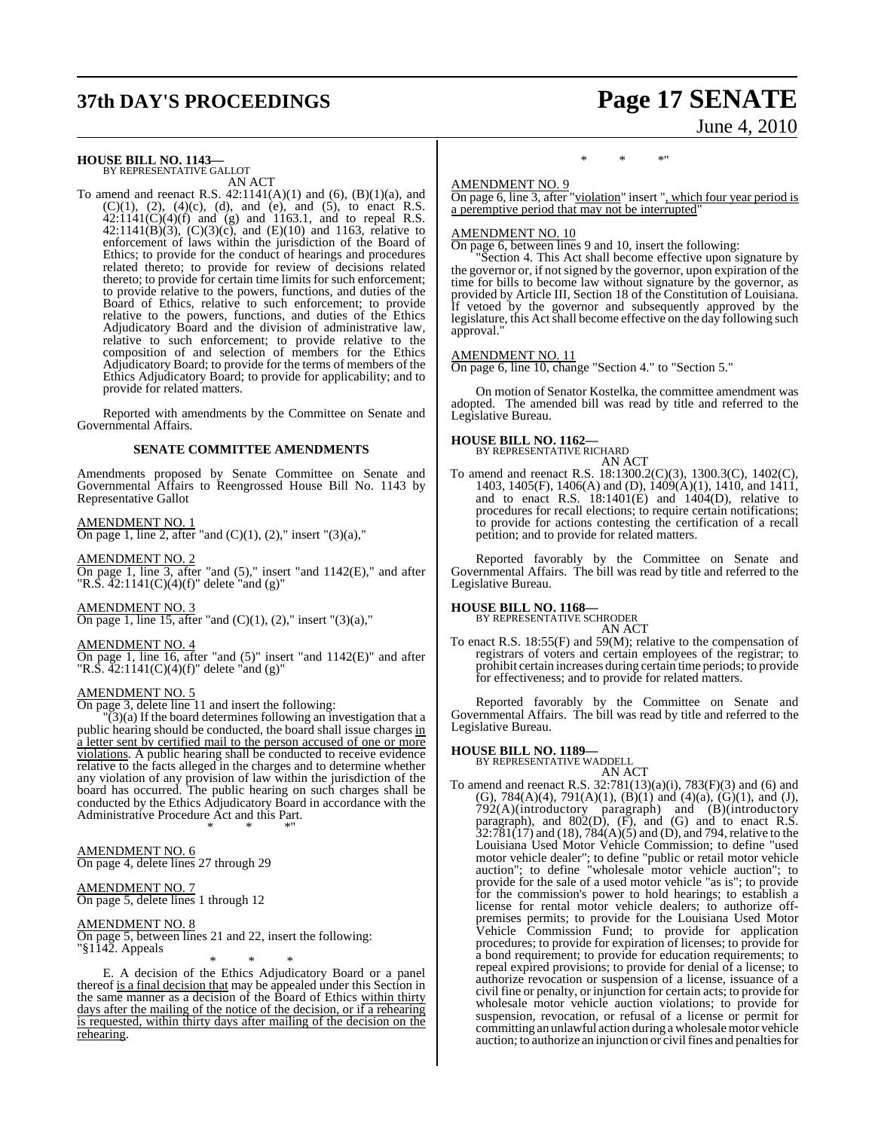# **37th DAY'S PROCEEDINGS Page 17 SENATE**

# June 4, 2010

## **HOUSE BILL NO. 1143—** BY REPRESENTATIVE GALLOT

AN ACT

To amend and reenact R.S.  $42:1141(A)(1)$  and  $(6)$ ,  $(B)(1)(a)$ , and  $(C)(1)$ ,  $(2)$ ,  $(4)(c)$ ,  $(d)$ , and  $(e)$ , and  $(5)$ , to enact R.S.  $42:1141(C)(4)(f)$  and (g) and 1163.1, and to repeal R.S. 42:1141(B)(3),  $(C)(3)(c)$ , and  $(E)(10)$  and 1163, relative to enforcement of laws within the jurisdiction of the Board of Ethics; to provide for the conduct of hearings and procedures related thereto; to provide for review of decisions related thereto; to provide for certain time limits for such enforcement; to provide relative to the powers, functions, and duties of the Board of Ethics, relative to such enforcement; to provide relative to the powers, functions, and duties of the Ethics Adjudicatory Board and the division of administrative law, relative to such enforcement; to provide relative to the composition of and selection of members for the Ethics Adjudicatory Board; to provide for the terms of members of the Ethics Adjudicatory Board; to provide for applicability; and to provide for related matters.

Reported with amendments by the Committee on Senate and Governmental Affairs.

#### **SENATE COMMITTEE AMENDMENTS**

Amendments proposed by Senate Committee on Senate and Governmental Affairs to Reengrossed House Bill No. 1143 by Representative Gallot

#### AMENDMENT NO. 1

On page 1, line 2, after "and  $(C)(1)$ ,  $(2)$ ," insert " $(3)(a)$ ,"

## AMENDMENT NO. 2

On page 1, line 3, after "and  $(5)$ ," insert "and  $1142(E)$ ," and after "R.S.  $\overline{42:1141(C)(4)}$ (f)" delete "and (g)"

#### AMENDMENT NO. 3

On page 1, line 15, after "and  $(C)(1)$ ,  $(2)$ ," insert " $(3)(a)$ ,"

#### AMENDMENT NO. 4

On page 1, line 16, after "and (5)" insert "and 1142(E)" and after "R.S.  $\overline{42:1141(C)(4)(f)}$ " delete "and (g)"

#### AMENDMENT NO. 5

On page 3, delete line 11 and insert the following:

 $\tilde{O}(3)$ (a) If the board determines following an investigation that a public hearing should be conducted, the board shall issue charges in a letter sent by certified mail to the person accused of one or more violations. A public hearing shall be conducted to receive evidence relative to the facts alleged in the charges and to determine whether any violation of any provision of law within the jurisdiction of the board has occurred. The public hearing on such charges shall be conducted by the Ethics Adjudicatory Board in accordance with the Administrative Procedure Act and this Part. \* \* \*"

#### AMENDMENT NO. 6

On page 4, delete lines 27 through 29

## AMENDMENT NO. 7

On page 5, delete lines 1 through 12

#### AMENDMENT NO. 8

On page 5, between lines 21 and 22, insert the following: "§1142. Appeals

\* \* \* E. A decision of the Ethics Adjudicatory Board or a panel thereof is a final decision that may be appealed under this Section in the same manner as a decision of the Board of Ethics within thirty days after the mailing of the notice of the decision, or if a rehearing is requested, within thirty days after mailing of the decision on the rehearing.

#### \* \* \*"

#### AMENDMENT NO. 9

On page 6, line 3, after "violation" insert ", which four year period is a peremptive period that may not be interrupted"

#### AMENDMENT NO. 10

On page 6, between lines 9 and 10, insert the following:

Section 4. This Act shall become effective upon signature by the governor or, if not signed by the governor, upon expiration of the time for bills to become law without signature by the governor, as provided by Article III, Section 18 of the Constitution of Louisiana. If vetoed by the governor and subsequently approved by the legislature, this Act shall become effective on the day following such approval."

#### AMENDMENT NO. 11

On page 6, line 10, change "Section 4." to "Section 5."

On motion of Senator Kostelka, the committee amendment was adopted. The amended bill was read by title and referred to the Legislative Bureau.

#### **HOUSE BILL NO. 1162—**

BY REPRESENTATIVE RICHARD AN ACT

To amend and reenact R.S. 18:1300.2(C)(3), 1300.3(C), 1402(C), 1403, 1405(F), 1406(A) and (D), 1409(A)(1), 1410, and 1411, and to enact R.S.  $18:1401(E)$  and  $1404(D)$ , relative to procedures for recall elections; to require certain notifications; to provide for actions contesting the certification of a recall petition; and to provide for related matters.

Reported favorably by the Committee on Senate and Governmental Affairs. The bill was read by title and referred to the Legislative Bureau.

#### **HOUSE BILL NO. 1168—**

BY REPRESENTATIVE SCHRODER AN ACT

To enact R.S. 18:55(F) and 59(M); relative to the compensation of registrars of voters and certain employees of the registrar; to prohibit certain increases during certain time periods; to provide for effectiveness; and to provide for related matters.

Reported favorably by the Committee on Senate and Governmental Affairs. The bill was read by title and referred to the Legislative Bureau.

#### **HOUSE BILL NO. 1189—**

BY REPRESENTATIVE WADDELL AN ACT

To amend and reenact R.S. 32:781(13)(a)(i), 783(F)(3) and (6) and (G),  $784(A)(4)$ ,  $791(A)(1)$ ,  $(B)(1)$  and  $(4)(a)$ ,  $(G)(1)$ , and  $(J)$ , 792(A)(introductory paragraph) and (B)(introductory paragraph), and  $802(D)$ ,  $(F)$ , and  $(G)$  and to enact R.S.  $32:781(17)$  and (18),  $784(A)(5)$  and (D), and 794, relative to the Louisiana Used Motor Vehicle Commission; to define "used motor vehicle dealer"; to define "public or retail motor vehicle auction"; to define "wholesale motor vehicle auction"; to provide for the sale of a used motor vehicle "as is"; to provide for the commission's power to hold hearings; to establish a license for rental motor vehicle dealers; to authorize offpremises permits; to provide for the Louisiana Used Motor Vehicle Commission Fund; to provide for application procedures; to provide for expiration of licenses; to provide for a bond requirement; to provide for education requirements; to repeal expired provisions; to provide for denial of a license; to authorize revocation or suspension of a license, issuance of a civil fine or penalty, or injunction for certain acts; to provide for wholesale motor vehicle auction violations; to provide for suspension, revocation, or refusal of a license or permit for committing an unlawful action during a wholesale motor vehicle auction; to authorize an injunction or civil fines and penalties for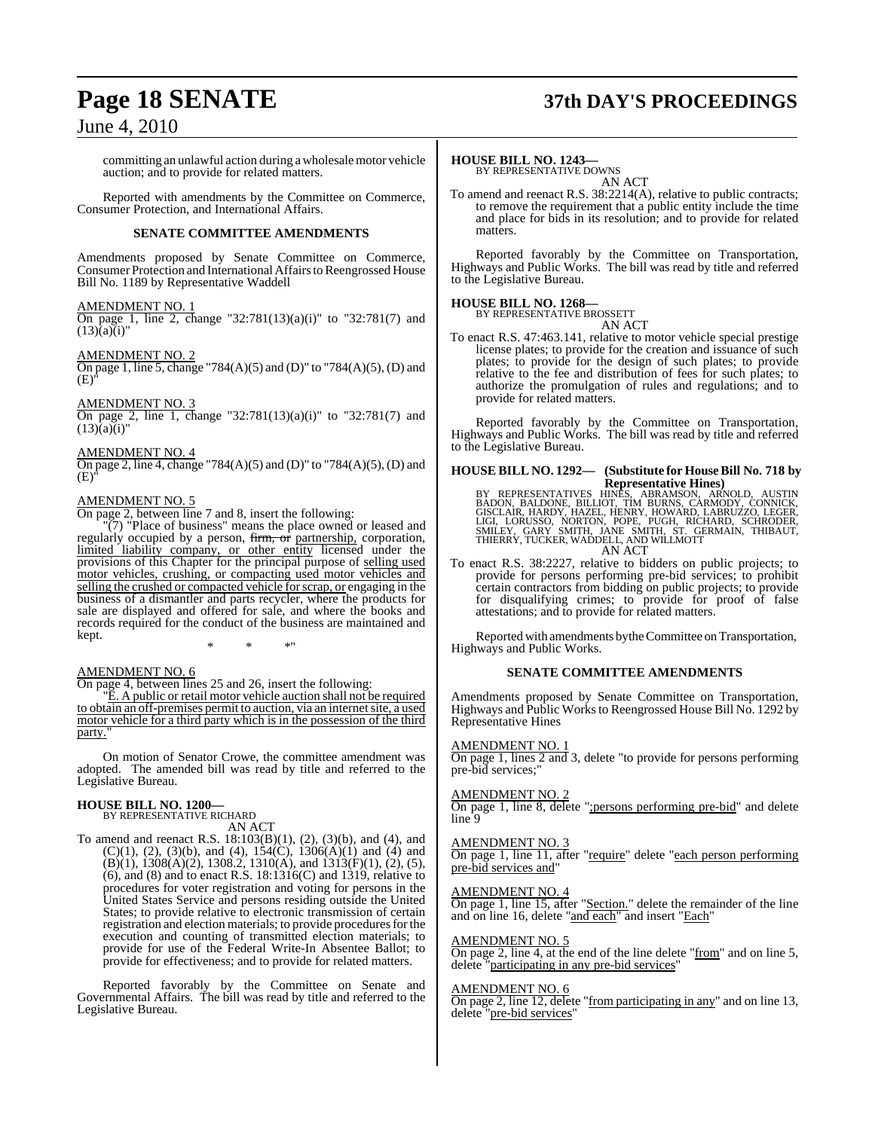## **Page 18 SENATE 37th DAY'S PROCEEDINGS**

## June 4, 2010

committing an unlawful action during awholesalemotor vehicle auction; and to provide for related matters.

Reported with amendments by the Committee on Commerce, Consumer Protection, and International Affairs.

#### **SENATE COMMITTEE AMENDMENTS**

Amendments proposed by Senate Committee on Commerce, Consumer Protection and International Affairs to Reengrossed House Bill No. 1189 by Representative Waddell

#### AMENDMENT NO. 1

On page 1, line 2, change "32:781(13)(a)(i)" to "32:781(7) and  $(13)(a)(i)$ "

#### AMENDMENT NO. 2

On page 1, line 5, change "784(A)(5) and (D)" to "784(A)(5), (D) and  $(F<sub>1</sub>)$ 

#### AMENDMENT NO. 3

On page 2, line 1, change "32:781(13)(a)(i)" to "32:781(7) and  $(13)(a)(i)$ "

#### AMENDMENT NO. 4

On page 2, line 4, change "784(A)(5) and (D)" to "784(A)(5), (D) and (E)"

#### AMENDMENT NO. 5

On page 2, between line 7 and 8, insert the following:

"(7) "Place of business" means the place owned or leased and regularly occupied by a person, firm, or partnership, corporation, limited liability company, or other entity licensed under the provisions of this Chapter for the principal purpose of selling used motor vehicles, crushing, or compacting used motor vehicles and selling the crushed or compacted vehicle forscrap, or engaging in the business of a dismantler and parts recycler, where the products for sale are displayed and offered for sale, and where the books and records required for the conduct of the business are maintained and kept.

\* \* \*"

#### AMENDMENT NO. 6

On page 4, between lines 25 and 26, insert the following:

"E. A public or retail motor vehicle auction shall not be required to obtain an off-premises permit to auction, via an internet site, a used motor vehicle for a third party which is in the possession of the third party.

On motion of Senator Crowe, the committee amendment was adopted. The amended bill was read by title and referred to the Legislative Bureau.

## **HOUSE BILL NO. 1200—** BY REPRESENTATIVE RICHARD

AN ACT

To amend and reenact R.S. 18:103(B)(1), (2), (3)(b), and (4), and  $(C)(1)$ ,  $(2)$ ,  $(3)(b)$ , and  $(4)$ ,  $154(C)$ ,  $1306(A)(1)$  and  $(4)$  and  $(B)(1)$ , 1308 $(A)(2)$ , 1308.2, 1310 $(A)$ , and 1313 $(F)(1)$ ,  $(2)$ ,  $(5)$ , (6), and (8) and to enact R.S. 18:1316(C) and 1319, relative to procedures for voter registration and voting for persons in the United States Service and persons residing outside the United States; to provide relative to electronic transmission of certain registration and election materials; to provide procedures for the execution and counting of transmitted election materials; to provide for use of the Federal Write-In Absentee Ballot; to provide for effectiveness; and to provide for related matters.

Reported favorably by the Committee on Senate and Governmental Affairs. The bill was read by title and referred to the Legislative Bureau.

#### **HOUSE BILL NO. 1243—**

BY REPRESENTATIVE DOWNS AN ACT

To amend and reenact R.S. 38:2214(A), relative to public contracts; to remove the requirement that a public entity include the time and place for bids in its resolution; and to provide for related matters

Reported favorably by the Committee on Transportation, Highways and Public Works. The bill was read by title and referred to the Legislative Bureau.

#### **HOUSE BILL NO. 1268—**

BY REPRESENTATIVE BROSSETT AN ACT

To enact R.S. 47:463.141, relative to motor vehicle special prestige license plates; to provide for the creation and issuance of such plates; to provide for the design of such plates; to provide relative to the fee and distribution of fees for such plates; to authorize the promulgation of rules and regulations; and to provide for related matters.

Reported favorably by the Committee on Transportation, Highways and Public Works. The bill was read by title and referred to the Legislative Bureau.

# **HOUSE BILL NO. 1292— (Substitute for HouseBill No. 718 by** Representative Hines)<br>BY REPRESENTATIVES HINES, ABRAMSON, ARNOLD, AUSTIN<br>BADON, BALDONE, BILLIOT, TIM BURNS, CARMODY, CONNICK,<br>GISCLAIR, HARDY, HAZEL, HENRY, HOWARD, LABRUZZO, LEGER,<br>LIGI, LORUSSO, NORTON, POPE, PUGH, RICH AN ACT

To enact R.S. 38:2227, relative to bidders on public projects; to provide for persons performing pre-bid services; to prohibit certain contractors from bidding on public projects; to provide for disqualifying crimes; to provide for proof of false attestations; and to provide for related matters.

Reported with amendments by the Committee on Transportation, Highways and Public Works.

#### **SENATE COMMITTEE AMENDMENTS**

Amendments proposed by Senate Committee on Transportation, Highways and Public Worksto Reengrossed House Bill No. 1292 by Representative Hines

#### AMENDMENT NO. 1

On page 1, lines 2 and 3, delete "to provide for persons performing pre-bid services;"

#### AMENDMENT NO. 2

On page 1, line 8, delete ";persons performing pre-bid" and delete line<sup>5</sup>9

#### AMENDMENT NO. 3

On page 1, line 11, after "require" delete "each person performing pre-bid services and"

#### AMENDMENT NO. 4

On page 1, line 15, after "Section." delete the remainder of the line and on line 16, delete "and each" and insert "Each"

#### AMENDMENT NO. 5

On page 2, line 4, at the end of the line delete "from" and on line 5, delete "participating in any pre-bid services"

#### AMENDMENT NO. 6

On page 2, line 12, delete "from participating in any" and on line 13, delete "pre-bid services"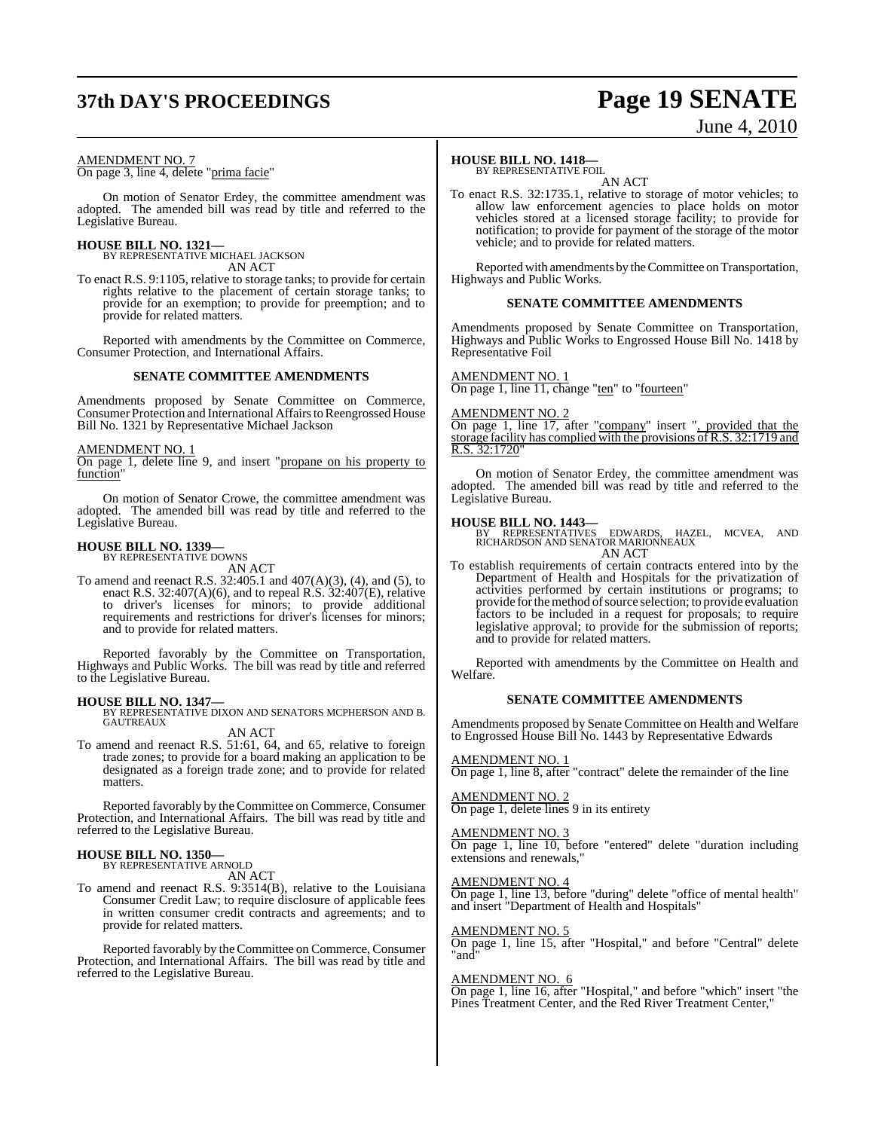# **37th DAY'S PROCEEDINGS Page 19 SENATE** June 4, 2010

#### AMENDMENT NO. 7

On page 3, line 4, delete "prima facie"

On motion of Senator Erdey, the committee amendment was adopted. The amended bill was read by title and referred to the Legislative Bureau.

#### **HOUSE BILL NO. 1321—**

BY REPRESENTATIVE MICHAEL JACKSON AN ACT

To enact R.S. 9:1105, relative to storage tanks; to provide for certain rights relative to the placement of certain storage tanks; to provide for an exemption; to provide for preemption; and to provide for related matters.

Reported with amendments by the Committee on Commerce, Consumer Protection, and International Affairs.

#### **SENATE COMMITTEE AMENDMENTS**

Amendments proposed by Senate Committee on Commerce, Consumer Protection and International Affairs to Reengrossed House Bill No. 1321 by Representative Michael Jackson

AMENDMENT NO. 1

On page 1, delete line 9, and insert "propane on his property to function<sup>"</sup>

On motion of Senator Crowe, the committee amendment was adopted. The amended bill was read by title and referred to the Legislative Bureau.

## **HOUSE BILL NO. 1339—** BY REPRESENTATIVE DOWNS

AN ACT

To amend and reenact R.S. 32:405.1 and 407(A)(3), (4), and (5), to enact R.S.  $32:407(A)(6)$ , and to repeal R.S.  $32:407(E)$ , relative to driver's licenses for minors; to provide additional requirements and restrictions for driver's licenses for minors; and to provide for related matters.

Reported favorably by the Committee on Transportation, Highways and Public Works. The bill was read by title and referred to the Legislative Bureau.

**HOUSE BILL NO. 1347—** BY REPRESENTATIVE DIXON AND SENATORS MCPHERSON AND B. GAUTREAUX

AN ACT

To amend and reenact R.S. 51:61, 64, and 65, relative to foreign trade zones; to provide for a board making an application to be designated as a foreign trade zone; and to provide for related matters.

Reported favorably by the Committee on Commerce, Consumer Protection, and International Affairs. The bill was read by title and referred to the Legislative Bureau.

#### **HOUSE BILL NO. 1350—** BY REPRESENTATIVE ARNOLD

AN ACT

To amend and reenact R.S. 9:3514(B), relative to the Louisiana Consumer Credit Law; to require disclosure of applicable fees in written consumer credit contracts and agreements; and to provide for related matters.

Reported favorably by the Committee on Commerce, Consumer Protection, and International Affairs. The bill was read by title and referred to the Legislative Bureau.

#### **HOUSE BILL NO. 1418—**

BY REPRESENTATIVE FOIL AN ACT

To enact R.S. 32:1735.1, relative to storage of motor vehicles; to allow law enforcement agencies to place holds on motor vehicles stored at a licensed storage facility; to provide for notification; to provide for payment of the storage of the motor vehicle; and to provide for related matters.

Reported with amendments by the Committee on Transportation, Highways and Public Works.

#### **SENATE COMMITTEE AMENDMENTS**

Amendments proposed by Senate Committee on Transportation, Highways and Public Works to Engrossed House Bill No. 1418 by Representative Foil

#### AMENDMENT NO. 1

On page 1, line 11, change "ten" to "fourteen"

AMENDMENT NO. 2

On page 1, line 17, after "company" insert ", provided that the storage facility has complied with the provisions of R.S. 32:1719 and  $32:1720'$ 

On motion of Senator Erdey, the committee amendment was adopted. The amended bill was read by title and referred to the Legislative Bureau.

#### **HOUSE BILL NO. 1443—**

BY REPRESENTATIVES EDWARDS, HAZEL, MCVEA, AND RICHARDSON AND SENATOR MARIONNEAUX AN ACT

To establish requirements of certain contracts entered into by the Department of Health and Hospitals for the privatization of activities performed by certain institutions or programs; to provide for the method of source selection; to provide evaluation factors to be included in a request for proposals; to require legislative approval; to provide for the submission of reports; and to provide for related matters.

Reported with amendments by the Committee on Health and Welfare.

#### **SENATE COMMITTEE AMENDMENTS**

Amendments proposed by Senate Committee on Health and Welfare to Engrossed House Bill No. 1443 by Representative Edwards

#### AMENDMENT NO. 1

On page 1, line 8, after "contract" delete the remainder of the line

## AMENDMENT NO. 2

On page 1, delete lines 9 in its entirety

#### AMENDMENT NO. 3

On page 1, line 10, before "entered" delete "duration including extensions and renewals,"

#### AMENDMENT NO. 4

On page 1, line 13, before "during" delete "office of mental health" and insert "Department of Health and Hospitals"

#### AMENDMENT NO. 5

On page 1, line 15, after "Hospital," and before "Central" delete "and"

#### AMENDMENT NO. 6

On page 1, line 16, after "Hospital," and before "which" insert "the Pines Treatment Center, and the Red River Treatment Center,"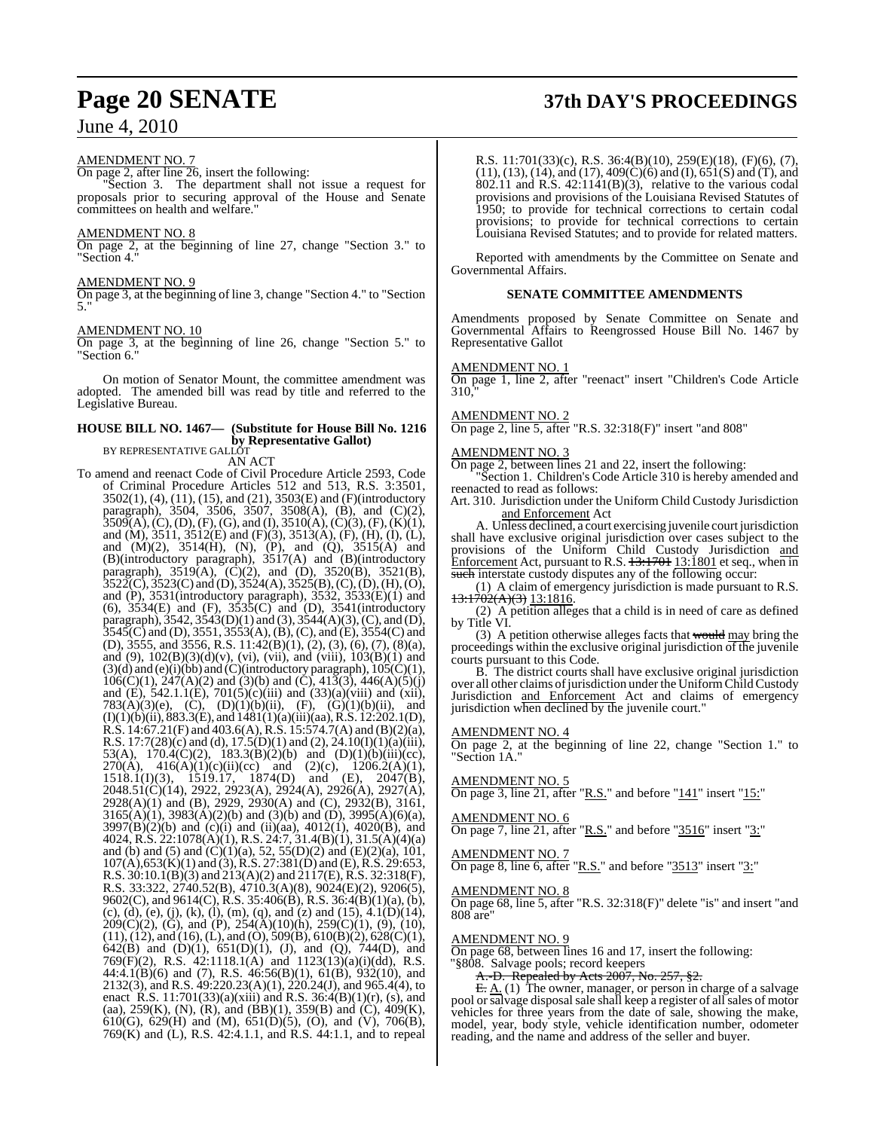#### AMENDMENT NO. 7

On page 2, after line 26, insert the following:

"Section 3. The department shall not issue a request for proposals prior to securing approval of the House and Senate committees on health and welfare."

#### AMENDMENT NO. 8

On page 2, at the beginning of line 27, change "Section 3." to "Section 4."

#### AMENDMENT NO. 9

On page 3, at the beginning of line 3, change "Section 4." to "Section 5."

#### AMENDMENT NO. 10

On page 3, at the beginning of line 26, change "Section 5." to "Section 6."

On motion of Senator Mount, the committee amendment was adopted. The amended bill was read by title and referred to the Legislative Bureau.

#### **HOUSE BILL NO. 1467— (Substitute for House Bill No. 1216 by Representative Gallot)** BY REPRESENTATIVE GALLOT

AN ACT

To amend and reenact Code of Civil Procedure Article 2593, Code of Criminal Procedure Articles 512 and 513, R.S. 3:3501, 3502(1), (4), (11), (15), and (21), 3503(E) and (F)(introductory paragraph), 3504, 3506, 3507, 3508(A), (B), and (C)(2),  $3509(A), (C), (D), (F), (G),$  and  $(I), 3510(A), (C)(3), (F), (K)(1),$ and (M), 3511, 3512(E) and (F)(3), 3513(A), (F), (H), (I), (L), and  $(M)(2)$ ,  $3514(H)$ ,  $(N)$ ,  $(P)$ , and  $(Q)$ ,  $3515(A)$  and (B)(introductory paragraph), 3517(A) and (B)(introductory paragraph),  $3519(A)$ ,  $(\dot{C})(2)$ , and  $(D)$ ,  $3520(B)$ ,  $3521(B)$ ,  $3522(\text{C})$ ,  $3523(\text{C})$  and (D),  $3524(\text{A})$ ,  $3525(\text{B})$ , (C), (D), (H), (O), and (P), 3531(introductory paragraph), 3532, 3533(E)(1) and (6), 3534(E) and (F), 3535(C) and (D), 3541(introductory paragraph),  $3542$ ,  $3543(D)(1)$  and  $(3)$ ,  $3544(A)(3)$ ,  $(C)$ , and  $(D)$ ,  $3545(C)$  and (D),  $3551$ ,  $3553(A)$ , (B), (C), and (E),  $3554(C)$  and (D), 3555, and 3556, R.S. 11:42(B)(1), (2), (3), (6), (7), (8)(a), and (9),  $102(B)(3)(d)(v)$ , (vi), (vii), and (viii),  $103(B)(1)$  and  $(3)(d)$  and  $(e)(i)(bb)$  and  $(C)(introducing paragnph)$ ,  $105(C)(1)$ ,  $106(C)(1)$ ,  $247(A)(2)$  and  $(3)(b)$  and  $(C)$ ,  $413(3)$ ,  $446(A)(5)(j)$ and (E), 542.1.1(E), 701(5)(c)(iii) and (33)(a)(viii) and (xii), 783(A)(3)(e), (C), (D)(1)(b)(ii), (F), (G)(1)(b)(ii), and  $(I)(1)(b)(ii)$ , 883.3 $(E)$ , and 1481 $(1)(a)(iii)(aa)$ , R.S. 12:202.1(D), R.S. 14:67.21(F) and 403.6(A), R.S. 15:574.7(A) and (B)(2)(a), R.S. 17:7(28)(c) and (d), 17.5(D)(1) and (2), 24.10(I)(1)(a)(iii), 53(A),  $170.4(C)(2)$ ,  $183.3(B)(2)(b)$  and  $(D)(1)(b)(iii)(cc)$ , 270(A),  $416(A)(1)(c)(ii)(cc)$  and  $(2)(c)$ ,  $1206.2(A)(1)$ , 1518.1(I)(3), 1519.17, 1874(D) and (E), 2047(B), 2048.51(C)(14), 2922, 2923(A), 2924(A), 2926(A), 2927(A), 2928(A)(1) and (B), 2929, 2930(A) and (C), 2932(B), 3161,  $3165(A)(1)$ ,  $3983(A)(2)(b)$  and  $(3)(b)$  and  $(D)$ ,  $3995(A)(6)(a)$ , 3997(B)(2)(b) and (c)(i) and (ii)(aa), 4012(1), 4020(B), and 4024, R.S. 22:1078(A)(1), R.S. 24:7, 31.4(B)(1), 31.5(A)(4)(a) and (b) and (5) and  $(C)(1)(a)$ , 52, 55(D)(2) and (E)(2)(a), 101,  $107(A)$ ,653(K)(1) and (3), R.S. 27:381(D) and (E), R.S. 29:653, R.S. 30:10.1(B)(3) and 213(A)(2) and 2117(E), R.S. 32:318(F), R.S. 33:322, 2740.52(B), 4710.3(A)(8), 9024(E)(2), 9206(5), 9602(C), and 9614(C), R.S. 35:406(B), R.S. 36:4(B)(1)(a), (b),  $(c)$ , (d), (e), (j), (k), (l), (m), (q), and (z) and (15), 4.1(D)(14),  $209(C)(2)$ , (G), and (P),  $254(\text{\AA})(10)(\text{h})$ ,  $259(C)(1)$ , (9), (10),  $(11)$ ,  $(12)$ , and  $(16)$ ,  $(L)$ , and  $(O)$ ,  $509(B)$ ,  $610(B)(2)$ ,  $628(C)(1)$ , 642(B) and (D)(1), 651(D)(1), (J), and (Q), 744(D), and 769(F)(2), R.S. 42:1118.1(A) and 1123(13)(a)(i)(dd), R.S. 44:4.1(B)(6) and (7), R.S. 46:56(B)(1), 61(B), 932(10), and 2132(3), and R.S. 49:220.23(A)(1), 220.24(J), and 965.4(4), to enact R.S. 11:701(33)(a)(xiii) and R.S. 36:4(B)(1)(r), (s), and (aa), 259(K), (N), (R), and (BB)(1), 359(B) and (C), 409(K), 610(G), 629(H) and (M), 651(D)(5), (O), and (V), 706(B), 769(K) and (L), R.S. 42:4.1.1, and R.S. 44:1.1, and to repeal

R.S. 11:701(33)(c), R.S. 36:4(B)(10), 259(E)(18), (F)(6), (7),  $(11)$ ,  $(13)$ ,  $(14)$ , and  $(17)$ ,  $409(\dot{C})(6)$  and  $(I)$ ,  $651(\dot{S})$  and  $(T)$ , and 802.11 and R.S. 42:1141(B)(3), relative to the various codal provisions and provisions of the Louisiana Revised Statutes of 1950; to provide for technical corrections to certain codal

provisions; to provide for technical corrections to certain Louisiana Revised Statutes; and to provide for related matters.

Reported with amendments by the Committee on Senate and Governmental Affairs.

#### **SENATE COMMITTEE AMENDMENTS**

Amendments proposed by Senate Committee on Senate and Governmental Affairs to Reengrossed House Bill No. 1467 by Representative Gallot

#### AMENDMENT NO. 1

On page 1, line 2, after "reenact" insert "Children's Code Article  $310.7$ 

#### AMENDMENT NO. 2

On page 2, line 5, after "R.S. 32:318(F)" insert "and 808"

#### AMENDMENT NO. 3

On page 2, between lines 21 and 22, insert the following:

"Section 1. Children's Code Article 310 is hereby amended and reenacted to read as follows:

Art. 310. Jurisdiction under the Uniform Child Custody Jurisdiction and Enforcement Act

A. Unless declined, a court exercising juvenile court jurisdiction shall have exclusive original jurisdiction over cases subject to the provisions of the Uniform Child Custody Jurisdiction and  $\frac{\text{Enforcement}}{\text{Act}}$ , pursuant to R.S.  $13:1701$   $13:1801$  et seq., when in such interstate custody disputes any of the following occur:

(1) A claim of emergency jurisdiction is made pursuant to R.S.  $13:1702(A)(3)$  13:1816.

(2) A petition alleges that a child is in need of care as defined by Title VI.

(3) A petition otherwise alleges facts that would may bring the proceedings within the exclusive original jurisdiction of the juvenile courts pursuant to this Code.

B. The district courts shall have exclusive original jurisdiction over all other claims of jurisdiction under the Uniform Child Custody Jurisdiction and Enforcement Act and claims of emergency jurisdiction when declined by the juvenile court."

#### AMENDMENT NO. 4

On page 2, at the beginning of line 22, change "Section 1." to "Section 1A."

#### AMENDMENT NO. 5

On page 3, line  $21$ , after "R.S." and before " $141$ " insert " $15$ :"

#### AMENDMENT NO. 6

On page 7, line 21, after "R.S." and before "3516" insert "3:"

#### AMENDMENT NO. 7

On page 8, line 6, after "R.S." and before "3513" insert "3:"

## <u>AMENDMENT NO. 8</u>

On page 68, line 5, after "R.S. 32:318(F)" delete "is" and insert "and 808 are"

#### AMENDMENT NO. 9

On page 68, between lines 16 and 17, insert the following: "§808. Salvage pools; record keepers

A.-D. Repealed by Acts 2007, No. 257, §2.

 $E: A(1)$  The owner, manager, or person in charge of a salvage pool or salvage disposal sale shall keep a register of all sales of motor vehicles for three years from the date of sale, showing the make, model, year, body style, vehicle identification number, odometer reading, and the name and address of the seller and buyer.

# **Page 20 SENATE 37th DAY'S PROCEEDINGS**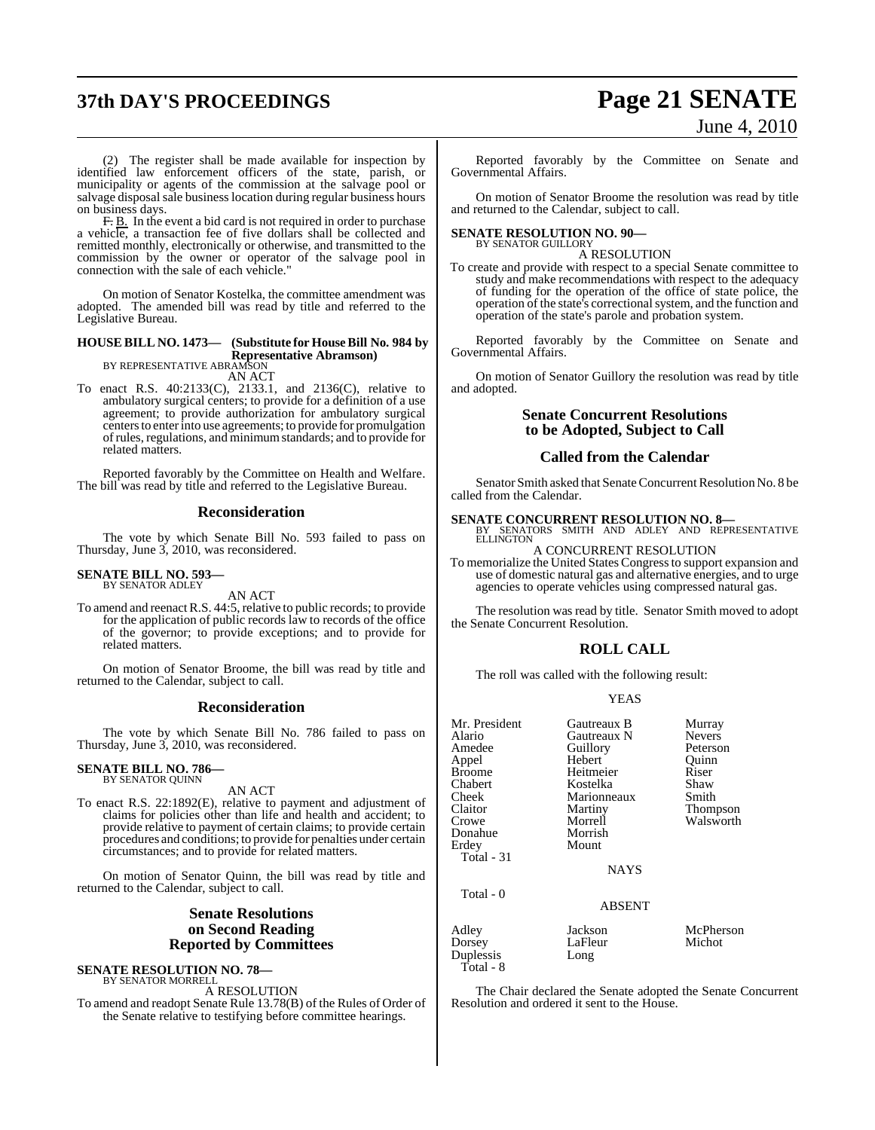# **37th DAY'S PROCEEDINGS Page 21 SENATE**

# June 4, 2010

(2) The register shall be made available for inspection by identified law enforcement officers of the state, parish, or municipality or agents of the commission at the salvage pool or salvage disposal sale business location during regular business hours on business days.

F. B. In the event a bid card is not required in order to purchase a vehicle, a transaction fee of five dollars shall be collected and remitted monthly, electronically or otherwise, and transmitted to the commission by the owner or operator of the salvage pool in connection with the sale of each vehicle.

On motion of Senator Kostelka, the committee amendment was adopted. The amended bill was read by title and referred to the Legislative Bureau.

## **HOUSE BILL NO. 1473— (Substitute for HouseBill No. 984 by Representative Abramson)** BY REPRESENTATIVE ABRAMSON

AN ACT

To enact R.S. 40:2133(C), 2133.1, and 2136(C), relative to ambulatory surgical centers; to provide for a definition of a use agreement; to provide authorization for ambulatory surgical centers to enter into use agreements; to provide for promulgation ofrules, regulations, and minimumstandards; and to provide for related matters.

Reported favorably by the Committee on Health and Welfare. The bill was read by title and referred to the Legislative Bureau.

#### **Reconsideration**

The vote by which Senate Bill No. 593 failed to pass on Thursday, June 3, 2010, was reconsidered.

## **SENATE BILL NO. 593—** BY SENATOR ADLEY

AN ACT

To amend and reenact R.S. 44:5, relative to public records; to provide for the application of public records law to records of the office of the governor; to provide exceptions; and to provide for related matters.

On motion of Senator Broome, the bill was read by title and returned to the Calendar, subject to call.

#### **Reconsideration**

The vote by which Senate Bill No. 786 failed to pass on Thursday, June 3, 2010, was reconsidered.

#### **SENATE BILL NO. 786—** BY SENATOR QUINN

AN ACT

To enact R.S. 22:1892(E), relative to payment and adjustment of claims for policies other than life and health and accident; to provide relative to payment of certain claims; to provide certain procedures and conditions; to provide for penalties under certain circumstances; and to provide for related matters.

On motion of Senator Quinn, the bill was read by title and returned to the Calendar, subject to call.

#### **Senate Resolutions on Second Reading Reported by Committees**

**SENATE RESOLUTION NO. 78—** BY SENATOR MORRELL

A RESOLUTION

To amend and readopt Senate Rule 13.78(B) of the Rules of Order of the Senate relative to testifying before committee hearings.

Reported favorably by the Committee on Senate and Governmental Affairs.

On motion of Senator Broome the resolution was read by title and returned to the Calendar, subject to call.

#### **SENATE RESOLUTION NO. 90—** BY SENATOR GUILLORY

A RESOLUTION

To create and provide with respect to a special Senate committee to study and make recommendations with respect to the adequacy of funding for the operation of the office of state police, the operation of the state's correctionalsystem, and the function and operation of the state's parole and probation system.

Reported favorably by the Committee on Senate and Governmental Affairs.

On motion of Senator Guillory the resolution was read by title and adopted.

#### **Senate Concurrent Resolutions to be Adopted, Subject to Call**

#### **Called from the Calendar**

Senator Smith asked that Senate Concurrent Resolution No. 8 be called from the Calendar.

**SENATE CONCURRENT RESOLUTION NO. 8—**<br>BY SENATORS SMITH AND ADLEY AND REPRESENTATIVE<br>ELLINGTON

A CONCURRENT RESOLUTION To memorialize the United States Congressto support expansion and use of domestic natural gas and alternative energies, and to urge agencies to operate vehicles using compressed natural gas.

The resolution was read by title. Senator Smith moved to adopt the Senate Concurrent Resolution.

### **ROLL CALL**

The roll was called with the following result:

|--|--|

| Mr. President | Gautreaux B   | Murray        |
|---------------|---------------|---------------|
| Alario        | Gautreaux N   | <b>Nevers</b> |
| Amedee        | Guillory      | Peterson      |
| Appel         | Hebert        | Ouinn         |
| Broome        | Heitmeier     | Riser         |
| Chabert       | Kostelka      | Shaw          |
| Cheek         | Marionneaux   | Smith         |
| Claitor       | Martiny       | Thompson      |
| Crowe         | Morrell       | Walsworth     |
| Donahue       | Morrish       |               |
| Erdey         | Mount         |               |
| Total - 31    |               |               |
|               | <b>NAYS</b>   |               |
| Total - 0     |               |               |
|               | <b>ABSENT</b> |               |
| Adley         | Jackson       | McPherson     |
| Dorsey        | LaFleur       | Michot        |
| Duplessis     | Long          |               |
| Total - 8     |               |               |

The Chair declared the Senate adopted the Senate Concurrent Resolution and ordered it sent to the House.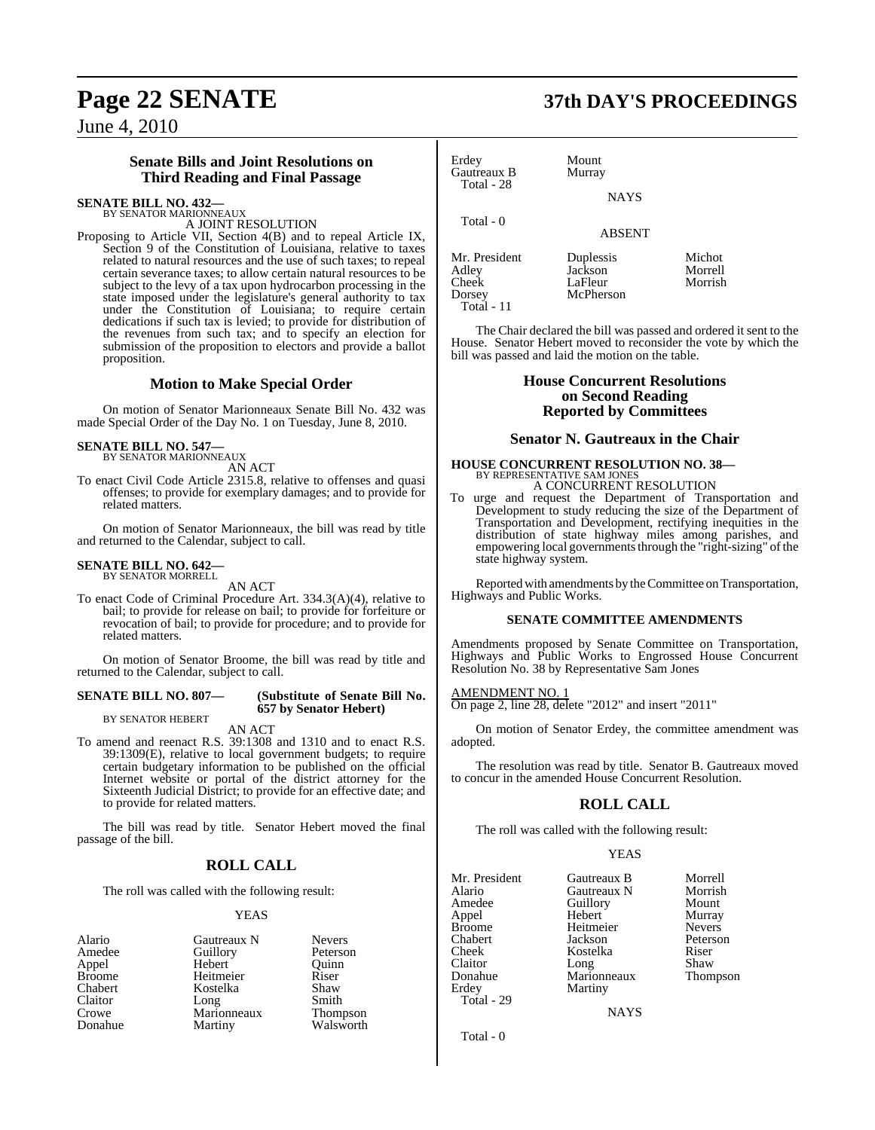#### **Senate Bills and Joint Resolutions on Third Reading and Final Passage**

#### **SENATE BILL NO. 432—**

BY SENATOR MARIONNEAUX A JOINT RESOLUTION

Proposing to Article VII, Section 4(B) and to repeal Article IX, Section 9 of the Constitution of Louisiana, relative to taxes related to natural resources and the use of such taxes; to repeal certain severance taxes; to allow certain natural resources to be subject to the levy of a tax upon hydrocarbon processing in the state imposed under the legislature's general authority to tax under the Constitution of Louisiana; to require certain dedications if such tax is levied; to provide for distribution of the revenues from such tax; and to specify an election for submission of the proposition to electors and provide a ballot proposition.

### **Motion to Make Special Order**

On motion of Senator Marionneaux Senate Bill No. 432 was made Special Order of the Day No. 1 on Tuesday, June 8, 2010.

# **SENATE BILL NO. 547—** BY SENATOR MARIONNEAUX

AN ACT

To enact Civil Code Article 2315.8, relative to offenses and quasi offenses; to provide for exemplary damages; and to provide for related matters.

On motion of Senator Marionneaux, the bill was read by title and returned to the Calendar, subject to call.

## **SENATE BILL NO. 642—** BY SENATOR MORRELL

AN ACT

To enact Code of Criminal Procedure Art. 334.3(A)(4), relative to bail; to provide for release on bail; to provide for forfeiture or revocation of bail; to provide for procedure; and to provide for related matters.

On motion of Senator Broome, the bill was read by title and returned to the Calendar, subject to call.

#### **SENATE BILL NO. 807— (Substitute of Senate Bill No.**

BY SENATOR HEBERT

AN ACT

**657 by Senator Hebert)**

To amend and reenact R.S. 39:1308 and 1310 and to enact R.S. 39:1309(E), relative to local government budgets; to require certain budgetary information to be published on the official Internet website or portal of the district attorney for the Sixteenth Judicial District; to provide for an effective date; and to provide for related matters.

The bill was read by title. Senator Hebert moved the final passage of the bill.

### **ROLL CALL**

The roll was called with the following result:

#### YEAS

Crowe Marionneaux<br>Donahue Martiny

Alario Gautreaux N Nevers<br>Amedee Guillory Peterson Amedee Guillory Peterson<br>Appel Hebert Ouinn Appel Hebert Quinn Broome Heitmeier Riser<br>Chabert Kostelka Shaw Kostelka Shaw<br>Long Smith Claitor Long Smith<br>Crowe Marionneaux Thompson Walsworth Erdey Mount<br>Gautreaux B Murray Gautreaux B Total - 28 Total - 0

Mr. President Duplessis Michot<br>Adley Jackson Morrell Mr. President Duplessis Michot<br>
Adley Jackson Morrell<br>
Cheek LaFleur Morrish Cheek LaFleur<br>Dorsey McPher Total - 11

McPherson

The Chair declared the bill was passed and ordered it sent to the House. Senator Hebert moved to reconsider the vote by which the bill was passed and laid the motion on the table.

NAYS

ABSENT

#### **House Concurrent Resolutions on Second Reading Reported by Committees**

#### **Senator N. Gautreaux in the Chair**

#### **HOUSE CONCURRENT RESOLUTION NO. 38—** BY REPRESENTATIVE SAM JONES A CONCURRENT RESOLUTION

To urge and request the Department of Transportation and Development to study reducing the size of the Department of Transportation and Development, rectifying inequities in the distribution of state highway miles among parishes, and empowering local governments through the "right-sizing" of the state highway system.

Reported with amendments by the Committee on Transportation, Highways and Public Works.

#### **SENATE COMMITTEE AMENDMENTS**

Amendments proposed by Senate Committee on Transportation, Highways and Public Works to Engrossed House Concurrent Resolution No. 38 by Representative Sam Jones

AMENDMENT NO. 1 On page 2, line 28, delete "2012" and insert "2011"

On motion of Senator Erdey, the committee amendment was adopted.

The resolution was read by title. Senator B. Gautreaux moved to concur in the amended House Concurrent Resolution.

## **ROLL CALL**

The roll was called with the following result:

#### **YEAS**

| Mr. President | Gautreaux B | Morrell       |
|---------------|-------------|---------------|
| Alario        | Gautreaux N | Morrish       |
| Amedee        | Guillory    | Mount         |
| Appel         | Hebert      | Murray        |
| <b>Broome</b> | Heitmeier   | <b>Nevers</b> |
| Chabert       | Jackson     | Peterson      |
| Cheek         | Kostelka    | Riser         |
| Claitor       | Long        | Shaw          |
| Donahue       | Marionneaux | <b>Thomps</b> |
| Erdey         | Martiny     |               |
| Total - 29    |             |               |
|               |             |               |

Guillory<br>Hebert Heitmeier<br>Iackson Kostelka Riser<br>Long Shaw Long Shaw<br>
Marionneaux Thompson Donation<br>Marionneaux Martiny

NAYS

Peterson<br>Riser

Total - 0

# **Page 22 SENATE 37th DAY'S PROCEEDINGS**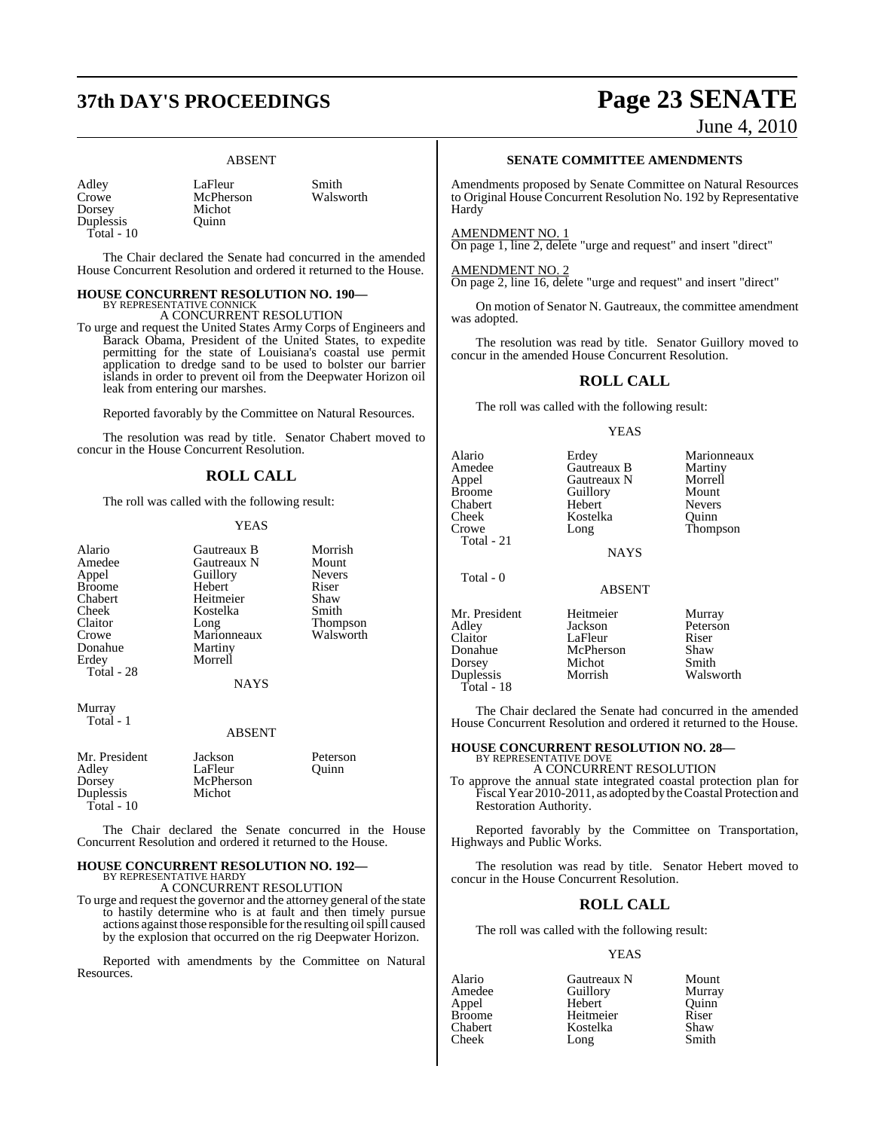# **37th DAY'S PROCEEDINGS Page 23 SENATE**

Michot Quinn

#### ABSENT

| Adley      |  |
|------------|--|
| Crowe      |  |
| Dorsey     |  |
| Duplessis  |  |
| Total - 10 |  |

LaFleur Smith<br>
McPherson Walsworth McPherson

The Chair declared the Senate had concurred in the amended House Concurrent Resolution and ordered it returned to the House.

#### **HOUSE CONCURRENT RESOLUTION NO. 190—** BY REPRESENTATIVE CONNICK

A CONCURRENT RESOLUTION

To urge and request the United States Army Corps of Engineers and Barack Obama, President of the United States, to expedite permitting for the state of Louisiana's coastal use permit application to dredge sand to be used to bolster our barrier islands in order to prevent oil from the Deepwater Horizon oil leak from entering our marshes.

Reported favorably by the Committee on Natural Resources.

The resolution was read by title. Senator Chabert moved to concur in the House Concurrent Resolution.

#### **ROLL CALL**

The roll was called with the following result:

#### YEAS

| Alario<br>Amedee<br>Appel<br><b>Broome</b><br>Chabert<br>Cheek<br>Claitor<br>Crowe<br>Donahue<br>Erdey<br>Total - 28 | Gautreaux B<br>Gautreaux N<br>Guillory<br>Hebert<br>Heitmeier<br>Kostelka<br>Long<br>Marionneaux<br>Martiny<br>Morrell | Morrish<br>Mount<br><b>Nevers</b><br>Riser<br>Shaw<br>Smith<br>Thompson<br>Walsworth |
|----------------------------------------------------------------------------------------------------------------------|------------------------------------------------------------------------------------------------------------------------|--------------------------------------------------------------------------------------|
|                                                                                                                      | <b>NAYS</b>                                                                                                            |                                                                                      |
|                                                                                                                      |                                                                                                                        |                                                                                      |

Murray Total - 1

#### ABSENT

| Mr. President | Jackson   | Peterson |
|---------------|-----------|----------|
| Adley         | LaFleur   | Ouinn    |
| Dorsey        | McPherson |          |
| Duplessis     | Michot    |          |
| Total - $10$  |           |          |

The Chair declared the Senate concurred in the House Concurrent Resolution and ordered it returned to the House.

#### **HOUSE CONCURRENT RESOLUTION NO. 192—** BY REPRESENTATIVE HARDY

A CONCURRENT RESOLUTION

To urge and request the governor and the attorney general of the state to hastily determine who is at fault and then timely pursue actions against those responsible for the resulting oil spill caused by the explosion that occurred on the rig Deepwater Horizon.

Reported with amendments by the Committee on Natural Resources.

#### **SENATE COMMITTEE AMENDMENTS**

Amendments proposed by Senate Committee on Natural Resources to Original House Concurrent Resolution No. 192 by Representative **Hardy** 

#### AMENDMENT NO. 1

On page 1, line 2, delete "urge and request" and insert "direct"

#### AMENDMENT NO. 2

On page 2, line 16, delete "urge and request" and insert "direct"

On motion of Senator N. Gautreaux, the committee amendment was adopted.

The resolution was read by title. Senator Guillory moved to concur in the amended House Concurrent Resolution.

#### **ROLL CALL**

The roll was called with the following result:

#### YEAS

| Erdey       | Marionneaux   |
|-------------|---------------|
| Gautreaux B | Martiny       |
| Gautreaux N | Morrell       |
| Guillory    | Mount         |
| Hebert      | <b>Nevers</b> |
| Kostelka    | Ouinn         |
| Long        | Thompson      |
|             |               |
| <b>NAYS</b> |               |
|             |               |

Total - 0

ABSENT

Mr. President Heitmeier Murray<br>Adlev Jackson Peterso Claitor LaFleur Riser<br>
Donahue McPherson Shaw Donahue McPherson Shaw<br>
Dorsey Michot Smith Duplessis Total - 18

**Jackson**<br> **LaFleur Riser** Michot Smith<br>
Morrish Walsworth

The Chair declared the Senate had concurred in the amended House Concurrent Resolution and ordered it returned to the House.

## **HOUSE CONCURRENT RESOLUTION NO. 28—** BY REPRESENTATIVE DOVE

A CONCURRENT RESOLUTION

To approve the annual state integrated coastal protection plan for Fiscal Year 2010-2011, as adopted by the Coastal Protection and Restoration Authority.

Reported favorably by the Committee on Transportation, Highways and Public Works.

The resolution was read by title. Senator Hebert moved to concur in the House Concurrent Resolution.

#### **ROLL CALL**

The roll was called with the following result:

#### YEAS

| Gautreaux N | Mount  |
|-------------|--------|
| Guillory    | Murray |
| Hebert      | Ouinn  |
| Heitmeier   | Riser  |
| Kostelka    | Shaw   |
| Long        | Smith  |
|             |        |

June 4, 2010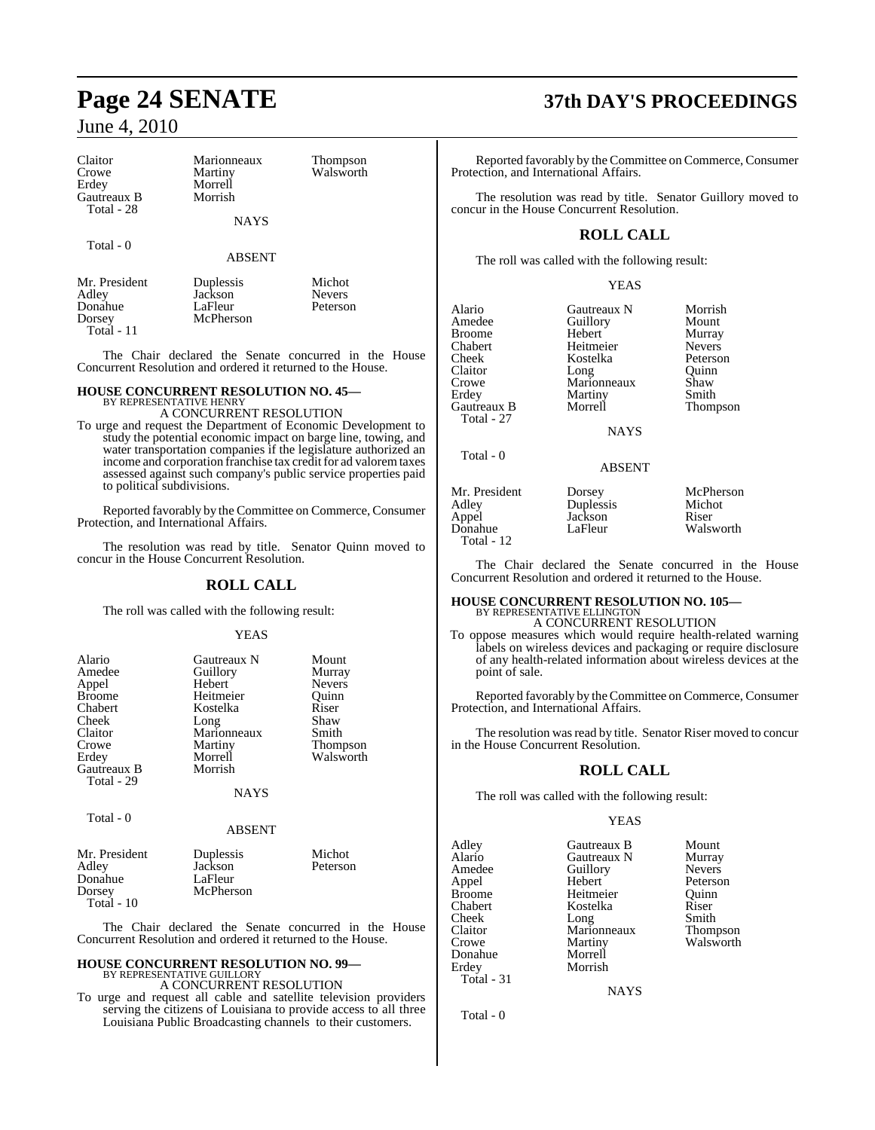Total - 11

| Claitor<br>Crowe<br>Erdev<br>Gautreaux B<br>Total - 28 | Marionneaux<br>Martiny<br>Morrell<br>Morrish<br><b>NAYS</b> | <b>Thompson</b><br>Walsworth        | R<br>Protec<br>Ί<br>concu |
|--------------------------------------------------------|-------------------------------------------------------------|-------------------------------------|---------------------------|
| Total - 0                                              | <b>ABSENT</b>                                               |                                     | Ί                         |
| Mr. President<br>Adley<br>Donahue<br>Dorsey            | Duplessis<br>Jackson<br>LaFleur<br>McPherson                | Michot<br><b>Nevers</b><br>Peterson | Alaric<br>Amed            |

The Chair declared the Senate concurred in the House Concurrent Resolution and ordered it returned to the House.

#### **HOUSE CONCURRENT RESOLUTION NO. 45—** BY REPRESENTATIVE HENRY

A CONCURRENT RESOLUTION

To urge and request the Department of Economic Development to study the potential economic impact on barge line, towing, and water transportation companies if the legislature authorized an income and corporation franchise tax credit for ad valorem taxes assessed against such company's public service properties paid to political subdivisions.

Reported favorably by the Committee on Commerce, Consumer Protection, and International Affairs.

The resolution was read by title. Senator Quinn moved to concur in the House Concurrent Resolution.

#### **ROLL CALL**

The roll was called with the following result:

#### YEAS

| Alario        | Gautreaux N | Mount         |
|---------------|-------------|---------------|
| Amedee        | Guillory    | Murray        |
| Appel         | Hebert      | <b>Nevers</b> |
| <b>Broome</b> | Heitmeier   | Ouinn         |
| Chabert       | Kostelka    | Riser         |
| Cheek         | Long        | Shaw          |
| Claitor       | Marionneaux | Smith         |
| Crowe         | Martiny     | Thompson      |
| Erdey         | Morrell     | Walsworth     |
| Gautreaux B   | Morrish     |               |
| Total - 29    |             |               |

Total - 0

#### ABSENT

NAYS

| Mr. President | Duplessis | Michot   |
|---------------|-----------|----------|
| Adley         | Jackson   | Peterson |
| Donahue       | LaFleur   |          |
| Dorsey        | McPherson |          |
| Total - $10$  |           |          |

The Chair declared the Senate concurred in the House Concurrent Resolution and ordered it returned to the House.

#### **HOUSE CONCURRENT RESOLUTION NO. 99—** BY REPRESENTATIVE GUILLORY

A CONCURRENT RESOLUTION

To urge and request all cable and satellite television providers serving the citizens of Louisiana to provide access to all three Louisiana Public Broadcasting channels to their customers.

## **Page 24 SENATE 37th DAY'S PROCEEDINGS**

Reported favorably by the Committee on Commerce, Consumer ction, and International Affairs.

The resolution was read by title. Senator Guillory moved to r in the House Concurrent Resolution.

## **ROLL CALL**

The roll was called with the following result:

|                                                                                                                 | YEAS                                                                                                                   |                                                                                               |
|-----------------------------------------------------------------------------------------------------------------|------------------------------------------------------------------------------------------------------------------------|-----------------------------------------------------------------------------------------------|
| Alario<br>Amedee<br><b>Broome</b><br>Chabert<br>Cheek<br>Claitor<br>Crowe<br>Erdey<br>Gautreaux B<br>Total - 27 | Gautreaux N<br>Guillory<br>Hebert<br>Heitmeier<br>Kostelka<br>Long<br>Marionneaux<br>Martiny<br>Morrell<br><b>NAYS</b> | Morrish<br>Mount<br>Murray<br><b>Nevers</b><br>Peterson<br>Quinn<br>Shaw<br>Smith<br>Thompson |
| Total - 0                                                                                                       | <b>ABSENT</b>                                                                                                          |                                                                                               |
| Mr. President<br>Adley<br>Appel<br>Donahue                                                                      | Dorsey<br>Duplessis<br>Jackson<br>LaFleur                                                                              | McPherson<br>Michot<br>Riser<br>Walsworth                                                     |

The Chair declared the Senate concurred in the House Concurrent Resolution and ordered it returned to the House.

## **HOUSE CONCURRENT RESOLUTION NO. 105—**

BY REPRESENTATIVE ELLINGTON A CONCURRENT RESOLUTION To oppose measures which would require health-related warning labels on wireless devices and packaging or require disclosure of any health-related information about wireless devices at the point of sale.

Reported favorably by the Committee on Commerce, Consumer Protection, and International Affairs.

The resolution was read by title. Senator Riser moved to concur in the House Concurrent Resolution.

### **ROLL CALL**

The roll was called with the following result:

#### YEAS

Adley Gautreaux B Mount Alario Gautreaux N Murray<br>Amedee Guillory Nevers Amedee Guillory<br>Appel Hebert Appel Hebert Peterson Broome Heitmeier<br>Chabert Kostelka Cheek Long Smith<br>Claitor Marionneaux Thompson Claitor Marionneaux<br>Crowe Martiny Donahue<br>Erdey Total - 31

Total - 12

Kostelka Riser<br>Long Smith Martiny Walsworth<br>Morrell Morrish

**NAYS** 

Total - 0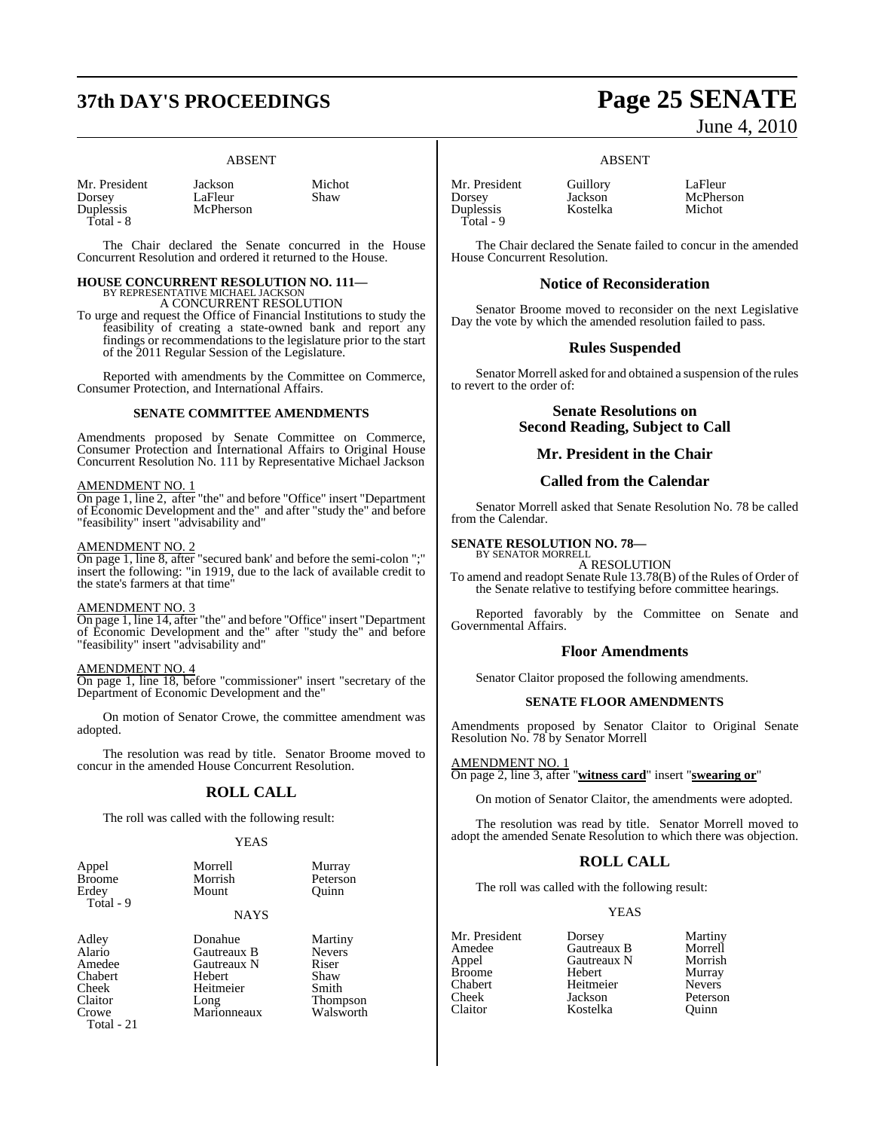# **37th DAY'S PROCEEDINGS Page 25 SENATE**

#### ABSENT

| Mr. President |  |
|---------------|--|
| Dorsey        |  |
| Duplessis     |  |
| Total - 8     |  |

Jackson Michot<br>LaFleur Shaw LaFleur **McPherson** 

The Chair declared the Senate concurred in the House Concurrent Resolution and ordered it returned to the House.

## **HOUSE CONCURRENT RESOLUTION NO. 111—**

BY REPRESENTATIVE MICHAEL JACKSON A CONCURRENT RESOLUTION

To urge and request the Office of Financial Institutions to study the feasibility of creating a state-owned bank and report any findings or recommendations to the legislature prior to the start of the 2011 Regular Session of the Legislature.

Reported with amendments by the Committee on Commerce, Consumer Protection, and International Affairs.

#### **SENATE COMMITTEE AMENDMENTS**

Amendments proposed by Senate Committee on Commerce, Consumer Protection and International Affairs to Original House Concurrent Resolution No. 111 by Representative Michael Jackson

#### AMENDMENT NO. 1

On page 1, line 2, after "the" and before "Office" insert "Department of Economic Development and the" and after "study the" and before "feasibility" insert "advisability and"

#### AMENDMENT NO. 2

On page 1, line 8, after "secured bank' and before the semi-colon ";" insert the following: "in 1919, due to the lack of available credit to the state's farmers at that time"

#### AMENDMENT NO. 3

On page 1, line 14, after "the" and before "Office" insert "Department of Economic Development and the" after "study the" and before "feasibility" insert "advisability and"

#### AMENDMENT NO. 4

On page 1, line 18, before "commissioner" insert "secretary of the Department of Economic Development and the"

On motion of Senator Crowe, the committee amendment was adopted.

The resolution was read by title. Senator Broome moved to concur in the amended House Concurrent Resolution.

### **ROLL CALL**

The roll was called with the following result:

#### **YEAS**

| Appel     | Morrell     | Murray   |
|-----------|-------------|----------|
| Broome    | Morrish     | Peterson |
| Erdev     | Mount       | Ouinn    |
| Total - 9 | <b>NAYS</b> |          |

Cheek Heitmeier<br>Claitor Long Total - 21

Adley **Donahue** Martiny<br> **Alario** Gautreaux B Nevers Alario Gautreaux B Never<br>Amedee Gautreaux N Riser **American Cautreaux N** Riser<br> **American Riser**<br> **American Change** Chabert Hebert Shaw<br>
Cheek Heitmeier Smith Claitor Long Thompson<br>Crowe Marionneaux Walsworth Marionneaux

Mr. President Guillory LaFleur<br>
Dorsey Jackson McPher Duplessis Total - 9

Jackson McPherson<br>Kostelka Michot

The Chair declared the Senate failed to concur in the amended House Concurrent Resolution.

ABSENT

## **Notice of Reconsideration**

Senator Broome moved to reconsider on the next Legislative Day the vote by which the amended resolution failed to pass.

#### **Rules Suspended**

Senator Morrell asked for and obtained a suspension of the rules to revert to the order of:

> **Senate Resolutions on Second Reading, Subject to Call**

#### **Mr. President in the Chair**

#### **Called from the Calendar**

Senator Morrell asked that Senate Resolution No. 78 be called from the Calendar.

**SENATE RESOLUTION NO. 78—**

BY SENATOR MORRELL A RESOLUTION

To amend and readopt Senate Rule 13.78(B) of the Rules of Order of the Senate relative to testifying before committee hearings.

Reported favorably by the Committee on Senate and Governmental Affairs.

#### **Floor Amendments**

Senator Claitor proposed the following amendments.

#### **SENATE FLOOR AMENDMENTS**

Amendments proposed by Senator Claitor to Original Senate Resolution No. 78 by Senator Morrell

AMENDMENT NO. 1 On page 2, line 3, after "**witness card**" insert "**swearing or**"

On motion of Senator Claitor, the amendments were adopted.

The resolution was read by title. Senator Morrell moved to adopt the amended Senate Resolution to which there was objection.

### **ROLL CALL**

The roll was called with the following result:

Kostelka

#### YEAS

Broome Hebert Murray<br>
Chabert Heitmeier Nevers Chabert Heitmeier<br>
Cheek Jackson

Mr. President Dorsey Martiny<br>Amedee Gautreaux B Morrell Amedee Gautreaux B Morrell<br>
Appel Gautreaux N Morrish Gautreaux N Morrish<br>
Hebert Murray Cheek Jackson Peterson

# June 4, 2010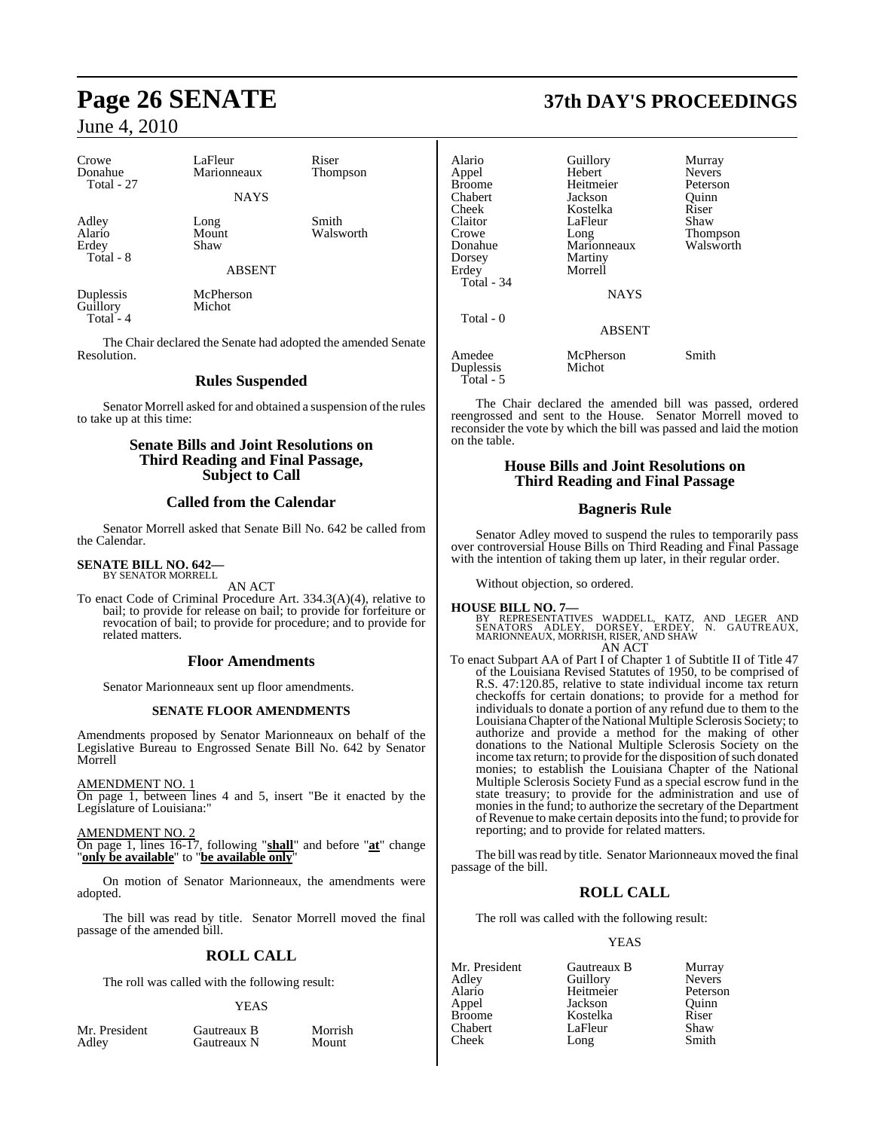| Crowe<br>Donahue<br>Total - 27        | LaFleur<br>Marionneaux | Riser<br>Thompson  |
|---------------------------------------|------------------------|--------------------|
|                                       | <b>NAYS</b>            |                    |
| Adley<br>Alario<br>Erdey<br>Total - 8 | Long<br>Mount<br>Shaw  | Smith<br>Walsworth |
|                                       | <b>ABSENT</b>          |                    |
| Duplessis<br>Guillory                 | McPherson<br>Michot    |                    |

Total - 4

The Chair declared the Senate had adopted the amended Senate Resolution.

## **Rules Suspended**

Senator Morrell asked for and obtained a suspension of the rules to take up at this time:

## **Senate Bills and Joint Resolutions on Third Reading and Final Passage, Subject to Call**

### **Called from the Calendar**

Senator Morrell asked that Senate Bill No. 642 be called from the Calendar.

#### **SENATE BILL NO. 642—** BY SENATOR MORRELL

AN ACT

To enact Code of Criminal Procedure Art. 334.3(A)(4), relative to bail; to provide for release on bail; to provide for forfeiture or revocation of bail; to provide for procedure; and to provide for related matters.

#### **Floor Amendments**

Senator Marionneaux sent up floor amendments.

#### **SENATE FLOOR AMENDMENTS**

Amendments proposed by Senator Marionneaux on behalf of the Legislative Bureau to Engrossed Senate Bill No. 642 by Senator Morrell

#### AMENDMENT NO. 1

On page 1, between lines 4 and 5, insert "Be it enacted by the Legislature of Louisiana:"

#### AMENDMENT NO. 2

On page 1, lines 16-17, following "**shall**" and before "**at**" change "**only be available**" to "**be available only**"

On motion of Senator Marionneaux, the amendments were adopted.

The bill was read by title. Senator Morrell moved the final passage of the amended bill.

### **ROLL CALL**

The roll was called with the following result:

#### YEAS

| Mr. President |  |
|---------------|--|
| Adley         |  |

Gautreaux B Morrish<br>
Gautreaux N Mount Gautreaux N

## **Page 26 SENATE 37th DAY'S PROCEEDINGS**

| Alario<br>Appel<br>Broome<br>Chabert<br>Cheek<br>Claitor<br>Crowe<br>Donahue<br>Dorsey<br>Erdev<br><b>Total - 34</b> | Guillory<br>Hebert<br>Heitmeier<br>Jackson<br>Kostelka<br>LaFleur<br>Long<br>Marionneaux<br>Martiny<br>Morrell<br><b>NAYS</b> | Murray<br><b>Nevers</b><br>Peterson<br>Ouinn<br>Riser<br>Shaw<br>Thompson<br>Walsworth |
|----------------------------------------------------------------------------------------------------------------------|-------------------------------------------------------------------------------------------------------------------------------|----------------------------------------------------------------------------------------|
| Total - 0                                                                                                            | <b>ABSENT</b>                                                                                                                 |                                                                                        |
| Amedee<br>Duplessis<br>Total - 5                                                                                     | McPherson<br>Michot                                                                                                           | Smith                                                                                  |

The Chair declared the amended bill was passed, ordered reengrossed and sent to the House. Senator Morrell moved to reconsider the vote by which the bill was passed and laid the motion on the table.

#### **House Bills and Joint Resolutions on Third Reading and Final Passage**

#### **Bagneris Rule**

Senator Adley moved to suspend the rules to temporarily pass over controversial House Bills on Third Reading and Final Passage with the intention of taking them up later, in their regular order.

Without objection, so ordered.

- **HOUSE BILL NO. 7—**<br>BY REPRESENTATIVES WADDELL, KATZ, AND LEGER AND<br>SENATORS ADLEY, DORSEY, ERDEY, N. GAUTREAUX,<br>MARIONNEAUX, MORRISH, RISER, AND SHAW AN ACT
- To enact Subpart AA of Part I of Chapter 1 of Subtitle II of Title 47 of the Louisiana Revised Statutes of 1950, to be comprised of R.S. 47:120.85, relative to state individual income tax return checkoffs for certain donations; to provide for a method for individuals to donate a portion of any refund due to them to the LouisianaChapter ofthe National Multiple Sclerosis Society; to authorize and provide a method for the making of other donations to the National Multiple Sclerosis Society on the income tax return; to provide for the disposition of such donated monies; to establish the Louisiana Chapter of the National Multiple Sclerosis Society Fund as a special escrow fund in the state treasury; to provide for the administration and use of monies in the fund; to authorize the secretary of the Department of Revenue to make certain deposits into the fund; to provide for reporting; and to provide for related matters.

The bill was read by title. Senator Marionneaux moved the final passage of the bill.

### **ROLL CALL**

The roll was called with the following result:

## YEAS

| Mr. President | Gautreaux B | Murray        |
|---------------|-------------|---------------|
| Adley         | Guillory    | <b>Nevers</b> |
| Alario        | Heitmeier   | Peterson      |
| Appel         | Jackson     | Ouinn         |
| <b>Broome</b> | Kostelka    | Riser         |
| Chabert       | LaFleur     | Shaw          |
| Cheek         | Long        | Smith         |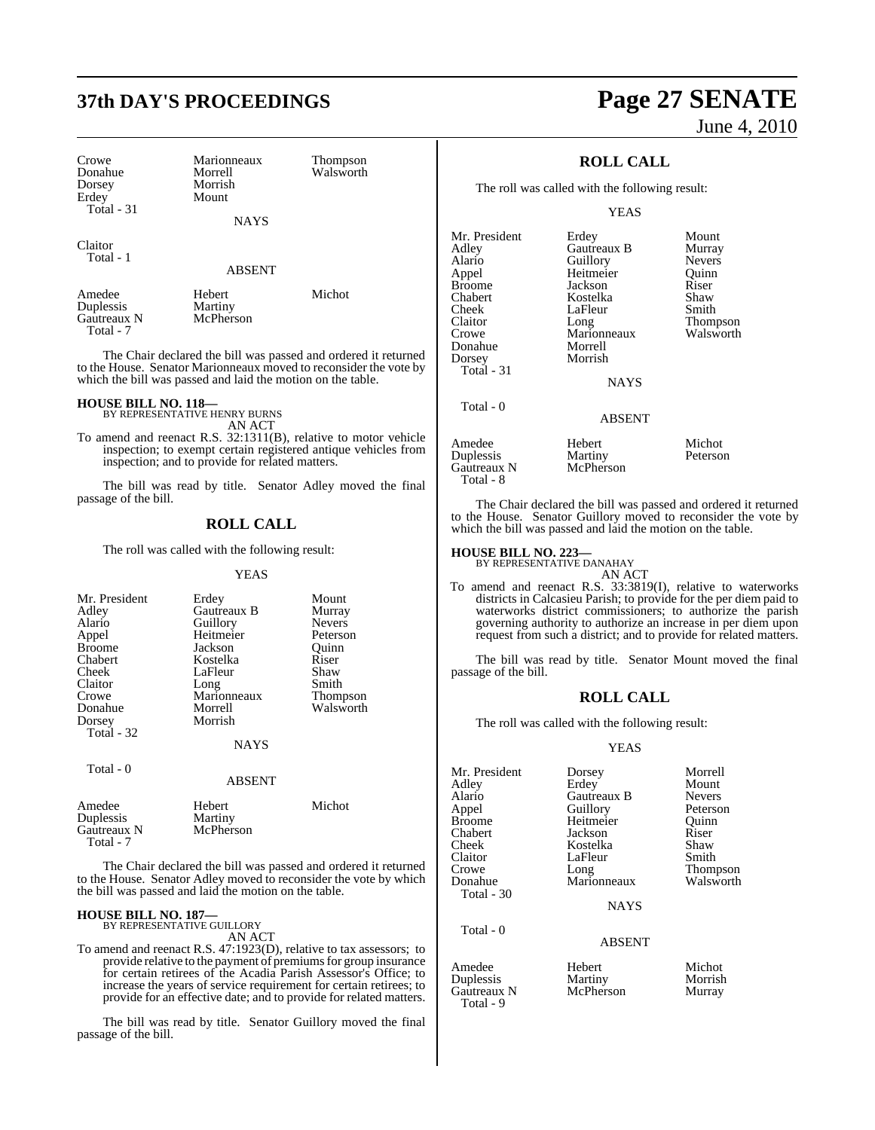# **37th DAY'S PROCEEDINGS Page 27 SENATE**

| Crowe<br>Donahue<br>Dorsey<br>Erdey<br>Total $-31$ | Marionneaux<br>Morrell<br>Morrish<br>Mount<br><b>NAYS</b> | Thompson<br>Walsworth |
|----------------------------------------------------|-----------------------------------------------------------|-----------------------|
| Claitor<br>Total - 1                               | <b>ABSENT</b>                                             |                       |
| Amedee                                             | Hebert                                                    | Michot                |

Duplessis Martiny<br>
Gautreaux N McPherson Gautreaux N Total - 7

The Chair declared the bill was passed and ordered it returned to the House. Senator Marionneaux moved to reconsider the vote by which the bill was passed and laid the motion on the table.

## **HOUSE BILL NO. 118—** BY REPRESENTATIVE HENRY BURNS

AN ACT

To amend and reenact R.S. 32:1311(B), relative to motor vehicle inspection; to exempt certain registered antique vehicles from inspection; and to provide for related matters.

The bill was read by title. Senator Adley moved the final passage of the bill.

## **ROLL CALL**

The roll was called with the following result:

#### YEAS

| Mr. President<br>Adley<br>Alario<br>Appel<br><b>Broome</b><br>Chabert<br>Cheek<br>Claitor<br>Crowe<br>Donahue | Erdey<br>Gautreaux B<br>Guillory<br>Heitmeier<br>Jackson<br>Kostelka<br>LaFleur<br>Long<br>Marionneaux<br>Morrell | Mount<br>Murray<br><b>Nevers</b><br>Peterson<br>Ouinn<br>Riser<br>Shaw<br>Smith<br>Thompson<br>Walsworth |
|---------------------------------------------------------------------------------------------------------------|-------------------------------------------------------------------------------------------------------------------|----------------------------------------------------------------------------------------------------------|
| Dorsey<br>Total - 32<br>Total - 0                                                                             | Morrish<br><b>NAYS</b>                                                                                            |                                                                                                          |
|                                                                                                               | ABSENT                                                                                                            |                                                                                                          |
| Amedee<br>Duplessis<br>Gautreaux N                                                                            | Hebert<br>Martiny<br>McPherson                                                                                    | Michot                                                                                                   |

The Chair declared the bill was passed and ordered it returned to the House. Senator Adley moved to reconsider the vote by which the bill was passed and laid the motion on the table.

#### **HOUSE BILL NO. 187—**

Gautreaux N Total - 7

> BY REPRESENTATIVE GUILLORY AN ACT

To amend and reenact R.S. 47:1923(D), relative to tax assessors; to provide relative to the payment of premiums for group insurance for certain retirees of the Acadia Parish Assessor's Office; to increase the years of service requirement for certain retirees; to provide for an effective date; and to provide for related matters.

The bill was read by title. Senator Guillory moved the final passage of the bill.

# June 4, 2010

## **ROLL CALL**

The roll was called with the following result:

YEAS

| Mr. President<br>Adley<br>Alario<br>Appel<br><b>Broome</b><br>Chabert<br>Cheek<br>Claitor<br>Crowe<br>Donahue<br>Dorsey<br>Total $-31$<br>Total - 0 | Erdey<br>Gautreaux B<br>Guillory<br>Heitmeier<br>Jackson<br>Kostelka<br>LaFleur<br>Long<br>Marionneaux<br>Morrell<br>Morrish<br><b>NAYS</b><br><b>ABSENT</b> | Mount<br>Murray<br><b>Nevers</b><br>Ouinn<br>Riser<br>Shaw<br>Smith<br>Thompson<br>Walsworth |
|-----------------------------------------------------------------------------------------------------------------------------------------------------|--------------------------------------------------------------------------------------------------------------------------------------------------------------|----------------------------------------------------------------------------------------------|
|                                                                                                                                                     |                                                                                                                                                              |                                                                                              |
| Amedee<br>Duplessis<br>Gautreaux N                                                                                                                  | Hebert<br>Martiny<br>McPherson                                                                                                                               | Michot<br>Peterson                                                                           |

The Chair declared the bill was passed and ordered it returned to the House. Senator Guillory moved to reconsider the vote by which the bill was passed and laid the motion on the table.

## **HOUSE BILL NO. 223—** BY REPRESENTATIVE DANAHAY

Total - 8

AN ACT

To amend and reenact R.S. 33:3819(I), relative to waterworks districts in Calcasieu Parish; to provide for the per diem paid to waterworks district commissioners; to authorize the parish governing authority to authorize an increase in per diem upon request from such a district; and to provide for related matters.

The bill was read by title. Senator Mount moved the final passage of the bill.

#### **ROLL CALL**

The roll was called with the following result:

#### YEAS

| Mr. President | Dorsey        | Morrell         |
|---------------|---------------|-----------------|
| Adley         | Erdey         | Mount           |
| Alario        | Gautreaux B   | <b>Nevers</b>   |
| Appel         | Guillory      | Peterson        |
| <b>Broome</b> | Heitmeier     | Ouinn           |
| Chabert       | Jackson       | Riser           |
| Cheek         | Kostelka      | Shaw            |
| Claitor       | LaFleur       | Smith           |
| Crowe         | Long          | <b>Thompson</b> |
| Donahue       | Marionneaux   | Walsworth       |
| Total - 30    |               |                 |
|               | <b>NAYS</b>   |                 |
| Total - 0     |               |                 |
|               | <b>ABSENT</b> |                 |
|               |               |                 |

Amedee Hebert Michot<br>
Duplessis Martiny Morrish Duplessis Martiny Morrish Gautreaux N Total - 9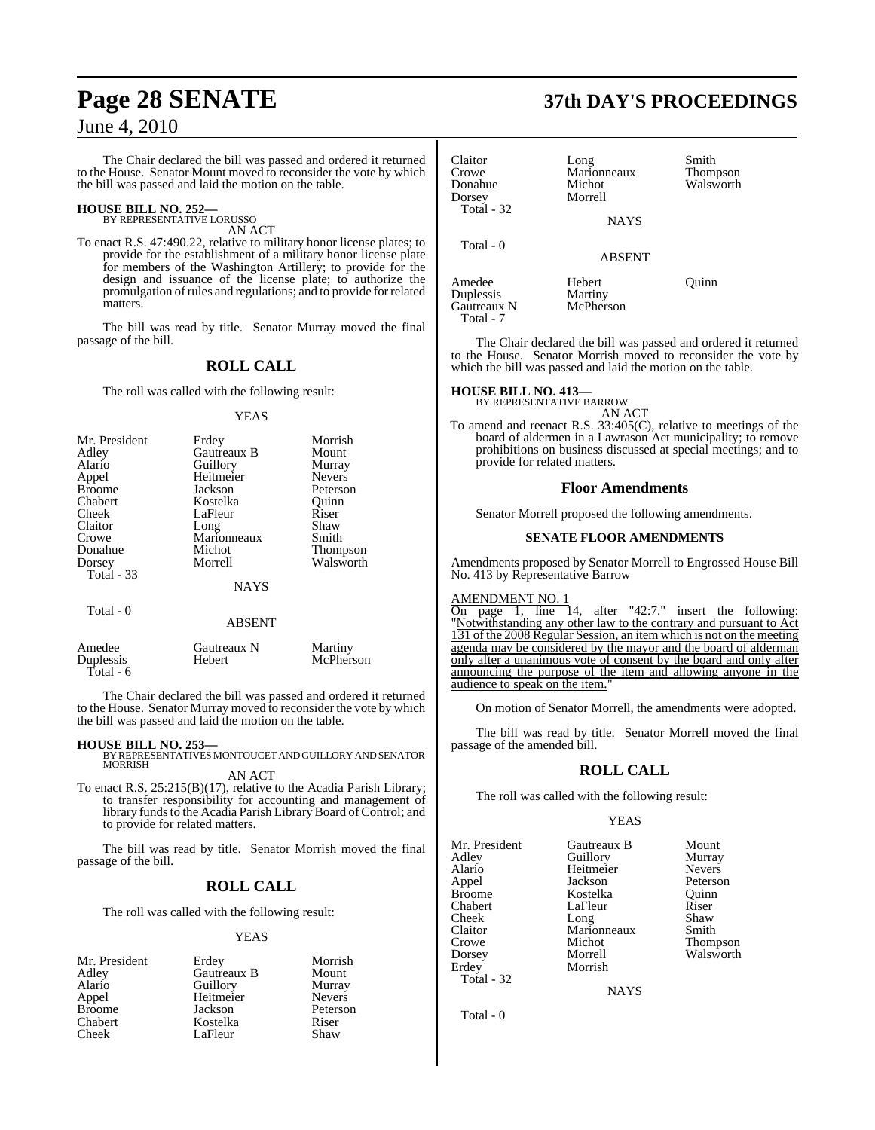The Chair declared the bill was passed and ordered it returned to the House. Senator Mount moved to reconsider the vote by which the bill was passed and laid the motion on the table.

## **HOUSE BILL NO. 252—** BY REPRESENTATIVE LORUSSO

AN ACT

To enact R.S. 47:490.22, relative to military honor license plates; to provide for the establishment of a military honor license plate for members of the Washington Artillery; to provide for the design and issuance of the license plate; to authorize the promulgation ofrules and regulations; and to provide forrelated matters.

The bill was read by title. Senator Murray moved the final passage of the bill.

## **ROLL CALL**

The roll was called with the following result:

#### YEAS

| Mr. President     | Erdey         | Morrish         |
|-------------------|---------------|-----------------|
| Adley             | Gautreaux B   | Mount           |
| Alario            | Guillory      | Murray          |
| Appel             | Heitmeier     | <b>Nevers</b>   |
| <b>Broome</b>     | Jackson       | Peterson        |
| Chabert           | Kostelka      | Ouinn           |
| Cheek             | LaFleur       | Riser           |
| Claitor           | Long          | Shaw            |
| Crowe             | Marionneaux   | Smith           |
| Donahue           | Michot        | <b>Thompson</b> |
| Dorsey            | Morrell       | Walsworth       |
| <b>Total - 33</b> |               |                 |
|                   | <b>NAYS</b>   |                 |
| Total - 0         |               |                 |
|                   | <b>ABSENT</b> |                 |

Amedee Gautreaux N Martiny Duplessis Total - 6

The Chair declared the bill was passed and ordered it returned to the House. Senator Murray moved to reconsider the vote by which the bill was passed and laid the motion on the table.

**HOUSE BILL NO. 253—** BY REPRESENTATIVES MONTOUCET AND GUILLORY AND SENATOR **MORRISH** 

AN ACT

To enact R.S. 25:215(B)(17), relative to the Acadia Parish Library; to transfer responsibility for accounting and management of library funds to the Acadia Parish Library Board of Control; and to provide for related matters.

The bill was read by title. Senator Morrish moved the final passage of the bill.

### **ROLL CALL**

The roll was called with the following result:

#### **YEAS**

| Mr. President | Erdey       | Morrish       |
|---------------|-------------|---------------|
| Adley         | Gautreaux B | Mount         |
| Alario        | Guillory    | Murray        |
| Appel         | Heitmeier   | <b>Nevers</b> |
| <b>Broome</b> | Jackson     | Peterson      |
| Chabert       | Kostelka    | Riser         |
| Cheek         | LaFleur     | Shaw          |

## **Page 28 SENATE 37th DAY'S PROCEEDINGS**

| Claitor<br>Crowe<br>Donahue<br>Dorsey<br>Total - 32 | Long<br>Marionneaux<br>Michot<br>Morrell<br><b>NAYS</b> | Smith<br><b>Thompson</b><br>Walsworth |
|-----------------------------------------------------|---------------------------------------------------------|---------------------------------------|
| Total - 0                                           | <b>ABSENT</b>                                           |                                       |
| Amedee<br>Duplessis<br>Gautreaux N                  | Hebert<br>Martiny<br>McPherson                          | Ouinn                                 |

The Chair declared the bill was passed and ordered it returned to the House. Senator Morrish moved to reconsider the vote by which the bill was passed and laid the motion on the table.

#### **HOUSE BILL NO. 413—**

Total - 7

BY REPRESENTATIVE BARROW AN ACT

To amend and reenact R.S. 33:405(C), relative to meetings of the board of aldermen in a Lawrason Act municipality; to remove prohibitions on business discussed at special meetings; and to provide for related matters.

#### **Floor Amendments**

Senator Morrell proposed the following amendments.

#### **SENATE FLOOR AMENDMENTS**

Amendments proposed by Senator Morrell to Engrossed House Bill No. 413 by Representative Barrow

#### AMENDMENT NO. 1

On page 1, line 14, after "42:7." insert the following: "Notwithstanding any other law to the contrary and pursuant to Act 131 of the 2008 Regular Session, an item which is not on the meeting agenda may be considered by the mayor and the board of alderman only after a unanimous vote of consent by the board and only after announcing the purpose of the item and allowing anyone in the audience to speak on the item.

On motion of Senator Morrell, the amendments were adopted.

The bill was read by title. Senator Morrell moved the final passage of the amended bill.

### **ROLL CALL**

The roll was called with the following result:

Morrish

#### YEAS

Mr. President Gautreaux B Mount<br>Adley Guillory Murray Adley Guillory Murray Alario Heitmeier<br>Appel Jackson Appel Jackson Peterson<br>Broome Kostelka Ouinn Broome Kostelka<br>Chabert LaFleur Cheek Long Shaw<br>Claitor Marionneaux Smith Claitor Marionneaux<br>Crowe Michot Crowe Michot Thompson<br>
Dorsey Morrell Walsworth Dorsey Morrell Walsworth Total - 32

LaFleur Riser<br>Long Shaw

**NAYS** 

Total - 0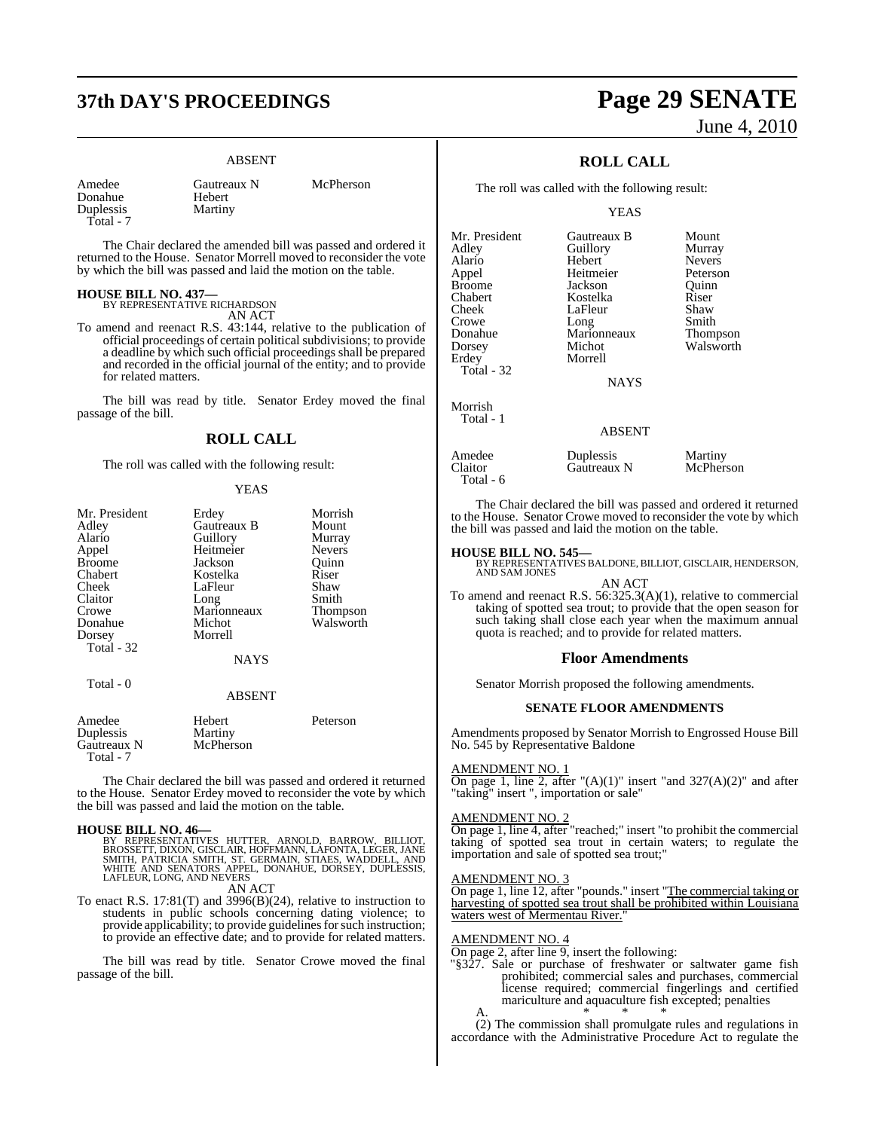# **37th DAY'S PROCEEDINGS Page 29 SENATE**

#### ABSENT

Donahue Hebert<br>Duplessis Martiny Duplessis Total - 7

Amedee Gautreaux N McPherson<br>Donahue Hebert

The Chair declared the amended bill was passed and ordered it returned to the House. Senator Morrell moved to reconsider the vote by which the bill was passed and laid the motion on the table.

## **HOUSE BILL NO. 437—** BY REPRESENTATIVE RICHARDSON

AN ACT

To amend and reenact R.S. 43:144, relative to the publication of official proceedings of certain political subdivisions; to provide a deadline by which such official proceedings shall be prepared and recorded in the official journal of the entity; and to provide for related matters.

The bill was read by title. Senator Erdey moved the final passage of the bill.

#### **ROLL CALL**

The roll was called with the following result:

#### YEAS

| Mr. President<br>Adley | Erdey<br>Gautreaux B | Morrish<br>Mount |
|------------------------|----------------------|------------------|
| Alario                 | Guillory             | Murray           |
| Appel                  | Heitmeier            | <b>Nevers</b>    |
| <b>Broome</b>          | Jackson              | Ouinn            |
| Chabert                | Kostelka             | Riser            |
| Cheek                  | LaFleur              | Shaw             |
| Claitor                | Long                 | Smith            |
| Crowe                  | Marionneaux          | Thompson         |
| Donahue                | Michot               | Walsworth        |
| Dorsey                 | Morrell              |                  |
| Total - 32             |                      |                  |
|                        | <b>NAYS</b>          |                  |
| Total - 0              |                      |                  |
|                        | <b>ABSENT</b>        |                  |
| Amedee<br>Duplessis    | Hebert<br>Martiny    | Peterson         |

Gautreaux N McPherson Total - 7

The Chair declared the bill was passed and ordered it returned to the House. Senator Erdey moved to reconsider the vote by which the bill was passed and laid the motion on the table.

**HOUSE BILL NO. 46—**<br>BY REPRESENTATIVES HUTTER, ARNOLD, BARROW, BILLIOT, BROSSETT, DIXON, GISCLAIR, HOFFMANN, LAFONTA, LEGER, JANE<br>SMITH, PATRICIA SMITH, ST. GERMAIN, STIAES, WADDELL, AND<br>WHITE AND SENATORS APPEL, DONAHUE,

To enact R.S. 17:81(T) and 3996(B)(24), relative to instruction to To enact R.S.  $17:81(T)$  and  $3996(B)(24)$ , relative to instruction to students in public schools concerning dating violence; to provide applicability; to provide guidelines for such instruction; to provide an effective date; and to provide for related matters.

The bill was read by title. Senator Crowe moved the final passage of the bill.

# June 4, 2010

## **ROLL CALL**

The roll was called with the following result:

YEAS

| Mr. President | Gautreaux B   | Mount         |
|---------------|---------------|---------------|
| Adley         | Guillory      | Murray        |
| Alario        | Hebert        | <b>Nevers</b> |
| Appel         | Heitmeier     | Peterson      |
| <b>Broome</b> | Jackson       | Quinn         |
| Chabert       | Kostelka      | Riser         |
| Cheek         | LaFleur       | Shaw          |
| Crowe         | Long          | Smith         |
| Donahue       | Marionneaux   | Thompson      |
| Dorsey        | Michot        | Walsworth     |
| Erdey         | Morrell       |               |
| Total - 32    |               |               |
|               | NAYS          |               |
| Morrish       |               |               |
| Total - 1     | <b>ABSENT</b> |               |
|               |               |               |
| Amedee        | Duplessis     | Martiny       |
| Claitor       | Gautreaux N   | McPherson     |

The Chair declared the bill was passed and ordered it returned to the House. Senator Crowe moved to reconsider the vote by which the bill was passed and laid the motion on the table.

#### **HOUSE BILL NO. 545—**

Total - 6

BY REPRESENTATIVES BALDONE, BILLIOT, GISCLAIR, HENDERSON, AND SAM JONES AN ACT

To amend and reenact R.S.  $56:325.3(A)(1)$ , relative to commercial taking of spotted sea trout; to provide that the open season for such taking shall close each year when the maximum annual quota is reached; and to provide for related matters.

#### **Floor Amendments**

Senator Morrish proposed the following amendments.

#### **SENATE FLOOR AMENDMENTS**

Amendments proposed by Senator Morrish to Engrossed House Bill No. 545 by Representative Baldone

#### AMENDMENT NO. 1

On page 1, line 2, after " $(A)(1)$ " insert "and 327 $(A)(2)$ " and after "taking" insert ", importation or sale"

#### AMENDMENT NO. 2

On page 1, line 4, after "reached;" insert "to prohibit the commercial taking of spotted sea trout in certain waters; to regulate the importation and sale of spotted sea trout;"

#### AMENDMENT NO. 3

On page 1, line 12, after "pounds." insert "The commercial taking or harvesting of spotted sea trout shall be prohibited within Louisi waters west of Mermentau River."

#### AMENDMENT NO. 4

On page 2, after line 9, insert the following:

"§327. Sale or purchase of freshwater or saltwater game fish prohibited; commercial sales and purchases, commercial license required; commercial fingerlings and certified mariculture and aquaculture fish excepted; penalties A.  $*$  \* \* \*

(2) The commission shall promulgate rules and regulations in accordance with the Administrative Procedure Act to regulate the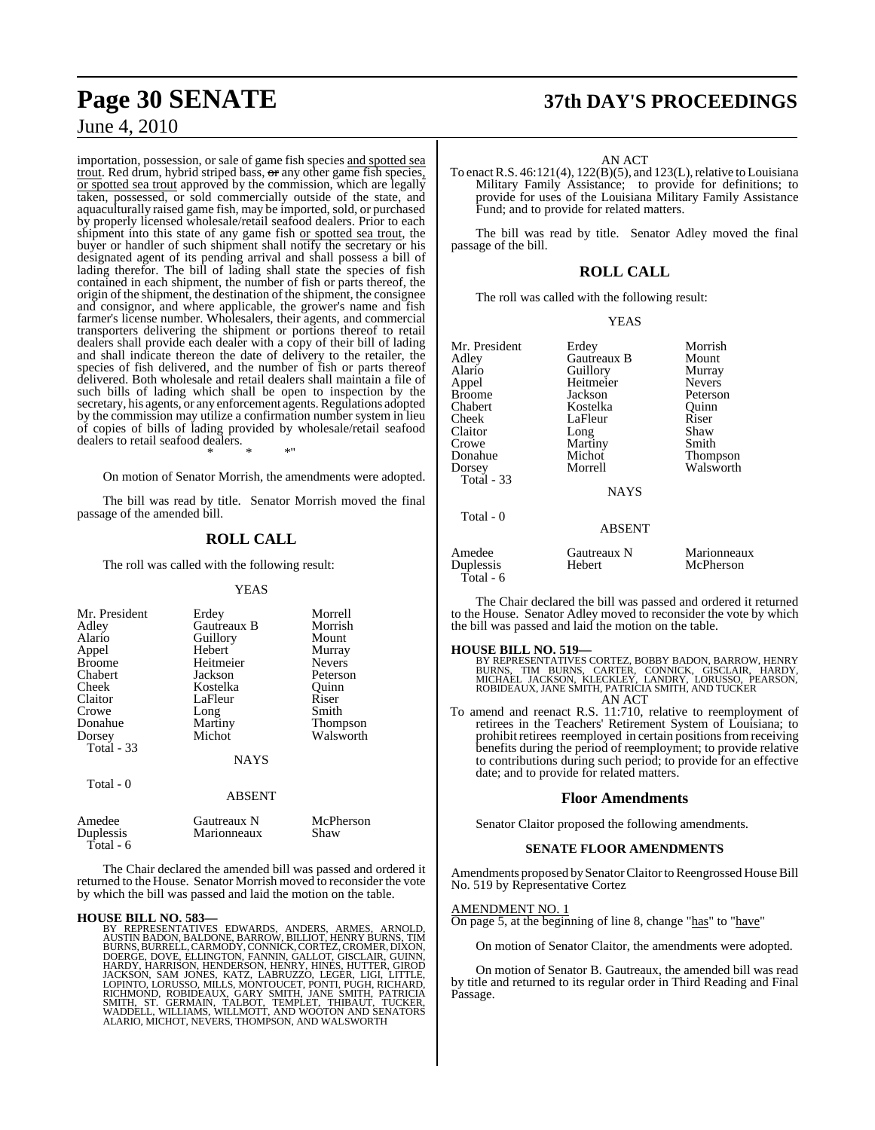importation, possession, or sale of game fish species and spotted sea trout. Red drum, hybrid striped bass, or any other game fish species, or spotted sea trout approved by the commission, which are legally taken, possessed, or sold commercially outside of the state, and aquaculturally raised game fish, may be imported, sold, or purchased by properly licensed wholesale/retail seafood dealers. Prior to each shipment into this state of any game fish or spotted sea trout, the buyer or handler of such shipment shall notify the secretary or his designated agent of its pending arrival and shall possess a bill of lading therefor. The bill of lading shall state the species of fish contained in each shipment, the number of fish or parts thereof, the origin of the shipment, the destination of the shipment, the consignee and consignor, and where applicable, the grower's name and fish farmer's license number. Wholesalers, their agents, and commercial transporters delivering the shipment or portions thereof to retail dealers shall provide each dealer with a copy of their bill of lading and shall indicate thereon the date of delivery to the retailer, the species of fish delivered, and the number of fish or parts thereof delivered. Both wholesale and retail dealers shall maintain a file of such bills of lading which shall be open to inspection by the secretary, his agents, or any enforcement agents. Regulations adopted by the commission may utilize a confirmation number system in lieu of copies of bills of lading provided by wholesale/retail seafood dealers to retail seafood dealers. \* \* \*"

On motion of Senator Morrish, the amendments were adopted.

The bill was read by title. Senator Morrish moved the final passage of the amended bill.

## **ROLL CALL**

The roll was called with the following result:

#### **YEAS**

| Mr. President<br>Adley<br>Alario<br>Appel<br><b>Broome</b><br>Chabert<br>Cheek<br>Claitor<br>Crowe<br>Donahue<br>Dorsey<br><b>Total - 33</b><br>Total - 0 | Erdey<br>Gautreaux B<br>Guillory<br>Hebert<br>Heitmeier<br>Jackson<br>Kostelka<br>LaFleur<br>Long<br>Martiny<br>Michot<br><b>NAYS</b><br><b>ABSENT</b> | Morrell<br>Morrish<br>Mount<br>Murray<br><b>Nevers</b><br>Peterson<br>Ouinn<br>Riser<br>Smith<br>Thompson<br>Walsworth |
|-----------------------------------------------------------------------------------------------------------------------------------------------------------|--------------------------------------------------------------------------------------------------------------------------------------------------------|------------------------------------------------------------------------------------------------------------------------|
| Amedee                                                                                                                                                    | Gautreaux N                                                                                                                                            | McPherson                                                                                                              |
| Duplessis<br>Total - 6                                                                                                                                    | Marionneaux                                                                                                                                            | Shaw                                                                                                                   |

The Chair declared the amended bill was passed and ordered it returned to the House. Senator Morrish moved to reconsider the vote by which the bill was passed and laid the motion on the table.

#### **HOUSE BILL NO. 583—**

BY REPRESENTATIVES EDWARDS, ANDERS, ARMES, ARNOLD,<br>AUSTIN BADON, BALDONE, BARROW, BILLIOT, HENRY BURNS, TIM<br>BURNS, BURRELL, CARMODY, CONNICK, CORTEZ, CROMER, DIXON,<br>DOERGE, DOVE, ELLINGTON, FANNIN, GALLOT, GISCLAIR, GUINN,

## **Page 30 SENATE 37th DAY'S PROCEEDINGS**

AN ACT

To enact R.S.  $46:121(4)$ ,  $122(B)(5)$ , and  $123(L)$ , relative to Louisiana Military Family Assistance; to provide for definitions; to provide for uses of the Louisiana Military Family Assistance Fund; and to provide for related matters.

The bill was read by title. Senator Adley moved the final passage of the bill.

## **ROLL CALL**

The roll was called with the following result:

|--|--|

| Mr. President | Erdey         | Morrish       |
|---------------|---------------|---------------|
| Adley         | Gautreaux B   | Mount         |
| Alario        | Guillory      | Murray        |
| Appel         | Heitmeier     | <b>Nevers</b> |
| Broome        | Jackson       | Peterson      |
| Chabert       | Kostelka      | Ouinn         |
| Cheek         | LaFleur       | Riser         |
| Claitor       | Long          | Shaw          |
| Crowe         | Martiny       | Smith         |
| Donahue       | Michot        | Thompson      |
| Dorsey        | Morrell       | Walsworth     |
| Total - 33    | <b>NAYS</b>   |               |
| Total - 0     | <b>ABSENT</b> |               |

| Amedee<br>Duplessis<br>Total - $6$ | Gautreaux N<br>Hebert | Marionneaux<br>McPherson |
|------------------------------------|-----------------------|--------------------------|
|                                    |                       |                          |

The Chair declared the bill was passed and ordered it returned to the House. Senator Adley moved to reconsider the vote by which the bill was passed and laid the motion on the table.

**HOUSE BILL NO. 519—**<br>BY REPRESENTATIVES CORTEZ, BOBBY BADON, BARROW, HENRY<br>BURNS, TIM BURNS, CARTER, CONNICK, GISCLAIR, HARDY,<br>MICHAEL JACKSON, KLECKLEY, LANDRY, LORUSSO, PEARSON,<br>ROBIDEAUX, JANE SMITH, PATRICIA SMITH, AN AN ACT

To amend and reenact R.S. 11:710, relative to reemployment of retirees in the Teachers' Retirement System of Louisiana; to prohibit retirees reemployed in certain positions from receiving benefits during the period of reemployment; to provide relative to contributions during such period; to provide for an effective date; and to provide for related matters.

#### **Floor Amendments**

Senator Claitor proposed the following amendments.

#### **SENATE FLOOR AMENDMENTS**

Amendments proposed by Senator Claitor to Reengrossed House Bill No. 519 by Representative Cortez

#### AMENDMENT NO. 1

On page 5, at the beginning of line 8, change "has" to "have"

On motion of Senator Claitor, the amendments were adopted.

On motion of Senator B. Gautreaux, the amended bill was read by title and returned to its regular order in Third Reading and Final Passage.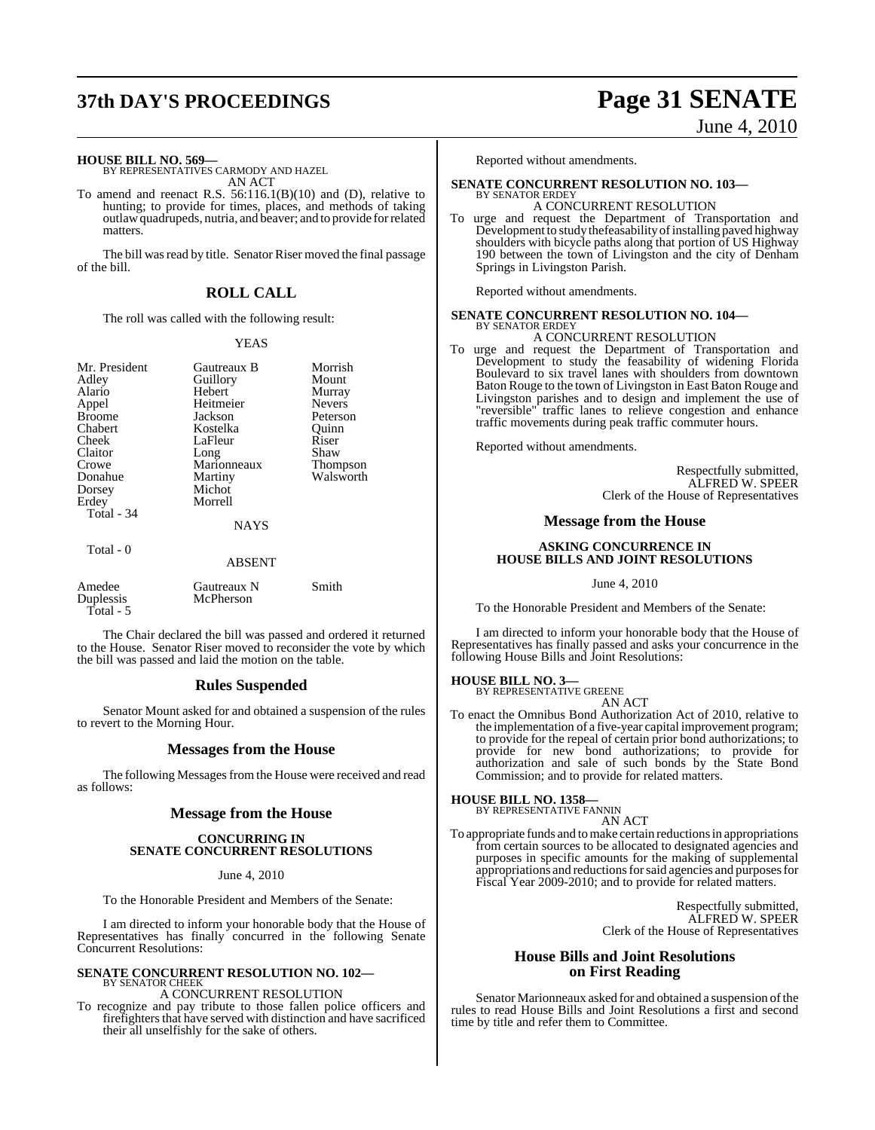# **37th DAY'S PROCEEDINGS Page 31 SENATE**

## June 4, 2010

#### **HOUSE BILL NO. 569—**

BY REPRESENTATIVES CARMODY AND HAZEL AN ACT

To amend and reenact R.S. 56:116.1(B)(10) and (D), relative to hunting; to provide for times, places, and methods of taking outlawquadrupeds, nutria, and beaver; and to provide for related matters<sup>1</sup>

The bill was read by title. Senator Riser moved the final passage of the bill.

## **ROLL CALL**

The roll was called with the following result:

#### YEAS

| Mr. President<br>Adley<br>Alario<br>Appel<br><b>Broome</b><br>Chabert<br>Cheek<br>Claitor<br>Crowe<br>Donahue<br>Dorsey<br>Erdey<br>Total - 34<br>Total - 0 | Gautreaux B<br>Guillory<br>Hebert<br>Heitmeier<br>Jackson<br>Kostelka<br>LaFleur<br>Long<br>Marionneaux<br>Martiny<br>Michot<br>Morrell<br><b>NAYS</b> | Morrish<br>Mount<br>Murray<br><b>Nevers</b><br>Peterson<br>Ouinn<br>Riser<br>Shaw<br>Thompson<br>Walsworth |  |
|-------------------------------------------------------------------------------------------------------------------------------------------------------------|--------------------------------------------------------------------------------------------------------------------------------------------------------|------------------------------------------------------------------------------------------------------------|--|
|                                                                                                                                                             | ABSENT                                                                                                                                                 |                                                                                                            |  |
| Amedee<br>Duplessis<br>Total - 5                                                                                                                            | Gautreaux N<br>McPherson                                                                                                                               | Smith                                                                                                      |  |

The Chair declared the bill was passed and ordered it returned to the House. Senator Riser moved to reconsider the vote by which the bill was passed and laid the motion on the table.

#### **Rules Suspended**

Senator Mount asked for and obtained a suspension of the rules to revert to the Morning Hour.

#### **Messages from the House**

The following Messages from the House were received and read as follows:

### **Message from the House**

#### **CONCURRING IN SENATE CONCURRENT RESOLUTIONS**

June 4, 2010

To the Honorable President and Members of the Senate:

I am directed to inform your honorable body that the House of Representatives has finally concurred in the following Senate Concurrent Resolutions:

#### **SENATE CONCURRENT RESOLUTION NO. 102—** BY SENATOR CHEEK

A CONCURRENT RESOLUTION

To recognize and pay tribute to those fallen police officers and firefighters that have served with distinction and have sacrificed their all unselfishly for the sake of others.

Reported without amendments.

#### **SENATE CONCURRENT RESOLUTION NO. 103—**

- BY SENATOR ERDEY A CONCURRENT RESOLUTION
- To urge and request the Department of Transportation and Development to study thefeasability of installing paved highway shoulders with bicycle paths along that portion of US Highway 190 between the town of Livingston and the city of Denham Springs in Livingston Parish.

Reported without amendments.

#### **SENATE CONCURRENT RESOLUTION NO. 104—** BY SENATOR ERDEY

## A CONCURRENT RESOLUTION

To urge and request the Department of Transportation and Development to study the feasability of widening Florida Boulevard to six travel lanes with shoulders from downtown Baton Rouge to the town of Livingston in East Baton Rouge and Livingston parishes and to design and implement the use of "reversible" traffic lanes to relieve congestion and enhance traffic movements during peak traffic commuter hours.

Reported without amendments.

Respectfully submitted, ALFRED W. SPEER Clerk of the House of Representatives

#### **Message from the House**

#### **ASKING CONCURRENCE IN HOUSE BILLS AND JOINT RESOLUTIONS**

June 4, 2010

To the Honorable President and Members of the Senate:

I am directed to inform your honorable body that the House of Representatives has finally passed and asks your concurrence in the following House Bills and Joint Resolutions:

#### **HOUSE BILL NO. 3—**

BY REPRESENTATIVE GREENE

AN ACT

To enact the Omnibus Bond Authorization Act of 2010, relative to the implementation of a five-year capital improvement program; to provide for the repeal of certain prior bond authorizations; to provide for new bond authorizations; to provide for authorization and sale of such bonds by the State Bond Commission; and to provide for related matters.

## **HOUSE BILL NO. 1358—** BY REPRESENTATIVE FANNIN

AN ACT

To appropriate funds and to make certain reductions in appropriations from certain sources to be allocated to designated agencies and purposes in specific amounts for the making of supplemental appropriations and reductions for said agencies and purposes for Fiscal Year 2009-2010; and to provide for related matters.

> Respectfully submitted, ALFRED W. SPEER Clerk of the House of Representatives

### **House Bills and Joint Resolutions on First Reading**

Senator Marionneaux asked for and obtained a suspension of the rules to read House Bills and Joint Resolutions a first and second time by title and refer them to Committee.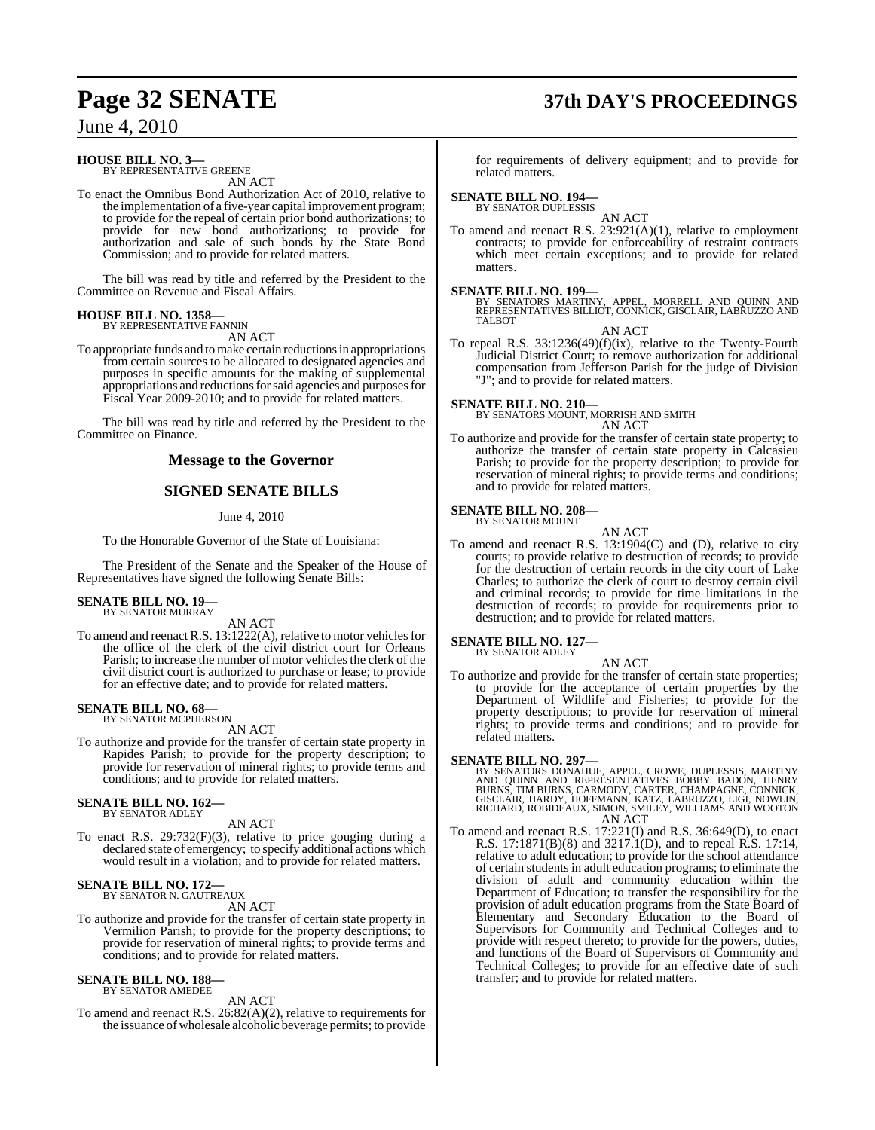# **Page 32 SENATE 37th DAY'S PROCEEDINGS**

June 4, 2010

### **HOUSE BILL NO. 3—**

BY REPRESENTATIVE GREENE AN ACT

To enact the Omnibus Bond Authorization Act of 2010, relative to the implementation of a five-year capital improvement program; to provide for the repeal of certain prior bond authorizations; to provide for new bond authorizations; to provide for authorization and sale of such bonds by the State Bond Commission; and to provide for related matters.

The bill was read by title and referred by the President to the Committee on Revenue and Fiscal Affairs.

#### **HOUSE BILL NO. 1358—** BY REPRESENTATIVE FANNIN

AN ACT

To appropriate funds and tomake certain reductions in appropriations from certain sources to be allocated to designated agencies and purposes in specific amounts for the making of supplemental appropriations and reductions for said agencies and purposes for Fiscal Year 2009-2010; and to provide for related matters.

The bill was read by title and referred by the President to the Committee on Finance.

#### **Message to the Governor**

#### **SIGNED SENATE BILLS**

June 4, 2010

To the Honorable Governor of the State of Louisiana:

The President of the Senate and the Speaker of the House of Representatives have signed the following Senate Bills:

#### **SENATE BILL NO. 19—** BY SENATOR MURRAY

AN ACT

To amend and reenact R.S. 13:1222(A), relative to motor vehicles for the office of the clerk of the civil district court for Orleans Parish; to increase the number of motor vehicles the clerk of the civil district court is authorized to purchase or lease; to provide for an effective date; and to provide for related matters.

#### **SENATE BILL NO. 68—** BY SENATOR MCPHERSON

AN ACT

To authorize and provide for the transfer of certain state property in Rapides Parish; to provide for the property description; to provide for reservation of mineral rights; to provide terms and conditions; and to provide for related matters.

## **SENATE BILL NO. 162—** BY SENATOR ADLEY

AN ACT

To enact R.S. 29:732(F)(3), relative to price gouging during a declared state of emergency; to specify additional actions which would result in a violation; and to provide for related matters.

#### **SENATE BILL NO. 172—**

BY SENATOR N. GAUTREAUX AN ACT

To authorize and provide for the transfer of certain state property in Vermilion Parish; to provide for the property descriptions; to provide for reservation of mineral rights; to provide terms and conditions; and to provide for related matters.

## **SENATE BILL NO. 188—** BY SENATOR AMEDEE

AN ACT To amend and reenact R.S. 26:82(A)(2), relative to requirements for the issuance of wholesale alcoholic beverage permits; to provide

for requirements of delivery equipment; and to provide for related matters.

## **SENATE BILL NO. 194—** BY SENATOR DUPLESSIS

AN ACT To amend and reenact R.S.  $23:921(A)(1)$ , relative to employment contracts; to provide for enforceability of restraint contracts which meet certain exceptions; and to provide for related matters.

**SENATE BILL NO. 199—**<br>BY SENATORS MARTINY, APPEL, MORRELL AND QUINN AND<br>REPRESENTATIVES BILLIOT, CONNICK, GISCLAIR, LABRUZZO AND<br>TALBOT

AN ACT

To repeal R.S. 33:1236(49)(f)(ix), relative to the Twenty-Fourth Judicial District Court; to remove authorization for additional compensation from Jefferson Parish for the judge of Division "J"; and to provide for related matters.

**SENATE BILL NO. 210—** BY SENATORS MOUNT, MORRISH AND SMITH

AN ACT

To authorize and provide for the transfer of certain state property; to authorize the transfer of certain state property in Calcasieu Parish; to provide for the property description; to provide for reservation of mineral rights; to provide terms and conditions; and to provide for related matters.

#### **SENATE BILL NO. 208—** BY SENATOR MOUNT

AN ACT

To amend and reenact R.S. 13:1904(C) and (D), relative to city courts; to provide relative to destruction of records; to provide for the destruction of certain records in the city court of Lake Charles; to authorize the clerk of court to destroy certain civil and criminal records; to provide for time limitations in the destruction of records; to provide for requirements prior to destruction; and to provide for related matters.

## **SENATE BILL NO. 127—** BY SENATOR ADLEY

AN ACT

To authorize and provide for the transfer of certain state properties; to provide for the acceptance of certain properties by the Department of Wildlife and Fisheries; to provide for the property descriptions; to provide for reservation of mineral rights; to provide terms and conditions; and to provide for related matters.

**SENATE BILL NO. 297—**<br>BY SENATORS DONAHUE, APPEL, CROWE, DUPLESSIS, MARTINY<br>AND QUINN AND REPRESENTATIVES BOBBY BADON, HENRY<br>BURNS, TIM BURNS, CARMODY, CARTER, CHAMPAGNE, CONNICK,<br>GISCLAIR, HARDY, HOFFMANN, KATZ, LABRUZZO AN ACT

To amend and reenact R.S. 17:221(I) and R.S. 36:649(D), to enact R.S. 17:1871(B)(8) and 3217.1(D), and to repeal R.S. 17:14, relative to adult education; to provide for the school attendance of certain studentsin adult education programs; to eliminate the division of adult and community education within the Department of Education; to transfer the responsibility for the provision of adult education programs from the State Board of Elementary and Secondary Education to the Board of Supervisors for Community and Technical Colleges and to provide with respect thereto; to provide for the powers, duties, and functions of the Board of Supervisors of Community and Technical Colleges; to provide for an effective date of such transfer; and to provide for related matters.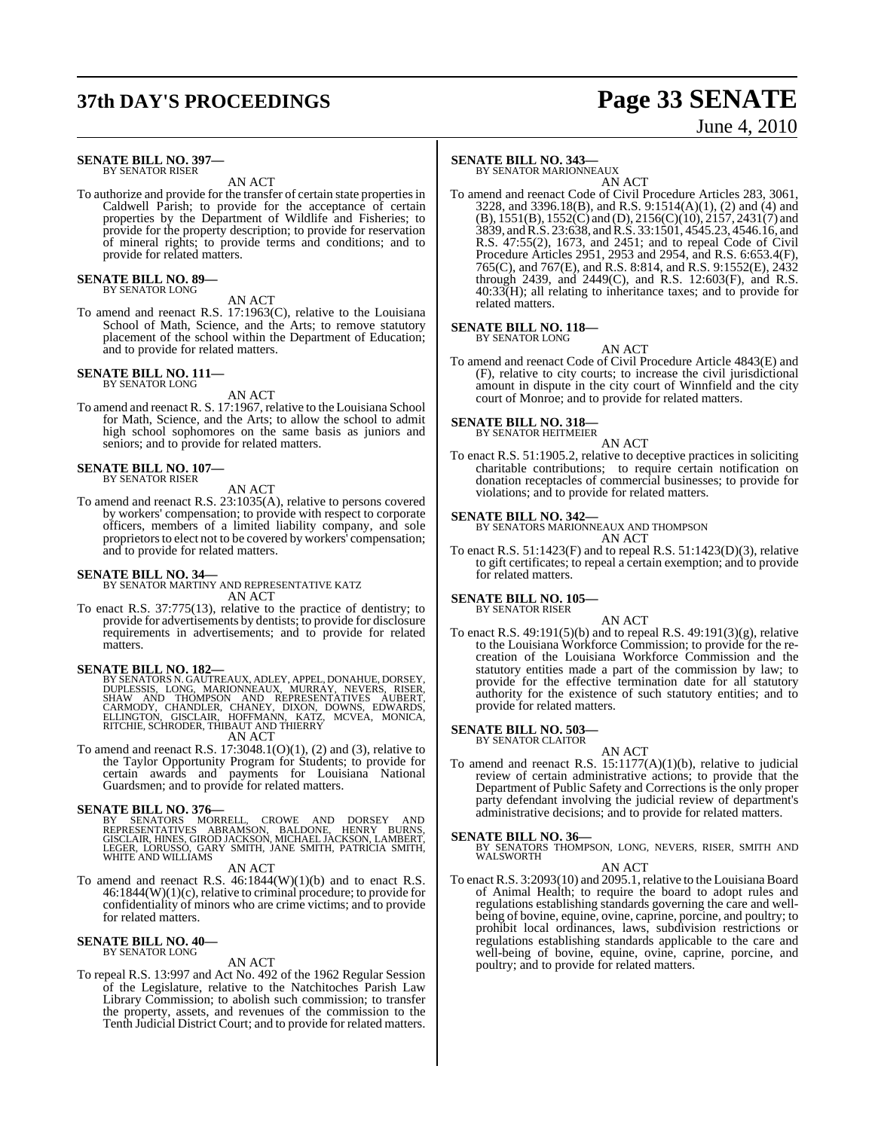# **37th DAY'S PROCEEDINGS Page 33 SENATE**

# June 4, 2010

#### **SENATE BILL NO. 397—** BY SENATOR RISER

AN ACT

To authorize and provide for the transfer of certain state properties in Caldwell Parish; to provide for the acceptance of certain properties by the Department of Wildlife and Fisheries; to provide for the property description; to provide for reservation of mineral rights; to provide terms and conditions; and to provide for related matters.

## **SENATE BILL NO. 89—** BY SENATOR LONG

AN ACT

To amend and reenact R.S. 17:1963(C), relative to the Louisiana School of Math, Science, and the Arts; to remove statutory placement of the school within the Department of Education; and to provide for related matters.

## **SENATE BILL NO. 111—** BY SENATOR LONG

AN ACT To amend and reenact R. S. 17:1967, relative to the Louisiana School for Math, Science, and the Arts; to allow the school to admit high school sophomores on the same basis as juniors and seniors; and to provide for related matters.

## **SENATE BILL NO. 107—** BY SENATOR RISER

AN ACT

To amend and reenact R.S. 23:1035(A), relative to persons covered by workers' compensation; to provide with respect to corporate officers, members of a limited liability company, and sole proprietors to elect not to be covered by workers' compensation; and to provide for related matters.

#### **SENATE BILL NO. 34—**

BY SENATOR MARTINY AND REPRESENTATIVE KATZ AN ACT

To enact R.S. 37:775(13), relative to the practice of dentistry; to provide for advertisements by dentists; to provide for disclosure requirements in advertisements; and to provide for related matters.

SENATE BILL NO. 182—<br>BY SENATORS N. GAUTREAUX, ADLEY, APPEL, DONAHUE, DORSEY, DUPLESSIS, LONG, MARIONNEAUX, MURRAY, NEVERS, RISER,<br>SHAW AND THOMPSON AND REPRESENTATIVES AUBERT,<br>CARMODY, CHANDLER, CHANEY, DIXON, DOWNS, EDWA

AN ACT

To amend and reenact R.S.  $17:3048.1(O)(1)$ ,  $(2)$  and  $(3)$ , relative to the Taylor Opportunity Program for Students; to provide for certain awards and payments for Louisiana National Guardsmen; and to provide for related matters.

#### **SENATE BILL NO. 376—**

BY SENATORS MORRELL, CROWE AND DORSEY AND<br>REPRESENTATIVES ABRAMSON, BALDONE, HENRY BURNS,<br>GISCLAIR,HINES,GIRODJACKSON,MICHAELJACKSON,LAMBERT,<br>LEGER,LORUSSO,GARYSMITH,JANE-SMITH,PATRICIA-SMITH, WHITE AND WILLIAMS

AN ACT

To amend and reenact R.S. 46:1844(W)(1)(b) and to enact R.S.  $46:1844(W)(1)(c)$ , relative to criminal procedure; to provide for confidentiality of minors who are crime victims; and to provide for related matters.

#### **SENATE BILL NO. 40—** BY SENATOR LONG

AN ACT

To repeal R.S. 13:997 and Act No. 492 of the 1962 Regular Session of the Legislature, relative to the Natchitoches Parish Law Library Commission; to abolish such commission; to transfer the property, assets, and revenues of the commission to the Tenth Judicial District Court; and to provide for related matters.

#### **SENATE BILL NO. 343—**

BY SENATOR MARIONNEAUX AN ACT

To amend and reenact Code of Civil Procedure Articles 283, 3061, 3228, and 3396.18(B), and R.S. 9:1514(A)(1), (2) and (4) and  $(B)$ , 1551(B), 1552(C) and (D), 2156(C)(10), 2157, 2431(7) and 3839, and R.S. 23:638, and R.S. 33:1501, 4545.23, 4546.16, and R.S. 47:55(2), 1673, and 2451; and to repeal Code of Civil Procedure Articles 2951, 2953 and 2954, and R.S. 6:653.4(F), 765(C), and 767(E), and R.S. 8:814, and R.S. 9:1552(E), 2432 through 2439, and 2449(C), and R.S. 12:603(F), and R.S. 40:33(H); all relating to inheritance taxes; and to provide for related matters.

#### **SENATE BILL NO. 118—** BY SENATOR LONG

AN ACT

To amend and reenact Code of Civil Procedure Article 4843(E) and (F), relative to city courts; to increase the civil jurisdictional amount in dispute in the city court of Winnfield and the city court of Monroe; and to provide for related matters.

#### **SENATE BILL NO. 318** BY SENATOR HEITMEIER

AN ACT

To enact R.S. 51:1905.2, relative to deceptive practices in soliciting charitable contributions; to require certain notification on donation receptacles of commercial businesses; to provide for violations; and to provide for related matters.

**SENATE BILL NO. 342—** BY SENATORS MARIONNEAUX AND THOMPSON AN ACT

To enact R.S. 51:1423(F) and to repeal R.S. 51:1423(D)(3), relative to gift certificates; to repeal a certain exemption; and to provide for related matters.

#### **SENATE BILL NO. 105—** BY SENATOR RISER

AN ACT

To enact R.S. 49:191(5)(b) and to repeal R.S. 49:191(3)(g), relative to the Louisiana Workforce Commission; to provide for the recreation of the Louisiana Workforce Commission and the statutory entities made a part of the commission by law; to provide for the effective termination date for all statutory authority for the existence of such statutory entities; and to provide for related matters.

#### **SENATE BILL NO. 503—**

BY SENATOR CLAITOR

AN ACT To amend and reenact R.S. 15:1177(A)(1)(b), relative to judicial review of certain administrative actions; to provide that the Department of Public Safety and Corrections is the only proper party defendant involving the judicial review of department's administrative decisions; and to provide for related matters.

**SENATE BILL NO. 36—**<br>BY SENATORS THOMPSON, LONG, NEVERS, RISER, SMITH AND WALSWORTH

#### AN ACT

To enact R.S. 3:2093(10) and 2095.1, relative to the Louisiana Board of Animal Health; to require the board to adopt rules and regulations establishing standards governing the care and wellbeing of bovine, equine, ovine, caprine, porcine, and poultry; to prohibit local ordinances, laws, subdivision restrictions or regulations establishing standards applicable to the care and well-being of bovine, equine, ovine, caprine, porcine, and poultry; and to provide for related matters.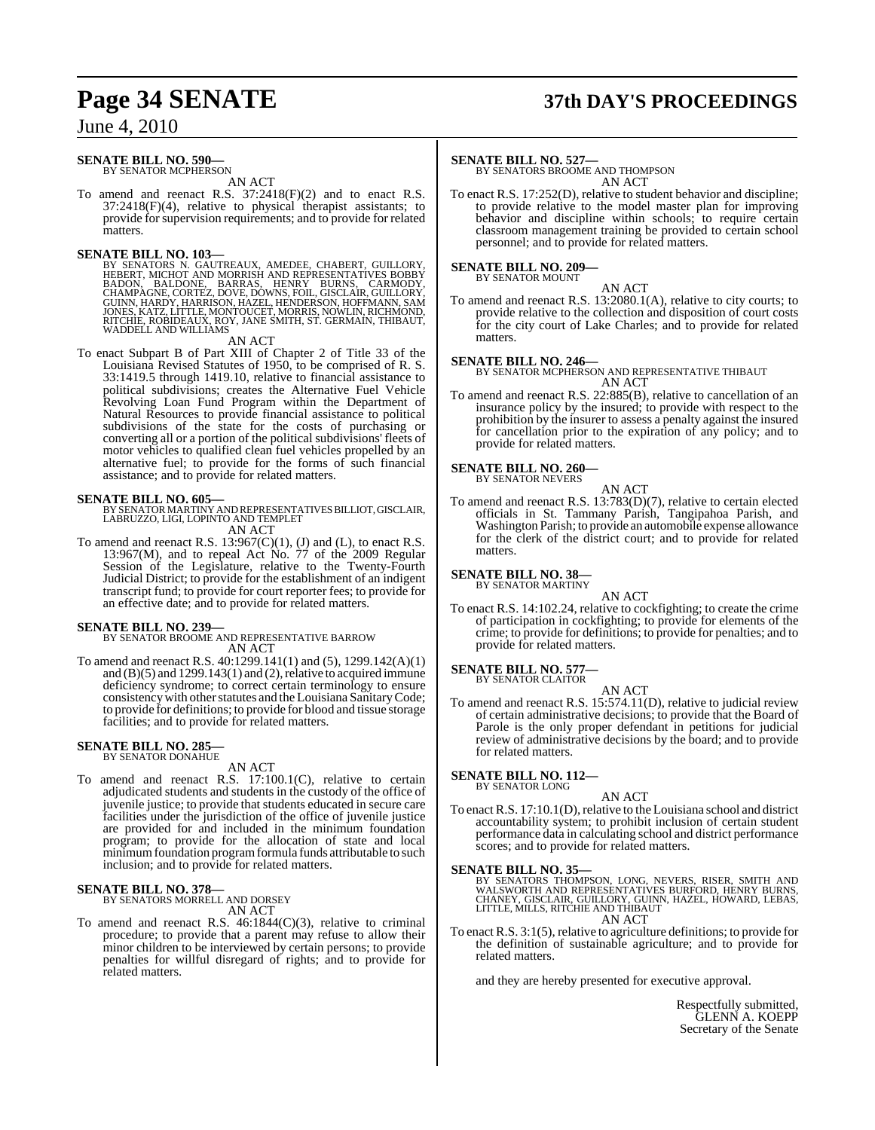# **Page 34 SENATE 37th DAY'S PROCEEDINGS**

## June 4, 2010

#### **SENATE BILL NO. 590—** BY SENATOR MCPHERSON

AN ACT

To amend and reenact R.S. 37:2418(F)(2) and to enact R.S. 37:2418(F)(4), relative to physical therapist assistants; to provide for supervision requirements; and to provide for related matters.

#### **SENATE BILL NO. 103—**

BY SENATORS N. GAUTREAUX, AMEDEE, CHABERT, GUILLORY,<br>HEBERT, MICHOT AND MORRISH AND REPRESENTATIVES BOBBY<br>BADON, BALDONE, BARRAS, HENRY BURNS, CARMODY,<br>CHAMPAGNE, CORTEZ, DOVE, DOWNS, FOIL, GISCLAIR, GUILLORY,<br>GUINN, HARDY WADDELL AND WILLIAMS

AN ACT

To enact Subpart B of Part XIII of Chapter 2 of Title 33 of the Louisiana Revised Statutes of 1950, to be comprised of R. S. 33:1419.5 through 1419.10, relative to financial assistance to political subdivisions; creates the Alternative Fuel Vehicle Revolving Loan Fund Program within the Department of Natural Resources to provide financial assistance to political subdivisions of the state for the costs of purchasing or converting all or a portion of the political subdivisions' fleets of motor vehicles to qualified clean fuel vehicles propelled by an alternative fuel; to provide for the forms of such financial assistance; and to provide for related matters.

**SENATE BILL NO. 605—** BY SENATOR MARTINY AND REPRESENTATIVES BILLIOT, GISCLAIR, LABRUZZO, LIGI, LOPINTO AND TEMPLET AN ACT

To amend and reenact R.S.  $13:967(C)(1)$ , (J) and (L), to enact R.S. 13:967(M), and to repeal Act No. 77 of the 2009 Regular Session of the Legislature, relative to the Twenty-Fourth Judicial District; to provide for the establishment of an indigent transcript fund; to provide for court reporter fees; to provide for an effective date; and to provide for related matters.

#### **SENATE BILL NO. 239—**

BY SENATOR BROOME AND REPRESENTATIVE BARROW AN ACT

To amend and reenact R.S. 40:1299.141(1) and (5), 1299.142(A)(1) and  $(B)(5)$  and  $1299.143(1)$  and  $(2)$ , relative to acquired immune deficiency syndrome; to correct certain terminology to ensure consistency with other statutes and the Louisiana Sanitary Code; to provide for definitions; to provide for blood and tissue storage facilities; and to provide for related matters.

## **SENATE BILL NO. 285—** BY SENATOR DONAHUE

AN ACT

To amend and reenact R.S. 17:100.1(C), relative to certain adjudicated students and students in the custody of the office of juvenile justice; to provide that students educated in secure care facilities under the jurisdiction of the office of juvenile justice are provided for and included in the minimum foundation program; to provide for the allocation of state and local minimum foundation program formula funds attributable to such inclusion; and to provide for related matters.

#### **SENATE BILL NO. 378** BY SENATORS MORRELL AND DORSEY

AN ACT

To amend and reenact R.S. 46:1844(C)(3), relative to criminal procedure; to provide that a parent may refuse to allow their minor children to be interviewed by certain persons; to provide penalties for willful disregard of rights; and to provide for related matters.

#### **SENATE BILL NO. 527—**

BY SENATORS BROOME AND THOMPSON AN ACT

To enact R.S. 17:252(D), relative to student behavior and discipline; to provide relative to the model master plan for improving behavior and discipline within schools; to require certain classroom management training be provided to certain school personnel; and to provide for related matters.

#### **SENATE BILL NO. 209—** BY SENATOR MOUNT

AN ACT

To amend and reenact R.S. 13:2080.1(A), relative to city courts; to provide relative to the collection and disposition of court costs for the city court of Lake Charles; and to provide for related matters.

#### **SENATE BILL NO. 246—**

BY SENATOR MCPHERSON AND REPRESENTATIVE THIBAUT AN ACT

To amend and reenact R.S. 22:885(B), relative to cancellation of an insurance policy by the insured; to provide with respect to the prohibition by the insurer to assess a penalty against the insured for cancellation prior to the expiration of any policy; and to provide for related matters.

## **SENATE BILL NO. 260—** BY SENATOR NEVERS

AN ACT

To amend and reenact R.S. 13:783(D)(7), relative to certain elected officials in St. Tammany Parish, Tangipahoa Parish, and Washington Parish; to provide an automobile expense allowance for the clerk of the district court; and to provide for related matters.

#### **SENATE BILL NO. 38—** BY SENATOR MARTINY

AN ACT To enact R.S. 14:102.24, relative to cockfighting; to create the crime of participation in cockfighting; to provide for elements of the crime; to provide for definitions; to provide for penalties; and to provide for related matters.

#### **SENATE BILL NO. 577—**

BY SENATOR CLAITOR

AN ACT To amend and reenact R.S. 15:574.11(D), relative to judicial review of certain administrative decisions; to provide that the Board of Parole is the only proper defendant in petitions for judicial review of administrative decisions by the board; and to provide for related matters.

#### **SENATE BILL NO. 112—**

BY SENATOR LONG

#### AN ACT

To enact R.S. 17:10.1(D), relative to the Louisiana school and district accountability system; to prohibit inclusion of certain student performance data in calculating school and district performance scores; and to provide for related matters.

#### **SENATE BILL NO. 35—**

BY SENATORS THOMPSON, LONG, NEVERS, RISER, SMITH AND<br>WALSWORTH AND REPRESENTATIVES BURFORD, HENRY BURNS,<br>CHANEY, GISCLAIR, GUILLORY, GUINN, HAZEL, HOWARD, LEBAS,<br>LITTLE, MILLS, RITCHIE AND THIBAUT<br>AN ACT

To enact R.S. 3:1(5), relative to agriculture definitions; to provide for the definition of sustainable agriculture; and to provide for related matters.

and they are hereby presented for executive approval.

Respectfully submitted, GLENN A. KOEPP Secretary of the Senate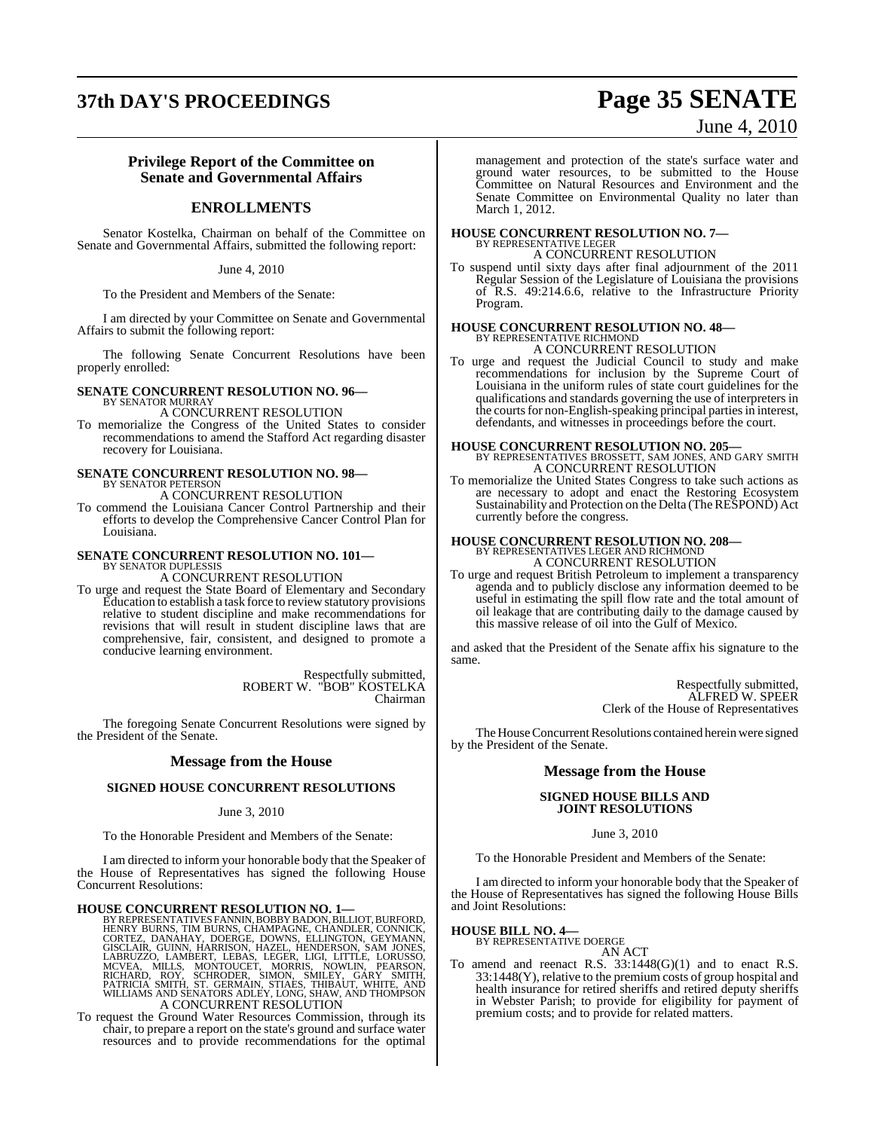# **37th DAY'S PROCEEDINGS Page 35 SENATE**

## June 4, 2010

#### **Privilege Report of the Committee on Senate and Governmental Affairs**

#### **ENROLLMENTS**

Senator Kostelka, Chairman on behalf of the Committee on Senate and Governmental Affairs, submitted the following report:

June 4, 2010

To the President and Members of the Senate:

I am directed by your Committee on Senate and Governmental Affairs to submit the following report:

The following Senate Concurrent Resolutions have been properly enrolled:

#### **SENATE CONCURRENT RESOLUTION NO. 96—** BY SENATOR MURRAY

A CONCURRENT RESOLUTION

To memorialize the Congress of the United States to consider recommendations to amend the Stafford Act regarding disaster recovery for Louisiana.

# **SENATE CONCURRENT RESOLUTION NO. 98<br>BY SENATOR PETERSON<br>A CONCURRENT RESOLUTION**

To commend the Louisiana Cancer Control Partnership and their efforts to develop the Comprehensive Cancer Control Plan for Louisiana.

#### **SENATE CONCURRENT RESOLUTION NO. 101—** BY SENATOR DUPLESSIS

A CONCURRENT RESOLUTION

To urge and request the State Board of Elementary and Secondary Education to establish a task force to review statutory provisions relative to student discipline and make recommendations for revisions that will result in student discipline laws that are comprehensive, fair, consistent, and designed to promote a conducive learning environment.

> Respectfully submitted, ROBERT W. "BOB" KOSTELKA Chairman

The foregoing Senate Concurrent Resolutions were signed by the President of the Senate.

#### **Message from the House**

#### **SIGNED HOUSE CONCURRENT RESOLUTIONS**

#### June 3, 2010

To the Honorable President and Members of the Senate:

I am directed to inform your honorable body that the Speaker of the House of Representatives has signed the following House Concurrent Resolutions:

- **HOUSE CONCURRENT RESOLUTION NO. 1—**<br>BY REPRESENTIATIVES FANNIN, BOBBY BADON, BILLIOT, BURFORD, HENRY BURNS, TIM BURNS, CHAMPAGNE, CHANDLER, CONNICK,<br>CORTEZ, DANAHAY, DOERGE, DOWNS, ELLINGTON, GEYMANN,<br>GISCLAIR, GUINN, HAR
- To request the Ground Water Resources Commission, through its chair, to prepare a report on the state's ground and surface water resources and to provide recommendations for the optimal

management and protection of the state's surface water and ground water resources, to be submitted to the House Committee on Natural Resources and Environment and the Senate Committee on Environmental Quality no later than March 1, 2012.

## **HOUSE CONCURRENT RESOLUTION NO. 7—** BY REPRESENTATIVE LEGER

A CONCURRENT RESOLUTION

To suspend until sixty days after final adjournment of the 2011 Regular Session of the Legislature of Louisiana the provisions of R.S. 49:214.6.6, relative to the Infrastructure Priority Program.

## **HOUSE CONCURRENT RESOLUTION NO. 48—** BY REPRESENTATIVE RICHMOND A CONCURRENT RESOLUTION

- 
- To urge and request the Judicial Council to study and make recommendations for inclusion by the Supreme Court of Louisiana in the uniform rules of state court guidelines for the qualifications and standards governing the use of interpreters in the courts for non-English-speaking principal parties in interest, defendants, and witnesses in proceedings before the court.

## **HOUSE CONCURRENT RESOLUTION NO. 205—** BY REPRESENTATIVES BROSSETT, SAM JONES, AND GARY SMITH A CONCURRENT RESOLUTION

To memorialize the United States Congress to take such actions as are necessary to adopt and enact the Restoring Ecosystem Sustainability and Protection on the Delta (The RESPOND) Act currently before the congress.

# **HOUSE CONCURRENT RESOLUTION NO. 208—** BY REPRESENTATIVES LEGER AND RICHMOND A CONCURRENT RESOLUTION

To urge and request British Petroleum to implement a transparency agenda and to publicly disclose any information deemed to be useful in estimating the spill flow rate and the total amount of oil leakage that are contributing daily to the damage caused by this massive release of oil into the Gulf of Mexico.

and asked that the President of the Senate affix his signature to the same.

> Respectfully submitted, ALFRED W. SPEER Clerk of the House of Representatives

The House Concurrent Resolutions contained herein were signed by the President of the Senate.

#### **Message from the House**

#### **SIGNED HOUSE BILLS AND JOINT RESOLUTIONS**

#### June 3, 2010

To the Honorable President and Members of the Senate:

I am directed to inform your honorable body that the Speaker of the House of Representatives has signed the following House Bills and Joint Resolutions:

#### **HOUSE BILL NO. 4—** BY REPRESENTATIVE DOERGE

AN ACT

To amend and reenact R.S. 33:1448(G)(1) and to enact R.S. 33:1448(Y), relative to the premium costs of group hospital and health insurance for retired sheriffs and retired deputy sheriffs in Webster Parish; to provide for eligibility for payment of premium costs; and to provide for related matters.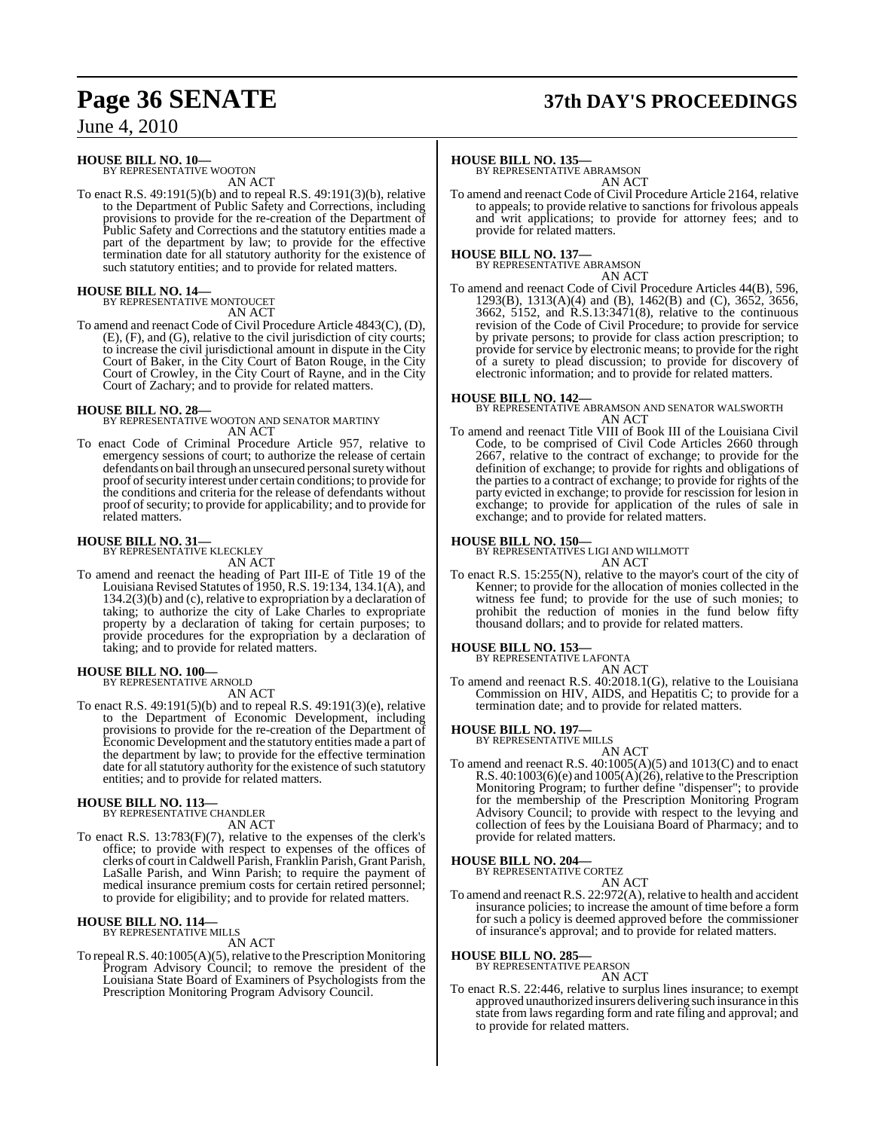# **Page 36 SENATE 37th DAY'S PROCEEDINGS**

June 4, 2010

#### **HOUSE BILL NO. 10—**

BY REPRESENTATIVE WOOTON AN ACT

To enact R.S. 49:191(5)(b) and to repeal R.S. 49:191(3)(b), relative to the Department of Public Safety and Corrections, including provisions to provide for the re-creation of the Department of Public Safety and Corrections and the statutory entities made a part of the department by law; to provide for the effective termination date for all statutory authority for the existence of such statutory entities; and to provide for related matters.

## **HOUSE BILL NO. 14—** BY REPRESENTATIVE MONTOUCET

AN ACT

To amend and reenact Code of Civil Procedure Article 4843(C), (D), (E), (F), and (G), relative to the civil jurisdiction of city courts; to increase the civil jurisdictional amount in dispute in the City Court of Baker, in the City Court of Baton Rouge, in the City Court of Crowley, in the City Court of Rayne, and in the City Court of Zachary; and to provide for related matters.

**HOUSE BILL NO. 28—** BY REPRESENTATIVE WOOTON AND SENATOR MARTINY AN ACT

To enact Code of Criminal Procedure Article 957, relative to emergency sessions of court; to authorize the release of certain defendants on bail through an unsecured personal surety without proof ofsecurity interest under certain conditions; to provide for the conditions and criteria for the release of defendants without proof of security; to provide for applicability; and to provide for related matters.

# **HOUSE BILL NO. 31—** BY REPRESENTATIVE KLECKLEY

AN ACT

To amend and reenact the heading of Part III-E of Title 19 of the Louisiana Revised Statutes of 1950, R.S. 19:134, 134.1(A), and 134.2(3)(b) and (c), relative to expropriation by a declaration of taking; to authorize the city of Lake Charles to expropriate property by a declaration of taking for certain purposes; to provide procedures for the expropriation by a declaration of taking; and to provide for related matters.

## **HOUSE BILL NO. 100—** BY REPRESENTATIVE ARNOLD

AN ACT

To enact R.S. 49:191(5)(b) and to repeal R.S. 49:191(3)(e), relative to the Department of Economic Development, including provisions to provide for the re-creation of the Department of Economic Development and the statutory entities made a part of the department by law; to provide for the effective termination date for all statutory authority for the existence of such statutory entities; and to provide for related matters.

## **HOUSE BILL NO. 113—** BY REPRESENTATIVE CHANDLER

AN ACT

To enact R.S. 13:783(F)(7), relative to the expenses of the clerk's office; to provide with respect to expenses of the offices of clerks of court inCaldwell Parish, Franklin Parish, Grant Parish, LaSalle Parish, and Winn Parish; to require the payment of medical insurance premium costs for certain retired personnel; to provide for eligibility; and to provide for related matters.

#### **HOUSE BILL NO. 114—** BY REPRESENTATIVE MILLS

AN ACT

To repeal R.S. 40:1005(A)(5), relative to the Prescription Monitoring Program Advisory Council; to remove the president of the Louisiana State Board of Examiners of Psychologists from the Prescription Monitoring Program Advisory Council.

#### **HOUSE BILL NO. 135—**

BY REPRESENTATIVE ABRAMSON AN ACT

To amend and reenact Code of Civil Procedure Article 2164, relative to appeals; to provide relative to sanctions for frivolous appeals and writ applications; to provide for attorney fees; and to provide for related matters.

## **HOUSE BILL NO. 137—** BY REPRESENTATIVE ABRAMSON

AN ACT

To amend and reenact Code of Civil Procedure Articles 44(B), 596, 1293(B), 1313(A)(4) and (B), 1462(B) and (C), 3652, 3656, 3662, 5152, and R.S.13:3471(8), relative to the continuous revision of the Code of Civil Procedure; to provide for service by private persons; to provide for class action prescription; to provide for service by electronic means; to provide for the right of a surety to plead discussion; to provide for discovery of electronic information; and to provide for related matters.

**HOUSE BILL NO. 142—** BY REPRESENTATIVE ABRAMSON AND SENATOR WALSWORTH AN ACT

To amend and reenact Title VIII of Book III of the Louisiana Civil Code, to be comprised of Civil Code Articles 2660 through 2667, relative to the contract of exchange; to provide for the definition of exchange; to provide for rights and obligations of the parties to a contract of exchange; to provide for rights of the party evicted in exchange; to provide for rescission for lesion in exchange; to provide for application of the rules of sale in exchange; and to provide for related matters.

## **HOUSE BILL NO. 150—**

BY REPRESENTATIVES LIGI AND WILLMOTT AN ACT

To enact R.S. 15:255(N), relative to the mayor's court of the city of Kenner; to provide for the allocation of monies collected in the witness fee fund; to provide for the use of such monies; to prohibit the reduction of monies in the fund below fifty thousand dollars; and to provide for related matters.

#### **HOUSE BILL NO. 153—**

BY REPRESENTATIVE LAFONTA AN ACT

To amend and reenact R.S. 40:2018.1(G), relative to the Louisiana Commission on HIV, AIDS, and Hepatitis C; to provide for a termination date; and to provide for related matters.

## **HOUSE BILL NO. 197—** BY REPRESENTATIVE MILLS

AN ACT

To amend and reenact R.S.  $40:1005(A)(5)$  and  $1013(C)$  and to enact R.S. 40:1003(6)(e) and  $1005(A)(26)$ , relative to the Prescription Monitoring Program; to further define "dispenser"; to provide for the membership of the Prescription Monitoring Program Advisory Council; to provide with respect to the levying and collection of fees by the Louisiana Board of Pharmacy; and to provide for related matters.

## **HOUSE BILL NO. 204—** BY REPRESENTATIVE CORTEZ

AN ACT

To amend and reenact R.S. 22:972(A), relative to health and accident insurance policies; to increase the amount of time before a form for such a policy is deemed approved before the commissioner of insurance's approval; and to provide for related matters.

## **HOUSE BILL NO. 285—** BY REPRESENTATIVE PEARSON

AN ACT

To enact R.S. 22:446, relative to surplus lines insurance; to exempt approved unauthorized insurers delivering such insurance in this state from laws regarding form and rate filing and approval; and to provide for related matters.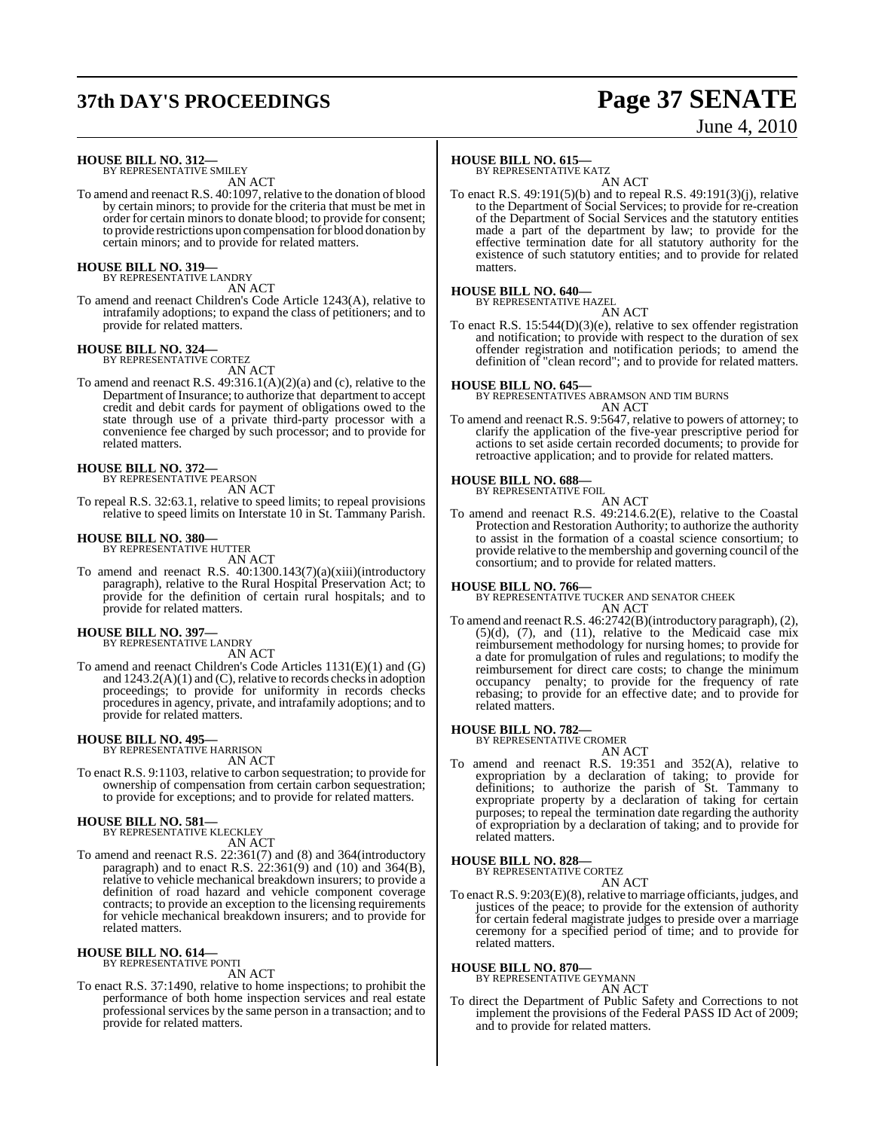# **37th DAY'S PROCEEDINGS Page 37 SENATE**

# June 4, 2010

**HOUSE BILL NO. 312—**

BY REPRESENTATIVE SMILEY AN ACT

To amend and reenact R.S. 40:1097, relative to the donation of blood by certain minors; to provide for the criteria that must be met in order for certain minors to donate blood; to provide for consent; to provide restrictions upon compensation for blood donation by certain minors; and to provide for related matters.

#### **HOUSE BILL NO. 319—** BY REPRESENTATIVE LANDRY

AN ACT

To amend and reenact Children's Code Article 1243(A), relative to intrafamily adoptions; to expand the class of petitioners; and to provide for related matters.

## **HOUSE BILL NO. 324—** BY REPRESENTATIVE CORTEZ

AN ACT

To amend and reenact R.S. 49:316.1(A)(2)(a) and (c), relative to the Department of Insurance; to authorize that department to accept credit and debit cards for payment of obligations owed to the state through use of a private third-party processor with a convenience fee charged by such processor; and to provide for related matters.

## **HOUSE BILL NO. 372—**

BY REPRESENTATIVE PEARSON AN ACT

To repeal R.S. 32:63.1, relative to speed limits; to repeal provisions relative to speed limits on Interstate 10 in St. Tammany Parish.

#### **HOUSE BILL NO. 380—**

BY REPRESENTATIVE HUTTER AN ACT

To amend and reenact R.S. 40:1300.143(7)(a)(xiii)(introductory paragraph), relative to the Rural Hospital Preservation Act; to provide for the definition of certain rural hospitals; and to provide for related matters.

#### **HOUSE BILL NO. 397—**

BY REPRESENTATIVE LANDRY

AN ACT To amend and reenact Children's Code Articles 1131(E)(1) and (G) and  $1243.2(A)(1)$  and  $(C)$ , relative to records checks in adoption proceedings; to provide for uniformity in records checks procedures in agency, private, and intrafamily adoptions; and to

**HOUSE BILL NO. 495—** BY REPRESENTATIVE HARRISON

provide for related matters.

AN ACT

To enact R.S. 9:1103, relative to carbon sequestration; to provide for ownership of compensation from certain carbon sequestration; to provide for exceptions; and to provide for related matters.

# **HOUSE BILL NO. 581—** BY REPRESENTATIVE KLECKLEY

AN ACT

To amend and reenact R.S. 22:361(7) and (8) and 364(introductory paragraph) and to enact R.S.  $22:361(9)$  and  $(10)$  and  $364(B)$ , relative to vehicle mechanical breakdown insurers; to provide a definition of road hazard and vehicle component coverage contracts; to provide an exception to the licensing requirements for vehicle mechanical breakdown insurers; and to provide for related matters.

#### **HOUSE BILL NO. 614—** BY REPRESENTATIVE PONTI

AN ACT

To enact R.S. 37:1490, relative to home inspections; to prohibit the performance of both home inspection services and real estate professional services by the same person in a transaction; and to provide for related matters.

#### **HOUSE BILL NO. 615—**

BY REPRESENTATIVE KATZ

AN ACT To enact R.S. 49:191(5)(b) and to repeal R.S. 49:191(3)(j), relative to the Department of Social Services; to provide for re-creation of the Department of Social Services and the statutory entities made a part of the department by law; to provide for the effective termination date for all statutory authority for the existence of such statutory entities; and to provide for related matters.

## **HOUSE BILL NO. 640—** BY REPRESENTATIVE HAZEL

AN ACT To enact R.S. 15:544(D)(3)(e), relative to sex offender registration and notification; to provide with respect to the duration of sex offender registration and notification periods; to amend the definition of "clean record"; and to provide for related matters.

**HOUSE BILL NO. 645—** BY REPRESENTATIVES ABRAMSON AND TIM BURNS AN ACT

To amend and reenact R.S. 9:5647, relative to powers of attorney; to clarify the application of the five-year prescriptive period for actions to set aside certain recorded documents; to provide for retroactive application; and to provide for related matters.

#### **HOUSE BILL NO. 688—**

BY REPRESENTATIVE FOIL AN ACT

To amend and reenact R.S. 49:214.6.2(E), relative to the Coastal Protection and Restoration Authority; to authorize the authority to assist in the formation of a coastal science consortium; to provide relative to the membership and governing council of the consortium; and to provide for related matters.

#### **HOUSE BILL NO. 766—**

BY REPRESENTATIVE TUCKER AND SENATOR CHEEK AN ACT

To amend and reenact R.S. 46:2742(B)(introductory paragraph), (2),  $(5)(d)$ ,  $(7)$ , and  $(11)$ , relative to the Medicaid case mix reimbursement methodology for nursing homes; to provide for a date for promulgation of rules and regulations; to modify the reimbursement for direct care costs; to change the minimum occupancy penalty; to provide for the frequency of rate rebasing; to provide for an effective date; and to provide for related matters.

#### **HOUSE BILL NO. 782—**

BY REPRESENTATIVE CROMER AN ACT

To amend and reenact R.S. 19:351 and 352(A), relative to expropriation by a declaration of taking; to provide for definitions; to authorize the parish of St. Tammany to expropriate property by a declaration of taking for certain purposes; to repeal the termination date regarding the authority of expropriation by a declaration of taking; and to provide for related matters.

#### **HOUSE BILL NO. 828—**

BY REPRESENTATIVE CORTEZ AN ACT

To enact R.S. 9:203(E)(8), relative to marriage officiants, judges, and justices of the peace; to provide for the extension of authority for certain federal magistrate judges to preside over a marriage ceremony for a specified period of time; and to provide for related matters.

**HOUSE BILL NO. 870—**

BY REPRESENTATIVE GEYMANN

#### AN ACT

To direct the Department of Public Safety and Corrections to not implement the provisions of the Federal PASS ID Act of 2009; and to provide for related matters.